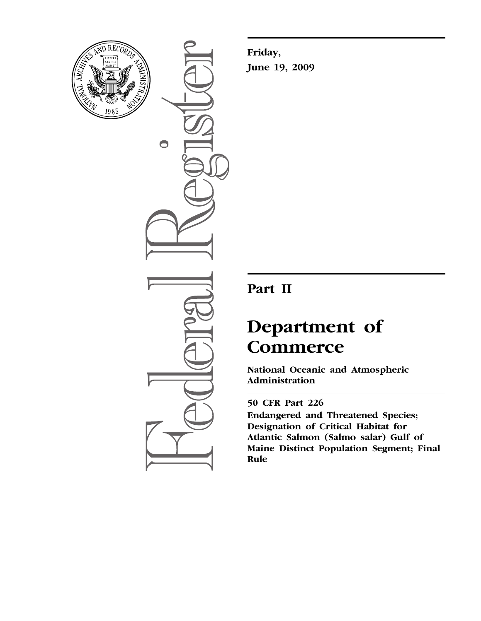

 $\bigcirc$ 

**Friday, June 19, 2009** 

# **Part II**

# **Department of Commerce**

**National Oceanic and Atmospheric Administration** 

# **50 CFR Part 226**

**Endangered and Threatened Species; Designation of Critical Habitat for Atlantic Salmon (Salmo salar) Gulf of Maine Distinct Population Segment; Final Rule**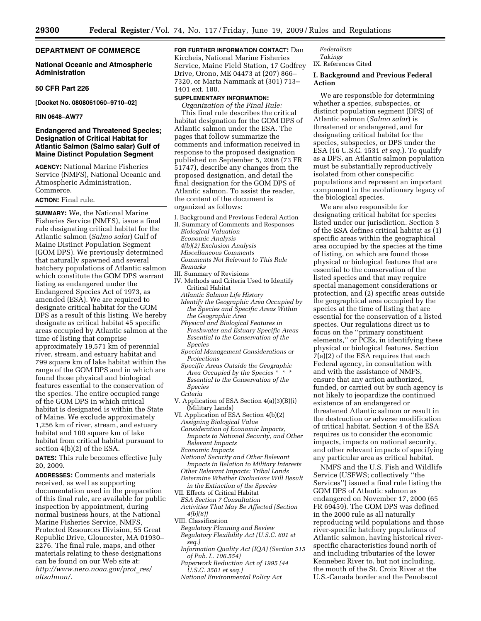# **DEPARTMENT OF COMMERCE**

# **National Oceanic and Atmospheric Administration**

# **50 CFR Part 226**

**[Docket No. 0808061060–9710–02]** 

# **RIN 0648–AW77**

# **Endangered and Threatened Species; Designation of Critical Habitat for Atlantic Salmon (Salmo salar) Gulf of Maine Distinct Population Segment**

**AGENCY:** National Marine Fisheries Service (NMFS), National Oceanic and Atmospheric Administration, Commerce.

# **ACTION:** Final rule.

**SUMMARY:** We, the National Marine Fisheries Service (NMFS), issue a final rule designating critical habitat for the Atlantic salmon (*Salmo salar*) Gulf of Maine Distinct Population Segment (GOM DPS). We previously determined that naturally spawned and several hatchery populations of Atlantic salmon which constitute the GOM DPS warrant listing as endangered under the Endangered Species Act of 1973, as amended (ESA). We are required to designate critical habitat for the GOM DPS as a result of this listing. We hereby designate as critical habitat 45 specific areas occupied by Atlantic salmon at the time of listing that comprise approximately 19,571 km of perennial river, stream, and estuary habitat and 799 square km of lake habitat within the range of the GOM DPS and in which are found those physical and biological features essential to the conservation of the species. The entire occupied range of the GOM DPS in which critical habitat is designated is within the State of Maine. We exclude approximately 1,256 km of river, stream, and estuary habitat and 100 square km of lake habitat from critical habitat pursuant to section 4(b)(2) of the ESA.

**DATES:** This rule becomes effective July 20, 2009.

**ADDRESSES:** Comments and materials received, as well as supporting documentation used in the preparation of this final rule, are available for public inspection by appointment, during normal business hours, at the National Marine Fisheries Service, NMFS, Protected Resources Division, 55 Great Republic Drive, Gloucester, MA 01930– 2276. The final rule, maps, and other materials relating to these designations can be found on our Web site at: *[http://www.nero.noaa.gov/prot](http://www.nero.noaa.gov/prot_res/altsalmon/)*\_*res/ altsalmon/.* 

**FOR FURTHER INFORMATION CONTACT:** Dan Kircheis, National Marine Fisheries Service, Maine Field Station, 17 Godfrey Drive, Orono, ME 04473 at (207) 866– 7320, or Marta Nammack at (301) 713– 1401 ext. 180.

# **SUPPLEMENTARY INFORMATION:**

*Organization of the Final Rule:*  This final rule describes the critical habitat designation for the GOM DPS of Atlantic salmon under the ESA. The pages that follow summarize the comments and information received in response to the proposed designation published on September 5, 2008 (73 FR 51747), describe any changes from the proposed designation, and detail the final designation for the GOM DPS of Atlantic salmon. To assist the reader, the content of the document is organized as follows:

- I. Background and Previous Federal Action
- II. Summary of Comments and Responses *Biological Valuation Economic Analysis 4(b)(2) Exclusion Analysis*
- *Miscellaneous Comments Comments Not Relevant to This Rule*
- *Remarks*  III. Summary of Revisions
- IV. Methods and Criteria Used to Identify Critical Habitat
	- *Atlantic Salmon Life History Identify the Geographic Area Occupied by the Species and Specific Areas Within the Geographic Area*
	- *Physical and Biological Features in Freshwater and Estuary Specific Areas Essential to the Conservation of the Species*
	- *Special Management Considerations or Protections*
	- *Specific Areas Outside the Geographic Area Occupied by the Species \* \* \* Essential to the Conservation of the Species*
	- *Criteria*
- V. Application of ESA Section 4(a)(3)(B)(i) (Military Lands)
- VI. Application of ESA Section 4(b)(2) *Assigning Biological Value* 
	- *Consideration of Economic Impacts, Impacts to National Security, and Other Relevant Impacts Economic Impacts*
	- *National Security and Other Relevant*
	- *Impacts in Relation to Military Interests*
- *Other Relevant Impacts: Tribal Lands Determine Whether Exclusions Will Result in the Extinction of the Species*
- VII. Effects of Critical Habitat
- *ESA Section 7 Consultation*
- *Activities That May Be Affected (Section 4(b)(8))*
- VIII. Classification
- *Regulatory Planning and Review Regulatory Flexibility Act (U.S.C. 601 et seq.)*
- *Information Quality Act (IQA) (Section 515 of Pub. L. 106.554)*
- *Paperwork Reduction Act of 1995 (44 U.S.C. 3501 et seq.)*
- *National Environmental Policy Act*

# *Federalism Takings*  IX. References Cited

# **I. Background and Previous Federal Action**

We are responsible for determining whether a species, subspecies, or distinct population segment (DPS) of Atlantic salmon (*Salmo salar*) is threatened or endangered, and for designating critical habitat for the species, subspecies, or DPS under the ESA (16 U.S.C. 1531 *et seq.*). To qualify as a DPS, an Atlantic salmon population must be substantially reproductively isolated from other conspecific populations and represent an important component in the evolutionary legacy of the biological species.

We are also responsible for designating critical habitat for species listed under our jurisdiction. Section 3 of the ESA defines critical habitat as (1) specific areas within the geographical area occupied by the species at the time of listing, on which are found those physical or biological features that are essential to the conservation of the listed species and that may require special management considerations or protection, and (2) specific areas outside the geographical area occupied by the species at the time of listing that are essential for the conservation of a listed species. Our regulations direct us to focus on the ''primary constituent elements,'' or PCEs, in identifying these physical or biological features. Section 7(a)(2) of the ESA requires that each Federal agency, in consultation with and with the assistance of NMFS, ensure that any action authorized, funded, or carried out by such agency is not likely to jeopardize the continued existence of an endangered or threatened Atlantic salmon or result in the destruction or adverse modification of critical habitat. Section 4 of the ESA requires us to consider the economic impacts, impacts on national security, and other relevant impacts of specifying any particular area as critical habitat.

NMFS and the U.S. Fish and Wildlife Service (USFWS; collectively ''the Services'') issued a final rule listing the GOM DPS of Atlantic salmon as endangered on November 17, 2000 (65 FR 69459). The GOM DPS was defined in the 2000 rule as all naturally reproducing wild populations and those river-specific hatchery populations of Atlantic salmon, having historical riverspecific characteristics found north of and including tributaries of the lower Kennebec River to, but not including, the mouth of the St. Croix River at the U.S.-Canada border and the Penobscot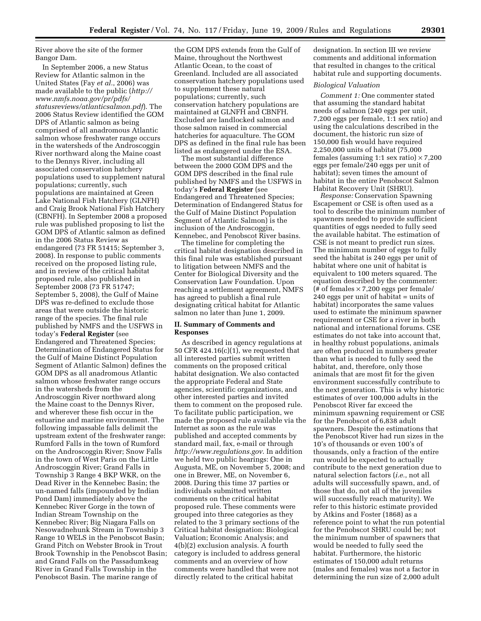River above the site of the former Bangor Dam.

In September 2006, a new Status Review for Atlantic salmon in the United States (Fay *et al.*, 2006) was made available to the public (*http:// www.nmfs.noaa.gov/pr/pdfs/ [statusreviews/atlanticsalmon.pdf](http://www.nmfs.noaa.gov/pr/pdfs/statusreviews/atlanticsalmon.pdf)*). The 2006 Status Review identified the GOM DPS of Atlantic salmon as being comprised of all anadromous Atlantic salmon whose freshwater range occurs in the watersheds of the Androscoggin River northward along the Maine coast to the Dennys River, including all associated conservation hatchery populations used to supplement natural populations; currently, such populations are maintained at Green Lake National Fish Hatchery (GLNFH) and Craig Brook National Fish Hatchery (CBNFH). In September 2008 a proposed rule was published proposing to list the GOM DPS of Atlantic salmon as defined in the 2006 Status Review as endangered (73 FR 51415; September 3, 2008). In response to public comments received on the proposed listing rule, and in review of the critical habitat proposed rule, also published in September 2008 (73 FR 51747; September 5, 2008), the Gulf of Maine DPS was re-defined to exclude those areas that were outside the historic range of the species. The final rule published by NMFS and the USFWS in today's **Federal Register** (see Endangered and Threatened Species; Determination of Endangered Status for the Gulf of Maine Distinct Population Segment of Atlantic Salmon) defines the GOM DPS as all anadromous Atlantic salmon whose freshwater range occurs in the watersheds from the Androscoggin River northward along the Maine coast to the Dennys River, and wherever these fish occur in the estuarine and marine environment. The following impassable falls delimit the upstream extent of the freshwater range: Rumford Falls in the town of Rumford on the Androscoggin River; Snow Falls in the town of West Paris on the Little Androscoggin River; Grand Falls in Township 3 Range 4 BKP WKR, on the Dead River in the Kennebec Basin; the un-named falls (impounded by Indian Pond Dam) immediately above the Kennebec River Gorge in the town of Indian Stream Township on the Kennebec River; Big Niagara Falls on Nesowadnehunk Stream in Township 3 Range 10 WELS in the Penobscot Basin; Grand Pitch on Webster Brook in Trout Brook Township in the Penobscot Basin; and Grand Falls on the Passadumkeag River in Grand Falls Township in the Penobscot Basin. The marine range of

the GOM DPS extends from the Gulf of Maine, throughout the Northwest Atlantic Ocean, to the coast of Greenland. Included are all associated conservation hatchery populations used to supplement these natural populations; currently, such conservation hatchery populations are maintained at GLNFH and CBNFH. Excluded are landlocked salmon and those salmon raised in commercial hatcheries for aquaculture. The GOM DPS as defined in the final rule has been listed as endangered under the ESA.

The most substantial difference between the 2000 GOM DPS and the GOM DPS described in the final rule published by NMFS and the USFWS in today's **Federal Register** (see Endangered and Threatened Species; Determination of Endangered Status for the Gulf of Maine Distinct Population Segment of Atlantic Salmon) is the inclusion of the Androscoggin, Kennebec, and Penobscot River basins.

The timeline for completing the critical habitat designation described in this final rule was established pursuant to litigation between NMFS and the Center for Biological Diversity and the Conservation Law Foundation. Upon reaching a settlement agreement, NMFS has agreed to publish a final rule designating critical habitat for Atlantic salmon no later than June 1, 2009.

# **II. Summary of Comments and Responses**

As described in agency regulations at 50 CFR 424.16(c)(1), we requested that all interested parties submit written comments on the proposed critical habitat designation. We also contacted the appropriate Federal and State agencies, scientific organizations, and other interested parties and invited them to comment on the proposed rule. To facilitate public participation, we made the proposed rule available via the Internet as soon as the rule was published and accepted comments by standard mail, fax, e-mail or through *<http://www.regulations.gov>*. In addition we held two public hearings: One in Augusta, ME, on November 5, 2008; and one in Brewer, ME, on November 6, 2008. During this time 37 parties or individuals submitted written comments on the critical habitat proposed rule. These comments were grouped into three categories as they related to the 3 primary sections of the Critical habitat designation: Biological Valuation; Economic Analysis; and 4(b)(2) exclusion analysis. A fourth category is included to address general comments and an overview of how comments were handled that were not directly related to the critical habitat

designation. In section III we review comments and additional information that resulted in changes to the critical habitat rule and supporting documents.

# *Biological Valuation*

*Comment 1:* One commenter stated that assuming the standard habitat needs of salmon (240 eggs per unit, 7,200 eggs per female, 1:1 sex ratio) and using the calculations described in the document, the historic run size of 150,000 fish would have required 2,250,000 units of habitat (75,000 females (assuming 1:1 sex ratio)  $\times$  7,200 eggs per female/240 eggs per unit of habitat); seven times the amount of habitat in the entire Penobscot Salmon Habitat Recovery Unit (SHRU).

*Response:* Conservation Spawning Escapement or CSE is often used as a tool to describe the minimum number of spawners needed to provide sufficient quantities of eggs needed to fully seed the available habitat. The estimation of CSE is not meant to predict run sizes. The minimum number of eggs to fully seed the habitat is 240 eggs per unit of habitat where one unit of habitat is equivalent to 100 meters squared. The equation described by the commenter: (# of females  $\times$  7,200 eggs per female/ 240 eggs per unit of habitat = units of habitat) incorporates the same values used to estimate the minimum spawner requirement or CSE for a river in both national and international forums. CSE estimates do not take into account that, in healthy robust populations, animals are often produced in numbers greater than what is needed to fully seed the habitat, and, therefore, only those animals that are most fit for the given environment successfully contribute to the next generation. This is why historic estimates of over 100,000 adults in the Penobscot River far exceed the minimum spawning requirement or CSE for the Penobscot of 6,838 adult spawners. Despite the estimations that the Penobscot River had run sizes in the 10's of thousands or even 100's of thousands, only a fraction of the entire run would be expected to actually contribute to the next generation due to natural selection factors (*i.e.*, not all adults will successfully spawn, and, of those that do, not all of the juveniles will successfully reach maturity). We refer to this historic estimate provided by Atkins and Foster (1868) as a reference point to what the run potential for the Penobscot SHRU could be; not the minimum number of spawners that would be needed to fully seed the habitat. Furthermore, the historic estimates of 150,000 adult returns (males and females) was not a factor in determining the run size of 2,000 adult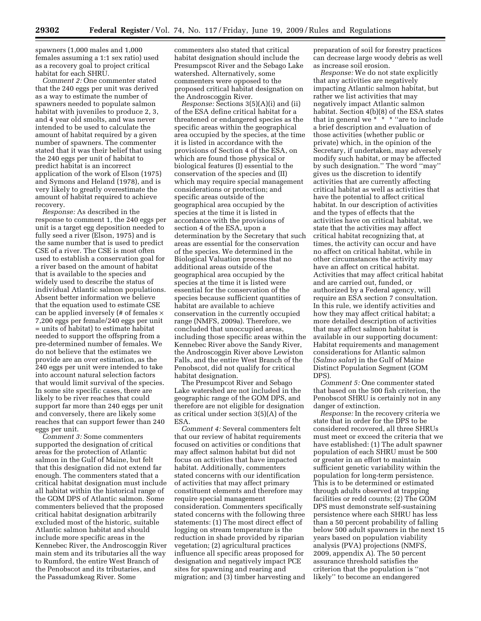spawners (1,000 males and 1,000 females assuming a 1:1 sex ratio) used as a recovery goal to project critical habitat for each SHRU.

*Comment 2:* One commenter stated that the 240 eggs per unit was derived as a way to estimate the number of spawners needed to populate salmon habitat with juveniles to produce 2, 3, and 4 year old smolts, and was never intended to be used to calculate the amount of habitat required by a given number of spawners. The commenter stated that it was their belief that using the 240 eggs per unit of habitat to predict habitat is an incorrect application of the work of Elson (1975) and Symons and Heland (1978), and is very likely to greatly overestimate the amount of habitat required to achieve recovery.

*Response:* As described in the response to comment 1, the 240 eggs per unit is a target egg deposition needed to fully seed a river (Elson, 1975) and is the same number that is used to predict CSE of a river. The CSE is most often used to establish a conservation goal for a river based on the amount of habitat that is available to the species and widely used to describe the status of individual Atlantic salmon populations. Absent better information we believe that the equation used to estimate CSE can be applied inversely (# of females  $\times$ 7,200 eggs per female/240 eggs per unit = units of habitat) to estimate habitat needed to support the offspring from a pre-determined number of females. We do not believe that the estimates we provide are an over estimation, as the 240 eggs per unit were intended to take into account natural selection factors that would limit survival of the species. In some site specific cases, there are likely to be river reaches that could support far more than 240 eggs per unit and conversely, there are likely some reaches that can support fewer than 240 eggs per unit.

*Comment 3:* Some commenters supported the designation of critical areas for the protection of Atlantic salmon in the Gulf of Maine, but felt that this designation did not extend far enough. The commenters stated that a critical habitat designation must include all habitat within the historical range of the GOM DPS of Atlantic salmon. Some commenters believed that the proposed critical habitat designation arbitrarily excluded most of the historic, suitable Atlantic salmon habitat and should include more specific areas in the Kennebec River, the Androscoggin River main stem and its tributaries all the way to Rumford, the entire West Branch of the Penobscot and its tributaries, and the Passadumkeag River. Some

commenters also stated that critical habitat designation should include the Presumpscot River and the Sebago Lake watershed. Alternatively, some commenters were opposed to the proposed critical habitat designation on the Androscoggin River.

*Response:* Sections 3(5)(A)(i) and (ii) of the ESA define critical habitat for a threatened or endangered species as the specific areas within the geographical area occupied by the species, at the time it is listed in accordance with the provisions of Section 4 of the ESA, on which are found those physical or biological features (I) essential to the conservation of the species and (II) which may require special management considerations or protection; and specific areas outside of the geographical area occupied by the species at the time it is listed in accordance with the provisions of section 4 of the ESA, upon a determination by the Secretary that such areas are essential for the conservation of the species. We determined in the Biological Valuation process that no additional areas outside of the geographical area occupied by the species at the time it is listed were essential for the conservation of the species because sufficient quantities of habitat are available to achieve conservation in the currently occupied range (NMFS, 2009a). Therefore, we concluded that unoccupied areas, including those specific areas within the Kennebec River above the Sandy River, the Androscoggin River above Lewiston Falls, and the entire West Branch of the Penobscot, did not qualify for critical habitat designation.

The Presumpcot River and Sebago Lake watershed are not included in the geographic range of the GOM DPS, and therefore are not eligible for designation as critical under section 3(5)(A) of the ESA.

*Comment 4:* Several commenters felt that our review of habitat requirements focused on activities or conditions that may affect salmon habitat but did not focus on activities that have impacted habitat. Additionally, commenters stated concerns with our identification of activities that may affect primary constituent elements and therefore may require special management consideration. Commenters specifically stated concerns with the following three statements: (1) The most direct effect of logging on stream temperature is the reduction in shade provided by riparian vegetation; (2) agricultural practices influence all specific areas proposed for designation and negatively impact PCE sites for spawning and rearing and migration; and (3) timber harvesting and

preparation of soil for forestry practices can decrease large woody debris as well as increase soil erosion.

*Response:* We do not state explicitly that any activities are negatively impacting Atlantic salmon habitat, but rather we list activities that may negatively impact Atlantic salmon habitat. Section 4(b)(8) of the ESA states that in general we \* \* \* ''are to include a brief description and evaluation of those activities (whether public or private) which, in the opinion of the Secretary, if undertaken, may adversely modify such habitat, or may be affected by such designation.'' The word ''may'' gives us the discretion to identify activities that are currently affecting critical habitat as well as activities that have the potential to affect critical habitat. In our description of activities and the types of effects that the activities have on critical habitat, we state that the activities may affect critical habitat recognizing that, at times, the activity can occur and have no affect on critical habitat, while in other circumstances the activity may have an affect on critical habitat. Activities that may affect critical habitat and are carried out, funded, or authorized by a Federal agency, will require an ESA section 7 consultation. In this rule, we identify activities and how they may affect critical habitat; a more detailed description of activities that may affect salmon habitat is available in our supporting document: Habitat requirements and management considerations for Atlantic salmon (*Salmo salar*) in the Gulf of Maine Distinct Population Segment (GOM DPS).

*Comment 5:* One commenter stated that based on the 500 fish criterion, the Penobscot SHRU is certainly not in any danger of extinction.

*Response:* In the recovery criteria we state that in order for the DPS to be considered recovered, all three SHRUs must meet or exceed the criteria that we have established: (1) The adult spawner population of each SHRU must be 500 or greater in an effort to maintain sufficient genetic variability within the population for long-term persistence. This is to be determined or estimated through adults observed at trapping facilities or redd counts; (2) The GOM DPS must demonstrate self-sustaining persistence where each SHRU has less than a 50 percent probability of falling below 500 adult spawners in the next 15 years based on population viability analysis (PVA) projections (NMFS, 2009, appendix A). The 50 percent assurance threshold satisfies the criterion that the population is ''not likely'' to become an endangered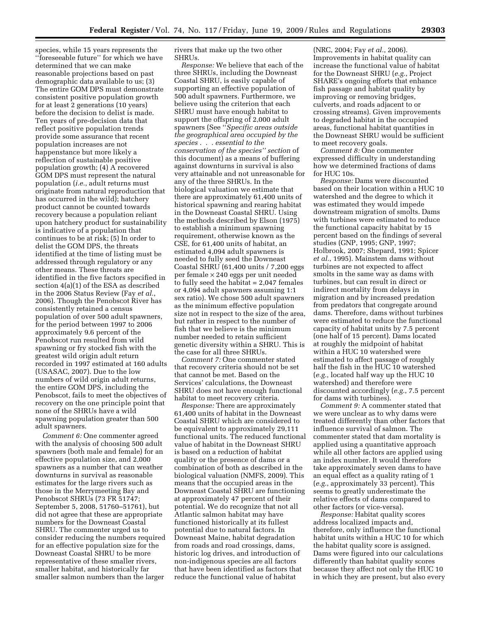species, while 15 years represents the ''foreseeable future'' for which we have determined that we can make reasonable projections based on past demographic data available to us; (3) The entire GOM DPS must demonstrate consistent positive population growth for at least 2 generations (10 years) before the decision to delist is made. Ten years of pre-decision data that reflect positive population trends provide some assurance that recent population increases are not happenstance but more likely a reflection of sustainable positive population growth; (4) A recovered GOM DPS must represent the natural population (*i.e.*, adult returns must originate from natural reproduction that has occurred in the wild); hatchery product cannot be counted towards recovery because a population reliant upon hatchery product for sustainability is indicative of a population that continues to be at risk; (5) In order to delist the GOM DPS, the threats identified at the time of listing must be addressed through regulatory or any other means. These threats are identified in the five factors specified in section 4(a)(1) of the ESA as described in the 2006 Status Review (Fay *et al.*, 2006). Though the Penobscot River has consistently retained a census population of over 500 adult spawners, for the period between 1997 to 2006 approximately 9.6 percent of the Penobscot run resulted from wild spawning or fry stocked fish with the greatest wild origin adult return recorded in 1997 estimated at 160 adults (USASAC, 2007). Due to the low numbers of wild origin adult returns, the entire GOM DPS, including the Penobscot, fails to meet the objectives of recovery on the one principle point that none of the SHRUs have a wild spawning population greater than 500 adult spawners.

*Comment 6:* One commenter agreed with the analysis of choosing 500 adult spawners (both male and female) for an effective population size, and 2,000 spawners as a number that can weather downturns in survival as reasonable estimates for the large rivers such as those in the Merrymeeting Bay and Penobscot SHRUs (73 FR 51747; September 5, 2008, 51760–51761), but did not agree that these are appropriate numbers for the Downeast Coastal SHRU. The commenter urged us to consider reducing the numbers required for an effective population size for the Downeast Coastal SHRU to be more representative of these smaller rivers, smaller habitat, and historically far smaller salmon numbers than the larger

rivers that make up the two other SHRUs.

*Response:* We believe that each of the three SHRUs, including the Downeast Coastal SHRU, is easily capable of supporting an effective population of 500 adult spawners. Furthermore, we believe using the criterion that each SHRU must have enough habitat to support the offspring of 2,000 adult spawners (See ''*Specific areas outside the geographical area occupied by the species . . . essential to the conservation of the species'' section* of this document) as a means of buffering against downturns in survival is also very attainable and not unreasonable for any of the three SHRUs. In the biological valuation we estimate that there are approximately 61,400 units of historical spawning and rearing habitat in the Downeast Coastal SHRU. Using the methods described by Elson (1975) to establish a minimum spawning requirement, otherwise known as the CSE, for 61,400 units of habitat, an estimated 4,094 adult spawners is needed to fully seed the Downeast Coastal SHRU (61,400 units / 7,200 eggs per female × 240 eggs per unit needed to fully seed the habitat  $= 2,047$  females or 4,094 adult spawners assuming 1:1 sex ratio). We chose 500 adult spawners as the minimum effective population size not in respect to the size of the area, but rather in respect to the number of fish that we believe is the minimum number needed to retain sufficient genetic diversity within a SHRU. This is the case for all three SHRUs.

*Comment 7:* One commenter stated that recovery criteria should not be set that cannot be met. Based on the Services' calculations, the Downeast SHRU does not have enough functional habitat to meet recovery criteria.

*Response:* There are approximately 61,400 units of habitat in the Downeast Coastal SHRU which are considered to be equivalent to approximately 29,111 functional units. The reduced functional value of habitat in the Downeast SHRU is based on a reduction of habitat quality or the presence of dams or a combination of both as described in the biological valuation (NMFS, 2009). This means that the occupied areas in the Downeast Coastal SHRU are functioning at approximately 47 percent of their potential. We do recognize that not all Atlantic salmon habitat may have functioned historically at its fullest potential due to natural factors. In Downeast Maine, habitat degradation from roads and road crossings, dams, historic log drives, and introduction of non-indigenous species are all factors that have been identified as factors that reduce the functional value of habitat

(NRC, 2004; Fay *et al.*, 2006). Improvements in habitat quality can increase the functional value of habitat for the Downeast SHRU (*e.g.*, Project SHARE's ongoing efforts that enhance fish passage and habitat quality by improving or removing bridges, culverts, and roads adjacent to or crossing streams). Given improvements to degraded habitat in the occupied areas, functional habitat quantities in the Downeast SHRU would be sufficient to meet recovery goals.

*Comment 8:* One commenter expressed difficulty in understanding how we determined fractions of dams for HUC 10s.

*Response:* Dams were discounted based on their location within a HUC 10 watershed and the degree to which it was estimated they would impede downstream migration of smolts. Dams with turbines were estimated to reduce the functional capacity habitat by 15 percent based on the findings of several studies (GNP, 1995; GNP, 1997; Holbrook, 2007; Shepard, 1991; Spicer *et al.*, 1995). Mainstem dams without turbines are not expected to affect smolts in the same way as dams with turbines, but can result in direct or indirect mortality from delays in migration and by increased predation from predators that congregate around dams. Therefore, dams without turbines were estimated to reduce the functional capacity of habitat units by 7.5 percent (one half of 15 percent). Dams located at roughly the midpoint of habitat within a HUC 10 watershed were estimated to affect passage of roughly half the fish in the HUC 10 watershed (*e.g.*, located half way up the HUC 10 watershed) and therefore were discounted accordingly (*e.g.*, 7.5 percent for dams with turbines).

*Comment 9:* A commenter stated that we were unclear as to why dams were treated differently than other factors that influence survival of salmon. The commenter stated that dam mortality is applied using a quantitative approach while all other factors are applied using an index number. It would therefore take approximately seven dams to have an equal effect as a quality rating of 1 (*e.g.*, approximately 33 percent). This seems to greatly underestimate the relative effects of dams compared to other factors (or vice-versa).

*Response:* Habitat quality scores address localized impacts and, therefore, only influence the functional habitat units within a HUC 10 for which the habitat quality score is assigned. Dams were figured into our calculations differently than habitat quality scores because they affect not only the HUC 10 in which they are present, but also every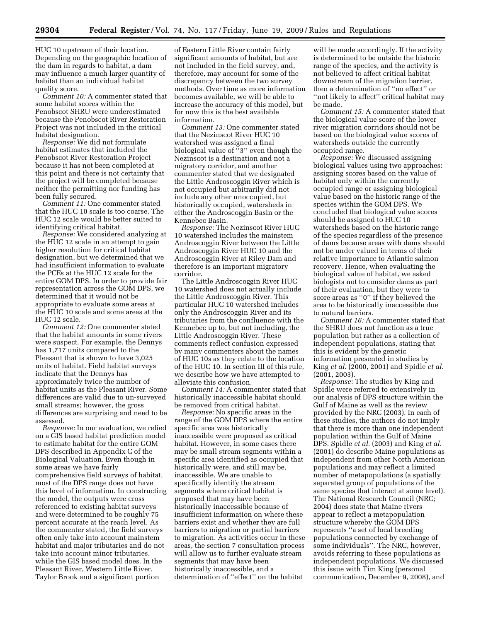HUC 10 upstream of their location. Depending on the geographic location of the dam in regards to habitat, a dam may influence a much larger quantity of habitat than an individual habitat quality score.

*Comment 10:* A commenter stated that some habitat scores within the Penobscot SHRU were underestimated because the Penobscot River Restoration Project was not included in the critical habitat designation.

*Response:* We did not formulate habitat estimates that included the Penobscot River Restoration Project because it has not been completed at this point and there is not certainty that the project will be completed because neither the permitting nor funding has been fully secured.

*Comment 11:* One commenter stated that the HUC 10 scale is too coarse. The HUC 12 scale would be better suited to identifying critical habitat.

*Response:* We considered analyzing at the HUC 12 scale in an attempt to gain higher resolution for critical habitat designation, but we determined that we had insufficient information to evaluate the PCEs at the HUC 12 scale for the entire GOM DPS. In order to provide fair representation across the GOM DPS, we determined that it would not be appropriate to evaluate some areas at the HUC 10 scale and some areas at the HUC 12 scale.

*Comment 12:* One commenter stated that the habitat amounts in some rivers were suspect. For example, the Dennys has 1,717 units compared to the Pleasant that is shown to have 3,025 units of habitat. Field habitat surveys indicate that the Dennys has approximately twice the number of habitat units as the Pleasant River. Some differences are valid due to un-surveyed small streams; however, the gross differences are surprising and need to be assessed.

*Response:* In our evaluation, we relied on a GIS based habitat prediction model to estimate habitat for the entire GOM DPS described in Appendix C of the Biological Valuation. Even though in some areas we have fairly comprehensive field surveys of habitat, most of the DPS range does not have this level of information. In constructing the model, the outputs were cross referenced to existing habitat surveys and were determined to be roughly 75 percent accurate at the reach level. As the commenter stated, the field surveys often only take into account mainstem habitat and major tributaries and do not take into account minor tributaries, while the GIS based model does. In the Pleasant River, Western Little River, Taylor Brook and a significant portion

of Eastern Little River contain fairly significant amounts of habitat, but are not included in the field survey, and, therefore, may account for some of the discrepancy between the two survey methods. Over time as more information becomes available, we will be able to increase the accuracy of this model, but for now this is the best available information.

*Comment 13:* One commenter stated that the Nezinscot River HUC 10 watershed was assigned a final biological value of ''3'' even though the Nezinscot is a destination and not a migratory corridor, and another commenter stated that we designated the Little Androscoggin River which is not occupied but arbitrarily did not include any other unoccupied, but historically occupied, watersheds in either the Androscoggin Basin or the Kennebec Basin.

*Response:* The Nezinscot River HUC 10 watershed includes the mainstem Androscoggin River between the Little Androscoggin River HUC 10 and the Androscoggin River at Riley Dam and therefore is an important migratory corridor.

The Little Androscoggin River HUC 10 watershed does not actually include the Little Androscoggin River. This particular HUC 10 watershed includes only the Androscoggin River and its tributaries from the confluence with the Kennebec up to, but not including, the Little Androscoggin River. These comments reflect confusion expressed by many commenters about the names of HUC 10s as they relate to the location of the HUC 10. In section III of this rule, we describe how we have attempted to alleviate this confusion.

*Comment 14:* A commenter stated that historically inaccessible habitat should be removed from critical habitat.

*Response:* No specific areas in the range of the GOM DPS where the entire specific area was historically inaccessible were proposed as critical habitat. However, in some cases there may be small stream segments within a specific area identified as occupied that historically were, and still may be, inaccessible. We are unable to specifically identify the stream segments where critical habitat is proposed that may have been historically inaccessible because of insufficient information on where these barriers exist and whether they are full barriers to migration or partial barriers to migration. As activities occur in these areas, the section 7 consultation process will allow us to further evaluate stream segments that may have been historically inaccessible, and a determination of ''effect'' on the habitat

will be made accordingly. If the activity is determined to be outside the historic range of the species, and the activity is not believed to affect critical habitat downstream of the migration barrier, then a determination of ''no effect'' or ''not likely to affect'' critical habitat may be made.

*Comment 15:* A commenter stated that the biological value score of the lower river migration corridors should not be based on the biological value scores of watersheds outside the currently occupied range.

*Response:* We discussed assigning biological values using two approaches: assigning scores based on the value of habitat only within the currently occupied range or assigning biological value based on the historic range of the species within the GOM DPS. We concluded that biological value scores should be assigned to HUC 10 watersheds based on the historic range of the species regardless of the presence of dams because areas with dams should not be under valued in terms of their relative importance to Atlantic salmon recovery. Hence, when evaluating the biological value of habitat, we asked biologists not to consider dams as part of their evaluation, but they were to score areas as ''0'' if they believed the area to be historically inaccessible due to natural barriers.

*Comment 16:* A commenter stated that the SHRU does not function as a true population but rather as a collection of independent populations, stating that this is evident by the genetic information presented in studies by King *et al.* (2000, 2001) and Spidle *et al.*  (2001, 2003).

*Response:* The studies by King and Spidle were referred to extensively in our analysis of DPS structure within the Gulf of Maine as well as the review provided by the NRC (2003). In each of these studies, the authors do not imply that there is more than one independent population within the Gulf of Maine DPS. Spidle *et al.* (2003) and King *et al.*  (2001) do describe Maine populations as independent from other North American populations and may reflect a limited number of metapopulations (a spatially separated group of populations of the same species that interact at some level). The National Research Council (NRC; 2004) does state that Maine rivers appear to reflect a metapopulation structure whereby the GOM DPS represents ''a set of local breeding populations connected by exchange of some individuals''. The NRC, however, avoids referring to these populations as independent populations. We discussed this issue with Tim King (personal communication, December 9, 2008), and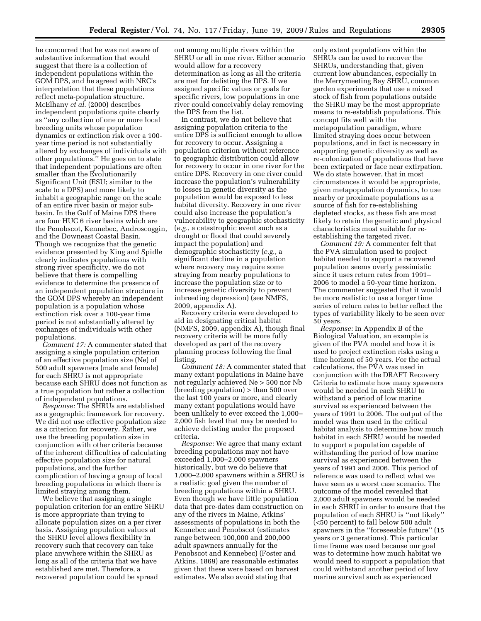he concurred that he was not aware of substantive information that would suggest that there is a collection of independent populations within the GOM DPS, and he agreed with NRC's interpretation that these populations reflect meta-population structure. McElhany *et al.* (2000) describes independent populations quite clearly as ''any collection of one or more local breeding units whose population dynamics or extinction risk over a 100 year time period is not substantially altered by exchanges of individuals with other populations.'' He goes on to state that independent populations are often smaller than the Evolutionarily Significant Unit (ESU; similar to the scale to a DPS) and more likely to inhabit a geographic range on the scale of an entire river basin or major subbasin. In the Gulf of Maine DPS there are four HUC 6 river basins which are the Penobscot, Kennebec, Androscoggin, and the Downeast Coastal Basin. Though we recognize that the genetic evidence presented by King and Spidle clearly indicates populations with strong river specificity, we do not believe that there is compelling evidence to determine the presence of an independent population structure in the GOM DPS whereby an independent population is a population whose extinction risk over a 100-year time period is not substantially altered by exchanges of individuals with other populations.

*Comment 17:* A commenter stated that assigning a single population criterion of an effective population size (Ne) of 500 adult spawners (male and female) for each SHRU is not appropriate because each SHRU does not function as a true population but rather a collection of independent populations.

*Response:* The SHRUs are established as a geographic framework for recovery. We did not use effective population size as a criterion for recovery. Rather, we use the breeding population size in conjunction with other criteria because of the inherent difficulties of calculating effective population size for natural populations, and the further complication of having a group of local breeding populations in which there is limited straying among them.

We believe that assigning a single population criterion for an entire SHRU is more appropriate than trying to allocate population sizes on a per river basis. Assigning population values at the SHRU level allows flexibility in recovery such that recovery can take place anywhere within the SHRU as long as all of the criteria that we have established are met. Therefore, a recovered population could be spread

out among multiple rivers within the SHRU or all in one river. Either scenario would allow for a recovery determination as long as all the criteria are met for delisting the DPS. If we assigned specific values or goals for specific rivers, low populations in one river could conceivably delay removing the DPS from the list.

In contrast, we do not believe that assigning population criteria to the entire DPS is sufficient enough to allow for recovery to occur. Assigning a population criterion without reference to geographic distribution could allow for recovery to occur in one river for the entire DPS. Recovery in one river could increase the population's vulnerability to losses in genetic diversity as the population would be exposed to less habitat diversity. Recovery in one river could also increase the population's vulnerability to geographic stochasticity (*e.g.*, a catastrophic event such as a drought or flood that could severely impact the population) and demographic stochasticity (*e.g.*, a significant decline in a population where recovery may require some straying from nearby populations to increase the population size or to increase genetic diversity to prevent inbreeding depression) (see NMFS, 2009, appendix A).

Recovery criteria were developed to aid in designating critical habitat (NMFS, 2009, appendix A), though final recovery criteria will be more fully developed as part of the recovery planning process following the final listing.

*Comment 18:* A commenter stated that many extant populations in Maine have not regularly achieved Ne > 500 nor Nb (breeding population) > than 500 over the last 100 years or more, and clearly many extant populations would have been unlikely to ever exceed the 1,000– 2,000 fish level that may be needed to achieve delisting under the proposed criteria.

*Response:* We agree that many extant breeding populations may not have exceeded 1,000–2,000 spawners historically, but we do believe that 1,000–2,000 spawners within a SHRU is a realistic goal given the number of breeding populations within a SHRU. Even though we have little population data that pre-dates dam construction on any of the rivers in Maine, Atkins' assessments of populations in both the Kennebec and Penobscot (estimates range between 100,000 and 200,000 adult spawners annually for the Penobscot and Kennebec) (Foster and Atkins, 1869) are reasonable estimates given that these were based on harvest estimates. We also avoid stating that

only extant populations within the SHRUs can be used to recover the SHRUs, understanding that, given current low abundances, especially in the Merrymeeting Bay SHRU, common garden experiments that use a mixed stock of fish from populations outside the SHRU may be the most appropriate means to re-establish populations. This concept fits well with the metapopulation paradigm, where limited straying does occur between populations, and in fact is necessary in supporting genetic diversity as well as re-colonization of populations that have been extirpated or face near extirpation. We do state however, that in most circumstances it would be appropriate, given metapopulation dynamics, to use nearby or proximate populations as a source of fish for re-establishing depleted stocks, as these fish are most likely to retain the genetic and physical characteristics most suitable for reestablishing the targeted river.

*Comment 19:* A commenter felt that the PVA simulation used to project habitat needed to support a recovered population seems overly pessimistic since it uses return rates from 1991– 2006 to model a 50-year time horizon. The commenter suggested that it would be more realistic to use a longer time series of return rates to better reflect the types of variability likely to be seen over 50 years.

*Response:* In Appendix B of the Biological Valuation, an example is given of the PVA model and how it is used to project extinction risks using a time horizon of 50 years. For the actual calculations, the PVA was used in conjunction with the DRAFT Recovery Criteria to estimate how many spawners would be needed in each SHRU to withstand a period of low marine survival as experienced between the years of 1991 to 2006. The output of the model was then used in the critical habitat analysis to determine how much habitat in each SHRU would be needed to support a population capable of withstanding the period of low marine survival as experienced between the years of 1991 and 2006. This period of reference was used to reflect what we have seen as a worst case scenario. The outcome of the model revealed that 2,000 adult spawners would be needed in each SHRU in order to ensure that the population of each SHRU is ''not likely'' (<50 percent) to fall below 500 adult spawners in the ''foreseeable future'' (15 years or 3 generations). This particular time frame was used because our goal was to determine how much habitat we would need to support a population that could withstand another period of low marine survival such as experienced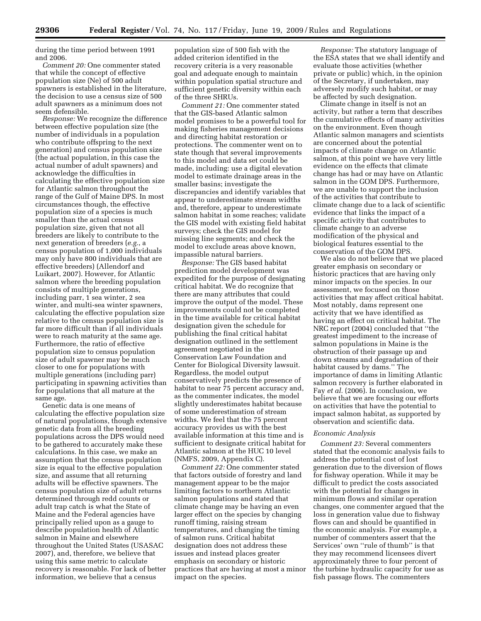during the time period between 1991 and 2006.

*Comment 20:* One commenter stated that while the concept of effective population size (Ne) of 500 adult spawners is established in the literature, the decision to use a census size of 500 adult spawners as a minimum does not seem defensible.

*Response:* We recognize the difference between effective population size (the number of individuals in a population who contribute offspring to the next generation) and census population size (the actual population, in this case the actual number of adult spawners) and acknowledge the difficulties in calculating the effective population size for Atlantic salmon throughout the range of the Gulf of Maine DPS. In most circumstances though, the effective population size of a species is much smaller than the actual census population size, given that not all breeders are likely to contribute to the next generation of breeders (*e.g.*, a census population of 1,000 individuals may only have 800 individuals that are effective breeders) (Allendorf and Luikart, 2007). However, for Atlantic salmon where the breeding population consists of multiple generations, including parr, 1 sea winter, 2 sea winter, and multi-sea winter spawners, calculating the effective population size relative to the census population size is far more difficult than if all individuals were to reach maturity at the same age. Furthermore, the ratio of effective population size to census population size of adult spawner may be much closer to one for populations with multiple generations (including parr) participating in spawning activities than for populations that all mature at the same age.

Genetic data is one means of calculating the effective population size of natural populations, though extensive genetic data from all the breeding populations across the DPS would need to be gathered to accurately make these calculations. In this case, we make an assumption that the census population size is equal to the effective population size, and assume that all returning adults will be effective spawners. The census population size of adult returns determined through redd counts or adult trap catch is what the State of Maine and the Federal agencies have principally relied upon as a gauge to describe population health of Atlantic salmon in Maine and elsewhere throughout the United States (USASAC 2007), and, therefore, we believe that using this same metric to calculate recovery is reasonable. For lack of better information, we believe that a census

population size of 500 fish with the added criterion identified in the recovery criteria is a very reasonable goal and adequate enough to maintain within population spatial structure and sufficient genetic diversity within each of the three SHRUs.

*Comment 21:* One commenter stated that the GIS-based Atlantic salmon model promises to be a powerful tool for making fisheries management decisions and directing habitat restoration or protections. The commenter went on to state though that several improvements to this model and data set could be made, including: use a digital elevation model to estimate drainage areas in the smaller basins; investigate the discrepancies and identify variables that appear to underestimate stream widths and, therefore, appear to underestimate salmon habitat in some reaches; validate the GIS model with existing field habitat surveys; check the GIS model for missing line segments; and check the model to exclude areas above known, impassible natural barriers.

*Response:* The GIS based habitat prediction model development was expedited for the purpose of designating critical habitat. We do recognize that there are many attributes that could improve the output of the model. These improvements could not be completed in the time available for critical habitat designation given the schedule for publishing the final critical habitat designation outlined in the settlement agreement negotiated in the Conservation Law Foundation and Center for Biological Diversity lawsuit. Regardless, the model output conservatively predicts the presence of habitat to near 75 percent accuracy and, as the commenter indicates, the model slightly underestimates habitat because of some underestimation of stream widths. We feel that the 75 percent accuracy provides us with the best available information at this time and is sufficient to designate critical habitat for Atlantic salmon at the HUC 10 level (NMFS, 2009, Appendix C).

*Comment 22:* One commenter stated that factors outside of forestry and land management appear to be the major limiting factors to northern Atlantic salmon populations and stated that climate change may be having an even larger effect on the species by changing runoff timing, raising stream temperatures, and changing the timing of salmon runs. Critical habitat designation does not address these issues and instead places greater emphasis on secondary or historic practices that are having at most a minor impact on the species.

*Response:* The statutory language of the ESA states that we shall identify and evaluate those activities (whether private or public) which, in the opinion of the Secretary, if undertaken, may adversely modify such habitat, or may be affected by such designation.

Climate change in itself is not an activity, but rather a term that describes the cumulative effects of many activities on the environment. Even though Atlantic salmon managers and scientists are concerned about the potential impacts of climate change on Atlantic salmon, at this point we have very little evidence on the effects that climate change has had or may have on Atlantic salmon in the GOM DPS. Furthermore, we are unable to support the inclusion of the activities that contribute to climate change due to a lack of scientific evidence that links the impact of a specific activity that contributes to climate change to an adverse modification of the physical and biological features essential to the conservation of the GOM DPS.

We also do not believe that we placed greater emphasis on secondary or historic practices that are having only minor impacts on the species. In our assessment, we focused on those activities that may affect critical habitat. Most notably, dams represent one activity that we have identified as having an effect on critical habitat. The NRC report (2004) concluded that ''the greatest impediment to the increase of salmon populations in Maine is the obstruction of their passage up and down streams and degradation of their habitat caused by dams.'' The importance of dams in limiting Atlantic salmon recovery is further elaborated in Fay *et al.* (2006). In conclusion, we believe that we are focusing our efforts on activities that have the potential to impact salmon habitat, as supported by observation and scientific data.

## *Economic Analysis*

*Comment 23:* Several commenters stated that the economic analysis fails to address the potential cost of lost generation due to the diversion of flows for fishway operation. While it may be difficult to predict the costs associated with the potential for changes in minimum flows and similar operation changes, one commenter argued that the loss in generation value due to fishway flows can and should be quantified in the economic analysis. For example, a number of commenters assert that the Services' own ''rule of thumb'' is that they may recommend licensees divert approximately three to four percent of the turbine hydraulic capacity for use as fish passage flows. The commenters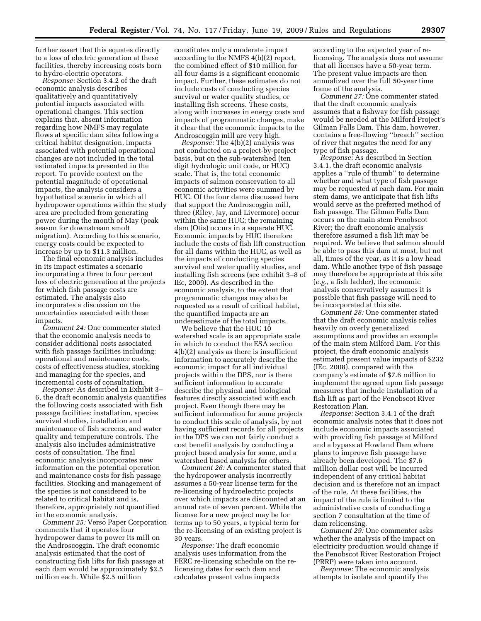further assert that this equates directly to a loss of electric generation at these facilities, thereby increasing costs born to hydro-electric operators.

*Response:* Section 3.4.2 of the draft economic analysis describes qualitatively and quantitatively potential impacts associated with operational changes. This section explains that, absent information regarding how NMFS may regulate flows at specific dam sites following a critical habitat designation, impacts associated with potential operational changes are not included in the total estimated impacts presented in the report. To provide context on the potential magnitude of operational impacts, the analysis considers a hypothetical scenario in which all hydropower operations within the study area are precluded from generating power during the month of May (peak season for downstream smolt migration). According to this scenario, energy costs could be expected to increase by up to \$11.3 million.

The final economic analysis includes in its impact estimates a scenario incorporating a three to four percent loss of electric generation at the projects for which fish passage costs are estimated. The analysis also incorporates a discussion on the uncertainties associated with these impacts.

*Comment 24:* One commenter stated that the economic analysis needs to consider additional costs associated with fish passage facilities including: operational and maintenance costs, costs of effectiveness studies, stocking and managing for the species, and incremental costs of consultation.

*Response:* As described in Exhibit 3– 6, the draft economic analysis quantifies the following costs associated with fish passage facilities: installation, species survival studies, installation and maintenance of fish screens, and water quality and temperature controls. The analysis also includes administrative costs of consultation. The final economic analysis incorporates new information on the potential operation and maintenance costs for fish passage facilities. Stocking and management of the species is not considered to be related to critical habitat and is, therefore, appropriately not quantified in the economic analysis.

*Comment 25:* Verso Paper Corporation comments that it operates four hydropower dams to power its mill on the Androscoggin. The draft economic analysis estimated that the cost of constructing fish lifts for fish passage at each dam would be approximately \$2.5 million each. While \$2.5 million

constitutes only a moderate impact according to the NMFS 4(b)(2) report, the combined effect of \$10 million for all four dams is a significant economic impact. Further, these estimates do not include costs of conducting species survival or water quality studies, or installing fish screens. These costs, along with increases in energy costs and impacts of programmatic changes, make it clear that the economic impacts to the Androscoggin mill are very high.

*Response:* The 4(b)(2) analysis was not conducted on a project-by-project basis, but on the sub-watershed (ten digit hydrologic unit code, or HUC) scale. That is, the total economic impacts of salmon conservation to all economic activities were summed by HUC. Of the four dams discussed here that support the Androscoggin mill, three (Riley, Jay, and Livermore) occur within the same HUC; the remaining dam (Otis) occurs in a separate HUC. Economic impacts by HUC therefore include the costs of fish lift construction for all dams within the HUC, as well as the impacts of conducting species survival and water quality studies, and installing fish screens (see exhibit 3–8 of IEc, 2009). As described in the economic analysis, to the extent that programmatic changes may also be requested as a result of critical habitat, the quantified impacts are an underestimate of the total impacts.

We believe that the HUC 10 watershed scale is an appropriate scale in which to conduct the ESA section 4(b)(2) analysis as there is insufficient information to accurately describe the economic impact for all individual projects within the DPS, nor is there sufficient information to accurate describe the physical and biological features directly associated with each project. Even though there may be sufficient information for some projects to conduct this scale of analysis, by not having sufficient records for all projects in the DPS we can not fairly conduct a cost benefit analysis by conducting a project based analysis for some, and a watershed based analysis for others.

*Comment 26:* A commenter stated that the hydropower analysis incorrectly assumes a 50-year license term for the re-licensing of hydroelectric projects over which impacts are discounted at an annual rate of seven percent. While the license for a new project may be for terms up to 50 years, a typical term for the re-licensing of an existing project is 30 years.

*Response:* The draft economic analysis uses information from the FERC re-licensing schedule on the relicensing dates for each dam and calculates present value impacts

according to the expected year of relicensing. The analysis does not assume that all licenses have a 50-year term. The present value impacts are then annualized over the full 50-year time frame of the analysis.

*Comment 27:* One commenter stated that the draft economic analysis assumes that a fishway for fish passage would be needed at the Milford Project's Gilman Falls Dam. This dam, however, contains a free-flowing ''breach'' section of river that negates the need for any type of fish passage.

*Response:* As described in Section 3.4.1, the draft economic analysis applies a ''rule of thumb'' to determine whether and what type of fish passage may be requested at each dam. For main stem dams, we anticipate that fish lifts would serve as the preferred method of fish passage. The Gilman Falls Dam occurs on the main stem Penobscot River; the draft economic analysis therefore assumed a fish lift may be required. We believe that salmon should be able to pass this dam at most, but not all, times of the year, as it is a low head dam. While another type of fish passage may therefore be appropriate at this site (*e.g.*, a fish ladder), the economic analysis conservatively assumes it is possible that fish passage will need to be incorporated at this site.

*Comment 28:* One commenter stated that the draft economic analysis relies heavily on overly generalized assumptions and provides an example of the main stem Milford Dam. For this project, the draft economic analysis estimated present value impacts of \$232 (IEc, 2008), compared with the company's estimate of \$7.6 million to implement the agreed upon fish passage measures that include installation of a fish lift as part of the Penobscot River Restoration Plan.

*Response:* Section 3.4.1 of the draft economic analysis notes that it does not include economic impacts associated with providing fish passage at Milford and a bypass at Howland Dam where plans to improve fish passage have already been developed. The \$7.6 million dollar cost will be incurred independent of any critical habitat decision and is therefore not an impact of the rule. At these facilities, the impact of the rule is limited to the administrative costs of conducting a section 7 consultation at the time of dam relicensing.

*Comment 29:* One commenter asks whether the analysis of the impact on electricity production would change if the Penobscot River Restoration Project (PRRP) were taken into account.

*Response:* The economic analysis attempts to isolate and quantify the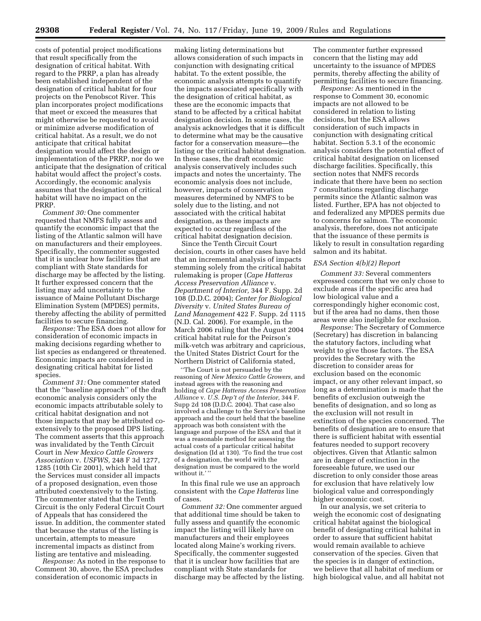costs of potential project modifications that result specifically from the designation of critical habitat. With regard to the PRRP, a plan has already been established independent of the designation of critical habitat for four projects on the Penobscot River. This plan incorporates project modifications that meet or exceed the measures that might otherwise be requested to avoid or minimize adverse modification of critical habitat. As a result, we do not anticipate that critical habitat designation would affect the design or implementation of the PRRP, nor do we anticipate that the designation of critical habitat would affect the project's costs. Accordingly, the economic analysis assumes that the designation of critical habitat will have no impact on the PRRP.

*Comment 30:* One commenter requested that NMFS fully assess and quantify the economic impact that the listing of the Atlantic salmon will have on manufacturers and their employees. Specifically, the commenter suggested that it is unclear how facilities that are compliant with State standards for discharge may be affected by the listing. It further expressed concern that the listing may add uncertainty to the issuance of Maine Pollutant Discharge Elimination System (MPDES) permits, thereby affecting the ability of permitted facilities to secure financing.

*Response:* The ESA does not allow for consideration of economic impacts in making decisions regarding whether to list species as endangered or threatened. Economic impacts are considered in designating critical habitat for listed species.

*Comment 31:* One commenter stated that the ''baseline approach'' of the draft economic analysis considers only the economic impacts attributable solely to critical habitat designation and not those impacts that may be attributed coextensively to the proposed DPS listing. The comment asserts that this approach was invalidated by the Tenth Circuit Court in *New Mexico Cattle Growers Association* v. *USFWS,* 248 F 3d 1277, 1285 (10th Cir 2001), which held that the Services must consider all impacts of a proposed designation, even those attributed coextensively to the listing. The commenter stated that the Tenth Circuit is the only Federal Circuit Court of Appeals that has considered the issue. In addition, the commenter stated that because the status of the listing is uncertain, attempts to measure incremental impacts as distinct from listing are tentative and misleading.

*Response:* As noted in the response to Comment 30, above, the ESA precludes consideration of economic impacts in

making listing determinations but allows consideration of such impacts in conjunction with designating critical habitat. To the extent possible, the economic analysis attempts to quantify the impacts associated specifically with the designation of critical habitat, as these are the economic impacts that stand to be affected by a critical habitat designation decision. In some cases, the analysis acknowledges that it is difficult to determine what may be the causative factor for a conservation measure—the listing or the critical habitat designation. In these cases, the draft economic analysis conservatively includes such impacts and notes the uncertainty. The economic analysis does not include, however, impacts of conservation measures determined by NMFS to be solely due to the listing, and not associated with the critical habitat designation, as these impacts are expected to occur regardless of the critical habitat designation decision.

Since the Tenth Circuit Court decision, courts in other cases have held that an incremental analysis of impacts stemming solely from the critical habitat rulemaking is proper (*Cape Hatteras Access Preservation Alliance* v. *Department of Interior,* 344 F. Supp. 2d 108 (D.D.C. 2004); *Center for Biological Diversity* v. *United States Bureau of Land Management* 422 F. Supp. 2d 1115 (N.D. Cal. 2006). For example, in the March 2006 ruling that the August 2004 critical habitat rule for the Peirson's milk-vetch was arbitrary and capricious, the United States District Court for the Northern District of California stated,

''The Court is not persuaded by the reasoning of *New Mexico Cattle Growers,* and instead agrees with the reasoning and holding of *Cape Hatteras Access Preservation Alliance* v. *U.S. Dep't of the Interior,* 344 F. Supp 2d 108 (D.D.C. 2004). That case also involved a challenge to the Service's baseline approach and the court held that the baseline approach was both consistent with the language and purpose of the ESA and that it was a reasonable method for assessing the actual costs of a particular critical habitat designation (Id at 130). 'To find the true cost of a designation, the world with the designation must be compared to the world without it.''

In this final rule we use an approach consistent with the *Cape Hatteras* line of cases.

*Comment 32:* One commenter argued that additional time should be taken to fully assess and quantify the economic impact the listing will likely have on manufacturers and their employees located along Maine's working rivers. Specifically, the commenter suggested that it is unclear how facilities that are compliant with State standards for discharge may be affected by the listing.

The commenter further expressed concern that the listing may add uncertainty to the issuance of MPDES permits, thereby affecting the ability of permitting facilities to secure financing.

*Response:* As mentioned in the response to Comment 30, economic impacts are not allowed to be considered in relation to listing decisions, but the ESA allows consideration of such impacts in conjunction with designating critical habitat. Section 5.3.1 of the economic analysis considers the potential effect of critical habitat designation on licensed discharge facilities. Specifically, this section notes that NMFS records indicate that there have been no section 7 consultations regarding discharge permits since the Atlantic salmon was listed. Further, EPA has not objected to and federalized any MPDES permits due to concerns for salmon. The economic analysis, therefore, does not anticipate that the issuance of these permits is likely to result in consultation regarding salmon and its habitat.

# *ESA Section 4(b)(2) Report*

*Comment 33:* Several commenters expressed concern that we only chose to exclude areas if the specific area had low biological value and a correspondingly higher economic cost, but if the area had no dams, then those areas were also ineligible for exclusion.

*Response:* The Secretary of Commerce (Secretary) has discretion in balancing the statutory factors, including what weight to give those factors. The ESA provides the Secretary with the discretion to consider areas for exclusion based on the economic impact, or any other relevant impact, so long as a determination is made that the benefits of exclusion outweigh the benefits of designation, and so long as the exclusion will not result in extinction of the species concerned. The benefits of designation are to ensure that there is sufficient habitat with essential features needed to support recovery objectives. Given that Atlantic salmon are in danger of extinction in the foreseeable future, we used our discretion to only consider those areas for exclusion that have relatively low biological value and correspondingly higher economic cost.

In our analysis, we set criteria to weigh the economic cost of designating critical habitat against the biological benefit of designating critical habitat in order to assure that sufficient habitat would remain available to achieve conservation of the species. Given that the species is in danger of extinction, we believe that all habitat of medium or high biological value, and all habitat not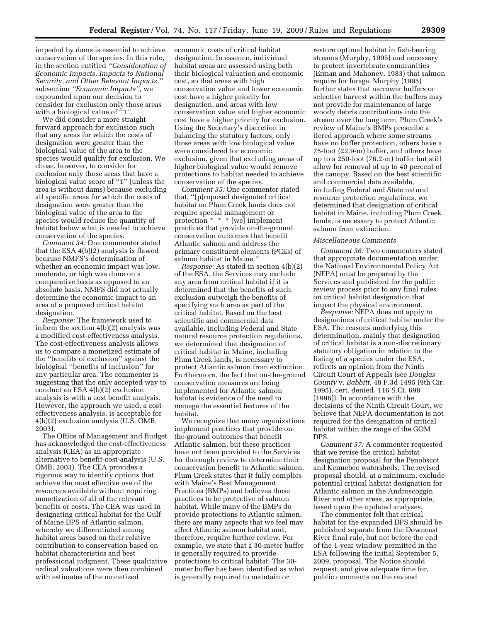impeded by dams is essential to achieve conservation of the species. In this rule, in the section entitled *''Consideration of Economic Impacts, Impacts to National Security, and Other Relevant Impacts,''*  subsection *''Economic Impacts''*, we expounded upon our decision to consider for exclusion only those areas with a biological value of "1".

We did consider a more straight forward approach for exclusion such that any areas for which the costs of designation were greater than the biological value of the area to the species would qualify for exclusion. We chose, however, to consider for exclusion only those areas that have a biological value score of ''1'' (unless the area is without dams) because excluding all specific areas for which the costs of designation were greater than the biological value of the area to the species would reduce the quantity of habitat below what is needed to achieve conservation of the species.

*Comment 34:* One commenter stated that the ESA 4(b)(2) analysis is flawed because NMFS's determination of whether an economic impact was low, moderate, or high was done on a comparative basis as opposed to an absolute basis. NMFS did not actually determine the economic impact to an area of a proposed critical habitat designation.

*Response:* The framework used to inform the section 4(b)(2) analysis was a modified cost-effectiveness analysis. The cost-effectiveness analysis allows us to compare a monetized estimate of the ''benefits of exclusion'' against the biological ''benefits of inclusion'' for any particular area. The commenter is suggesting that the only accepted way to conduct an ESA 4(b)(2) exclusion analysis is with a cost benefit analysis. However, the approach we used, a costeffectiveness analysis, is acceptable for 4(b)(2) exclusion analysis (U.S. OMB, 2003).

The Office of Management and Budget has acknowledged the cost-effectiveness analysis (CEA) as an appropriate alternative to benefit-cost-analysis (U.S. OMB, 2003). The CEA provides a rigorous way to identify options that achieve the most effective use of the resources available without requiring monetization of all of the relevant benefits or costs. The CEA was used in designating critical habitat for the Gulf of Maine DPS of Atlantic salmon, whereby we differentiated among habitat areas based on their relative contribution to conservation based on habitat characteristics and best professional judgment. These qualitative ordinal valuations were then combined with estimates of the monetized

economic costs of critical habitat designation. In essence, individual habitat areas are assessed using both their biological valuation and economic cost, so that areas with high conservation value and lower economic cost have a higher priority for designation, and areas with low conservation value and higher economic cost have a higher priority for exclusion. Using the Secretary's discretion in balancing the statutory factors, only those areas with low biological value were considered for economic exclusion, given that excluding areas of higher biological value would remove protections to habitat needed to achieve conservation of the species.

*Comment 35:* One commenter stated that, ''[p]roposed designated critical habitat on Plum Creek lands does not require special management or protection \* \* \* [we] implement practices that provide on-the-ground conservation outcomes that benefit Atlantic salmon and address the primary constituent elements (PCEs) of salmon habitat in Maine.''

*Response:* As stated in section 4(b)(2) of the ESA, the Services may exclude any area from critical habitat if it is determined that the benefits of such exclusion outweigh the benefits of specifying such area as part of the critical habitat. Based on the best scientific and commercial data available, including Federal and State natural resource protection regulations, we determined that designation of critical habitat in Maine, including Plum Creek lands, is necessary to protect Atlantic salmon from extinction. Furthermore, the fact that on-the-ground conservation measures are being implemented for Atlantic salmon habitat is evidence of the need to manage the essential features of the habitat.

We recognize that many organizations implement practices that provide onthe-ground outcomes that benefit Atlantic salmon, but these practices have not been provided to the Services for thorough review to determine their conservation benefit to Atlantic salmon. Plum Creek states that it fully complies with Maine's Best Management Practices (BMPs) and believes these practices to be protective of salmon habitat. While many of the BMPs do provide protections to Atlantic salmon, there are many aspects that we feel may affect Atlantic salmon habitat and, therefore, require further review. For example, we state that a 30-meter buffer is generally required to provide protections to critical habitat. The 30 meter buffer has been identified as what is generally required to maintain or

restore optimal habitat in fish-bearing streams (Murphy, 1995) and necessary to protect invertebrate communities (Erman and Mahoney, 1983) that salmon require for forage. Murphy (1995) further states that narrower buffers or selective harvest within the buffers may not provide for maintenance of large woody debris contributions into the stream over the long term. Plum Creek's review of Maine's BMPs prescribe a tiered approach where some streams have no buffer protection, others have a 75-foot (22.9-m) buffer, and others have up to a 250-foot (76.2-m) buffer but still allow for removal of up to 40 percent of the canopy. Based on the best scientific and commercial data available, including Federal and State natural resource protection regulations, we determined that designation of critical habitat in Maine, including Plum Creek lands, is necessary to protect Atlantic salmon from extinction.

# *Miscellaneous Comments*

*Comment 36:* Two commenters stated that appropriate documentation under the National Environmental Policy Act (NEPA) must be prepared by the Services and published for the public review process prior to any final rules on critical habitat designation that impact the physical environment.

*Response:* NEPA does not apply to designations of critical habitat under the ESA. The reasons underlying this determination, mainly that designation of critical habitat is a non-discretionary statutory obligation in relation to the listing of a species under the ESA, reflects an opinion from the Ninth Circuit Court of Appeals (see *Douglas County* v. *Babbitt*, 48 F.3d 1495 (9th Cir. 1995), cert. denied, 116 S.Ct. 698 (1996)). In accordance with the decisions of the Ninth Circuit Court, we believe that NEPA documentation is not required for the designation of critical habitat within the range of the GOM DPS.

*Comment 37:* A commenter requested that we revise the critical habitat designation proposal for the Penobscot and Kennebec watersheds. The revised proposal should, at a minimum, exclude potential critical habitat designation for Atlantic salmon in the Androscoggin River and other areas, as appropriate, based upon the updated analyses.

The commenter felt that critical habitat for the expanded DPS should be published separate from the Downeast River final rule, but not before the end of the 1-year window permitted in the ESA following the initial September 5, 2009, proposal. The Notice should request, and give adequate time for, public comments on the revised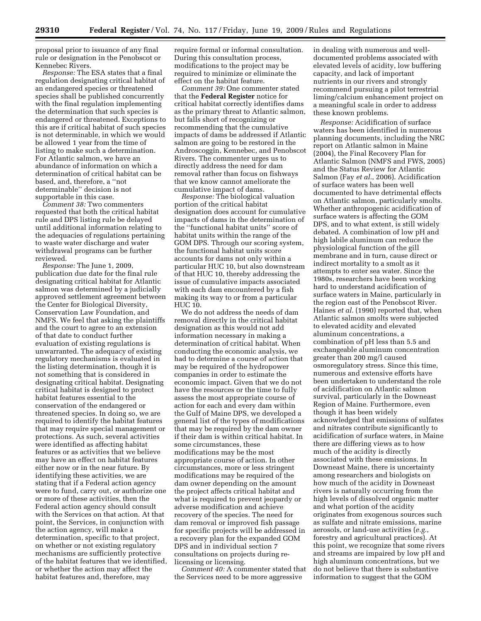proposal prior to issuance of any final rule or designation in the Penobscot or Kennebec Rivers.

*Response:* The ESA states that a final regulation designating critical habitat of an endangered species or threatened species shall be published concurrently with the final regulation implementing the determination that such species is endangered or threatened. Exceptions to this are if critical habitat of such species is not determinable, in which we would be allowed 1 year from the time of listing to make such a determination. For Atlantic salmon, we have an abundance of information on which a determination of critical habitat can be based, and, therefore, a ''not determinable'' decision is not supportable in this case.

*Comment 38:* Two commenters requested that both the critical habitat rule and DPS listing rule be delayed until additional information relating to the adequacies of regulations pertaining to waste water discharge and water withdrawal programs can be further reviewed.

*Response:* The June 1, 2009, publication due date for the final rule designating critical habitat for Atlantic salmon was determined by a judicially approved settlement agreement between the Center for Biological Diversity, Conservation Law Foundation, and NMFS. We feel that asking the plaintiffs and the court to agree to an extension of that date to conduct further evaluation of existing regulations is unwarranted. The adequacy of existing regulatory mechanisms is evaluated in the listing determination, though it is not something that is considered in designating critical habitat. Designating critical habitat is designed to protect habitat features essential to the conservation of the endangered or threatened species. In doing so, we are required to identify the habitat features that may require special management or protections. As such, several activities were identified as affecting habitat features or as activities that we believe may have an effect on habitat features either now or in the near future. By identifying these activities, we are stating that if a Federal action agency were to fund, carry out, or authorize one or more of these activities, then the Federal action agency should consult with the Services on that action. At that point, the Services, in conjunction with the action agency, will make a determination, specific to that project, on whether or not existing regulatory mechanisms are sufficiently protective of the habitat features that we identified, or whether the action may affect the habitat features and, therefore, may

require formal or informal consultation. During this consultation process, modifications to the project may be required to minimize or eliminate the effect on the habitat feature.

*Comment 39:* One commenter stated that the **Federal Register** notice for critical habitat correctly identifies dams as the primary threat to Atlantic salmon, but falls short of recognizing or recommending that the cumulative impacts of dams be addressed if Atlantic salmon are going to be restored in the Androscoggin, Kennebec, and Penobscot Rivers. The commenter urges us to directly address the need for dam removal rather than focus on fishways that we know cannot ameliorate the cumulative impact of dams.

*Response:* The biological valuation portion of the critical habitat designation does account for cumulative impacts of dams in the determination of the ''functional habitat units'' score of habitat units within the range of the GOM DPS. Through our scoring system, the functional habitat units score accounts for dams not only within a particular HUC 10, but also downstream of that HUC 10, thereby addressing the issue of cumulative impacts associated with each dam encountered by a fish making its way to or from a particular HUC 10.

We do not address the needs of dam removal directly in the critical habitat designation as this would not add information necessary in making a determination of critical habitat. When conducting the economic analysis, we had to determine a course of action that may be required of the hydropower companies in order to estimate the economic impact. Given that we do not have the resources or the time to fully assess the most appropriate course of action for each and every dam within the Gulf of Maine DPS, we developed a general list of the types of modifications that may be required by the dam owner if their dam is within critical habitat. In some circumstances, these modifications may be the most appropriate course of action. In other circumstances, more or less stringent modifications may be required of the dam owner depending on the amount the project affects critical habitat and what is required to prevent jeopardy or adverse modification and achieve recovery of the species. The need for dam removal or improved fish passage for specific projects will be addressed in a recovery plan for the expanded GOM DPS and in individual section 7 consultations on projects during relicensing or licensing.

*Comment 40:* A commenter stated that the Services need to be more aggressive

in dealing with numerous and welldocumented problems associated with elevated levels of acidity, low buffering capacity, and lack of important nutrients in our rivers and strongly recommend pursuing a pilot terrestrial liming/calcium enhancement project on a meaningful scale in order to address these known problems.

*Response:* Acidification of surface waters has been identified in numerous planning documents, including the NRC report on Atlantic salmon in Maine (2004), the Final Recovery Plan for Atlantic Salmon (NMFS and FWS, 2005) and the Status Review for Atlantic Salmon (Fay *et al.*, 2006). Acidification of surface waters has been well documented to have detrimental effects on Atlantic salmon, particularly smolts. Whether anthropogenic acidification of surface waters is affecting the GOM DPS, and to what extent, is still widely debated. A combination of low pH and high labile aluminum can reduce the physiological function of the gill membrane and in turn, cause direct or indirect mortality to a smolt as it attempts to enter sea water. Since the 1980s, researchers have been working hard to understand acidification of surface waters in Maine, particularly in the region east of the Penobscot River. Haines *et al.* (1990) reported that, when Atlantic salmon smolts were subjected to elevated acidity and elevated aluminum concentrations, a combination of pH less than 5.5 and exchangeable aluminum concentration greater than 200 mg/l caused osmoregulatory stress. Since this time, numerous and extensive efforts have been undertaken to understand the role of acidification on Atlantic salmon survival, particularly in the Downeast Region of Maine. Furthermore, even though it has been widely acknowledged that emissions of sulfates and nitrates contribute significantly to acidification of surface waters, in Maine there are differing views as to how much of the acidity is directly associated with these emissions. In Downeast Maine, there is uncertainty among researchers and biologists on how much of the acidity in Downeast rivers is naturally occurring from the high levels of dissolved organic matter and what portion of the acidity originates from exogenous sources such as sulfate and nitrate emissions, marine aerosols, or land-use activities (*e.g.*, forestry and agricultural practices). At this point, we recognize that some rivers and streams are impaired by low pH and high aluminum concentrations, but we do not believe that there is substantive information to suggest that the GOM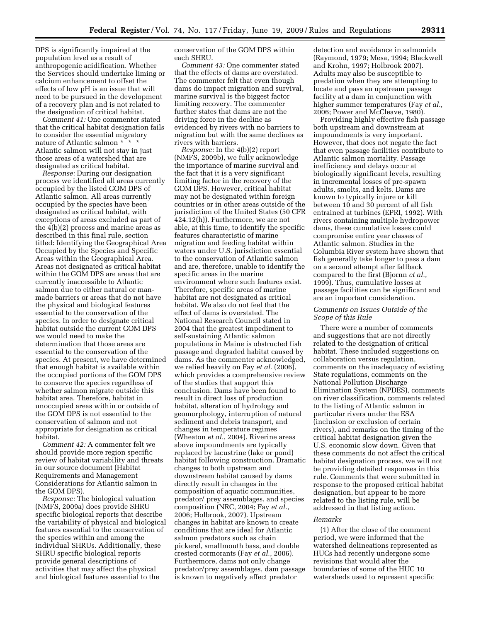DPS is significantly impaired at the population level as a result of anthropogenic acidification. Whether the Services should undertake liming or calcium enhancement to offset the effects of low pH is an issue that will need to be pursued in the development of a recovery plan and is not related to the designation of critical habitat.

*Comment 41:* One commenter stated that the critical habitat designation fails to consider the essential migratory nature of Atlantic salmon \* \* \* Atlantic salmon will not stay in just those areas of a watershed that are designated as critical habitat.

*Response:* During our designation process we identified all areas currently occupied by the listed GOM DPS of Atlantic salmon. All areas currently occupied by the species have been designated as critical habitat, with exceptions of areas excluded as part of the 4(b)(2) process and marine areas as described in this final rule, section titled: Identifying the Geographical Area Occupied by the Species and Specific Areas within the Geographical Area. Areas not designated as critical habitat within the GOM DPS are areas that are currently inaccessible to Atlantic salmon due to either natural or manmade barriers or areas that do not have the physical and biological features essential to the conservation of the species. In order to designate critical habitat outside the current GOM DPS we would need to make the determination that those areas are essential to the conservation of the species. At present, we have determined that enough habitat is available within the occupied portions of the GOM DPS to conserve the species regardless of whether salmon migrate outside this habitat area. Therefore, habitat in unoccupied areas within or outside of the GOM DPS is not essential to the conservation of salmon and not appropriate for designation as critical habitat.

*Comment 42:* A commenter felt we should provide more region specific review of habitat variability and threats in our source document (Habitat Requirements and Management Considerations for Atlantic salmon in the GOM DPS).

*Response:* The biological valuation (NMFS, 2009a) does provide SHRU specific biological reports that describe the variability of physical and biological features essential to the conservation of the species within and among the individual SHRUs. Additionally, these SHRU specific biological reports provide general descriptions of activities that may affect the physical and biological features essential to the

conservation of the GOM DPS within each SHRU.

*Comment 43:* One commenter stated that the effects of dams are overstated. The commenter felt that even though dams do impact migration and survival, marine survival is the biggest factor limiting recovery. The commenter further states that dams are not the driving force in the decline as evidenced by rivers with no barriers to migration but with the same declines as rivers with barriers.

*Response:* In the 4(b)(2) report (NMFS, 2009b), we fully acknowledge the importance of marine survival and the fact that it is a very significant limiting factor in the recovery of the GOM DPS. However, critical habitat may not be designated within foreign countries or in other areas outside of the jurisdiction of the United States (50 CFR 424.12(h)). Furthermore, we are not able, at this time, to identify the specific features characteristic of marine migration and feeding habitat within waters under U.S. jurisdiction essential to the conservation of Atlantic salmon and are, therefore, unable to identify the specific areas in the marine environment where such features exist. Therefore, specific areas of marine habitat are not designated as critical habitat. We also do not feel that the effect of dams is overstated. The National Research Council stated in 2004 that the greatest impediment to self-sustaining Atlantic salmon populations in Maine is obstructed fish passage and degraded habitat caused by dams. As the commenter acknowledged, we relied heavily on Fay *et al.* (2006), which provides a comprehensive review of the studies that support this conclusion. Dams have been found to result in direct loss of production habitat, alteration of hydrology and geomorphology, interruption of natural sediment and debris transport, and changes in temperature regimes (Wheaton *et al.*, 2004). Riverine areas above impoundments are typically replaced by lacustrine (lake or pond) habitat following construction. Dramatic changes to both upstream and downstream habitat caused by dams directly result in changes in the composition of aquatic communities, predator/ prey assemblages, and species composition (NRC, 2004; Fay *et al.*, 2006; Holbrook, 2007). Upstream changes in habitat are known to create conditions that are ideal for Atlantic salmon predators such as chain pickerel, smallmouth bass, and double crested cormorants (Fay *et al.*, 2006). Furthermore, dams not only change predator/prey assemblages, dam passage is known to negatively affect predator

detection and avoidance in salmonids (Raymond, 1979; Mesa, 1994; Blackwell and Krohn, 1997; Holbrook 2007). Adults may also be susceptible to predation when they are attempting to locate and pass an upstream passage facility at a dam in conjunction with higher summer temperatures (Fay *et al.*, 2006; Power and McCleave, 1980).

Providing highly effective fish passage both upstream and downstream at impoundments is very important. However, that does not negate the fact that even passage facilities contribute to Atlantic salmon mortality. Passage inefficiency and delays occur at biologically significant levels, resulting in incremental losses of pre-spawn adults, smolts, and kelts. Dams are known to typically injure or kill between 10 and 30 percent of all fish entrained at turbines (EPRI, 1992). With rivers containing multiple hydropower dams, these cumulative losses could compromise entire year classes of Atlantic salmon. Studies in the Columbia River system have shown that fish generally take longer to pass a dam on a second attempt after fallback compared to the first (Bjornn *et al.*, 1999). Thus, cumulative losses at passage facilities can be significant and are an important consideration.

# *Comments on Issues Outside of the Scope of this Rule*

There were a number of comments and suggestions that are not directly related to the designation of critical habitat. These included suggestions on collaboration versus regulation, comments on the inadequacy of existing State regulations, comments on the National Pollution Discharge Elimination System (NPDES), comments on river classification, comments related to the listing of Atlantic salmon in particular rivers under the ESA (inclusion or exclusion of certain rivers), and remarks on the timing of the critical habitat designation given the U.S. economic slow down. Given that these comments do not affect the critical habitat designation process, we will not be providing detailed responses in this rule. Comments that were submitted in response to the proposed critical habitat designation, but appear to be more related to the listing rule, will be addressed in that listing action.

# *Remarks*

(1) After the close of the comment period, we were informed that the watershed delineations represented as HUCs had recently undergone some revisions that would alter the boundaries of some of the HUC 10 watersheds used to represent specific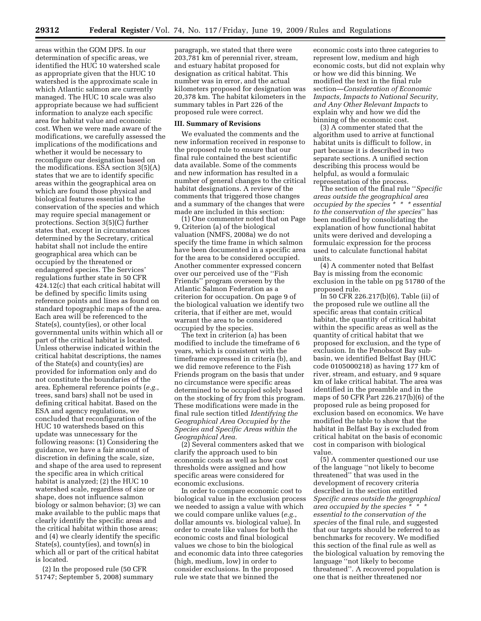areas within the GOM DPS. In our determination of specific areas, we identified the HUC 10 watershed scale as appropriate given that the HUC 10 watershed is the approximate scale in which Atlantic salmon are currently managed. The HUC 10 scale was also appropriate because we had sufficient information to analyze each specific area for habitat value and economic cost. When we were made aware of the modifications, we carefully assessed the implications of the modifications and whether it would be necessary to reconfigure our designation based on the modifications. ESA section 3(5)(A) states that we are to identify specific areas within the geographical area on which are found those physical and biological features essential to the conservation of the species and which may require special management or protections. Section 3(5)(C) further states that, except in circumstances determined by the Secretary, critical habitat shall not include the entire geographical area which can be occupied by the threatened or endangered species. The Services' regulations further state in 50 CFR 424.12(c) that each critical habitat will be defined by specific limits using reference points and lines as found on standard topographic maps of the area. Each area will be referenced to the State(s), county(ies), or other local governmental units within which all or part of the critical habitat is located. Unless otherwise indicated within the critical habitat descriptions, the names of the State(s) and county(ies) are provided for information only and do not constitute the boundaries of the area. Ephemeral reference points (*e.g.*, trees, sand bars) shall not be used in defining critical habitat. Based on the ESA and agency regulations, we concluded that reconfiguration of the HUC 10 watersheds based on this update was unnecessary for the following reasons: (1) Considering the guidance, we have a fair amount of discretion in defining the scale, size, and shape of the area used to represent the specific area in which critical habitat is analyzed; (2) the HUC 10 watershed scale, regardless of size or shape, does not influence salmon biology or salmon behavior; (3) we can make available to the public maps that clearly identify the specific areas and the critical habitat within those areas; and (4) we clearly identify the specific State(s), county(ies), and town(s) in which all or part of the critical habitat is located.

(2) In the proposed rule (50 CFR 51747; September 5, 2008) summary paragraph, we stated that there were 203,781 km of perennial river, stream, and estuary habitat proposed for designation as critical habitat. This number was in error, and the actual kilometers proposed for designation was 20,378 km. The habitat kilometers in the summary tables in Part 226 of the proposed rule were correct.

# **III. Summary of Revisions**

We evaluated the comments and the new information received in response to the proposed rule to ensure that our final rule contained the best scientific data available. Some of the comments and new information has resulted in a number of general changes to the critical habitat designations. A review of the comments that triggered those changes and a summary of the changes that were made are included in this section:

(1) One commenter noted that on Page 9, Criterion (a) of the biological valuation (NMFS, 2008a) we do not specify the time frame in which salmon have been documented in a specific area for the area to be considered occupied. Another commenter expressed concern over our perceived use of the ''Fish Friends'' program overseen by the Atlantic Salmon Federation as a criterion for occupation. On page 9 of the biological valuation we identify two criteria, that if either are met, would warrant the area to be considered occupied by the species.

The text in criterion (a) has been modified to include the timeframe of 6 years, which is consistent with the timeframe expressed in criteria (b), and we did remove reference to the Fish Friends program on the basis that under no circumstance were specific areas determined to be occupied solely based on the stocking of fry from this program. These modifications were made in the final rule section titled *Identifying the Geographical Area Occupied by the Species and Specific Areas within the Geographical Area.* 

(2) Several commenters asked that we clarify the approach used to bin economic costs as well as how cost thresholds were assigned and how specific areas were considered for economic exclusions.

In order to compare economic cost to biological value in the exclusion process we needed to assign a value with which we could compare unlike values (*e.g.*, dollar amounts vs. biological value). In order to create like values for both the economic costs and final biological values we chose to bin the biological and economic data into three categories (high, medium, low) in order to consider exclusions. In the proposed rule we state that we binned the

economic costs into three categories to represent low, medium and high economic costs, but did not explain why or how we did this binning. We modified the text in the final rule section—*Consideration of Economic Impacts, Impacts to National Security, and Any Other Relevant Impacts* to explain why and how we did the binning of the economic cost.

(3) A commenter stated that the algorithm used to arrive at functional habitat units is difficult to follow, in part because it is described in two separate sections. A unified section describing this process would be helpful, as would a formulaic representation of the process.

The section of the final rule ''*Specific areas outside the geographical area occupied by the species \* \* \* essential to the conservation of the species*'' has been modified by consolidating the explanation of how functional habitat units were derived and developing a formulaic expression for the process used to calculate functional habitat units.

(4) A commenter noted that Belfast Bay is missing from the economic exclusion in the table on pg 51780 of the proposed rule.

In 50 CFR 226.217(b)(6), Table (ii) of the proposed rule we outline all the specific areas that contain critical habitat, the quantity of critical habitat within the specific areas as well as the quantity of critical habitat that we proposed for exclusion, and the type of exclusion. In the Penobscot Bay subbasin, we identified Belfast Bay (HUC code 0105000218) as having 177 km of river, stream, and estuary, and 9 square km of lake critical habitat. The area was identified in the preamble and in the maps of 50 CFR Part 226.217(b)(6) of the proposed rule as being proposed for exclusion based on economics. We have modified the table to show that the habitat in Belfast Bay is excluded from critical habitat on the basis of economic cost in comparison with biological value.

(5) A commenter questioned our use of the language ''not likely to become threatened'' that was used in the development of recovery criteria described in the section entitled *Specific areas outside the geographical area occupied by the species \* \* \* essential to the conservation of the species* of the final rule, and suggested that our targets should be referred to as benchmarks for recovery. We modified this section of the final rule as well as the biological valuation by removing the language ''not likely to become threatened''. A recovered population is one that is neither threatened nor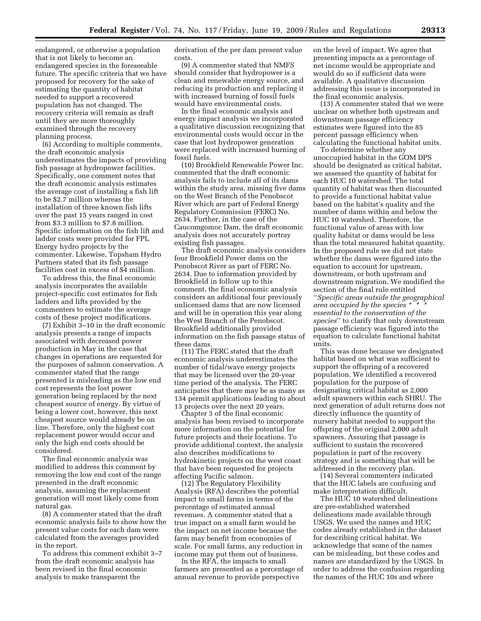endangered, or otherwise a population that is not likely to become an endangered species in the foreseeable future. The specific criteria that we have proposed for recovery for the sake of estimating the quantity of habitat needed to support a recovered population has not changed. The recovery criteria will remain as draft until they are more thoroughly examined through the recovery planning process.

(6) According to multiple comments, the draft economic analysis underestimates the impacts of providing fish passage at hydropower facilities. Specifically, one comment notes that the draft economic analysis estimates the average cost of installing a fish lift to be \$2.7 million whereas the installation of three known fish lifts over the past 15 years ranged in cost from \$3.3 million to \$7.8 million. Specific information on the fish lift and ladder costs were provided for FPL Energy hydro projects by the commenter. Likewise, Topsham Hydro Partners stated that its fish passage facilities cost in excess of \$4 million.

To address this, the final economic analysis incorporates the available project-specific cost estimates for fish ladders and lifts provided by the commenters to estimate the average costs of these project modifications.

(7) Exhibit 3–10 in the draft economic analysis presents a range of impacts associated with decreased power production in May in the case that changes in operations are requested for the purposes of salmon conservation. A commenter stated that the range presented is misleading as the low end cost represents the lost power generation being replaced by the next cheapest source of energy. By virtue of being a lower cost, however, this next cheapest source would already be on line. Therefore, only the highest cost replacement power would occur and only the high end costs should be considered.

The final economic analysis was modified to address this comment by removing the low end cost of the range presented in the draft economic analysis, assuming the replacement generation will most likely come from natural gas.

(8) A commenter stated that the draft economic analysis fails to show how the present value costs for each dam were calculated from the averages provided in the report.

To address this comment exhibit 3–7 from the draft economic analysis has been revised in the final economic analysis to make transparent the

derivation of the per dam present value costs.

(9) A commenter stated that NMFS should consider that hydropower is a clean and renewable energy source, and reducing its production and replacing it with increased burning of fossil fuels would have environmental costs.

In the final economic analysis and energy impact analysis we incorporated a qualitative discussion recognizing that environmental costs would occur in the case that lost hydropower generation were replaced with increased burning of fossil fuels.

(10) Brookfield Renewable Power Inc. commented that the draft economic analysis fails to include all of its dams within the study area, missing five dams on the West Branch of the Penobscot River which are part of Federal Energy Regulatory Commission (FERC) No. 2634. Further, in the case of the Caucomgomoc Dam, the draft economic analysis does not accurately portray existing fish passages.

The draft economic analysis considers four Brookfield Power dams on the Penobscot River as part of FERC No. 2634. Due to information provided by Brookfield in follow up to this comment, the final economic analysis considers an additional four previously unlicensed dams that are now licensed and will be in operation this year along the West Branch of the Penobscot. Brookfield additionally provided information on the fish passage status of these dams.

(11) The FERC stated that the draft economic analysis underestimates the number of tidal/wave energy projects that may be licensed over the 20-year time period of the analysis. The FERC anticipates that there may be as many as 134 permit applications leading to about 13 projects over the next 20 years.

Chapter 3 of the final economic analysis has been revised to incorporate more information on the potential for future projects and their locations. To provide additional context, the analysis also describes modifications to hydrokinetic projects on the west coast that have been requested for projects affecting Pacific salmon.

(12) The Regulatory Flexibility Analysis (RFA) describes the potential impact to small farms in terms of the percentage of estimated annual revenues. A commenter stated that a true impact on a small farm would be the impact on net income because the farm may benefit from economies of scale. For small farms, any reduction in income may put them out of business.

In the RFA, the impacts to small farmers are presented as a percentage of annual revenue to provide perspective

on the level of impact. We agree that presenting impacts as a percentage of net income would be appropriate and would do so if sufficient data were available. A qualitative discussion addressing this issue is incorporated in the final economic analysis.

(13) A commenter stated that we were unclear on whether both upstream and downstream passage efficiency estimates were figured into the 85 percent passage efficiency when calculating the functional habitat units.

To determine whether any unoccupied habitat in the GOM DPS should be designated as critical habitat, we assessed the quantity of habitat for each HUC 10 watershed. The total quantity of habitat was then discounted to provide a functional habitat value based on the habitat's quality and the number of dams within and below the HUC 10 watershed. Therefore, the functional value of areas with low quality habitat or dams would be less than the total measured habitat quantity. In the proposed rule we did not state whether the dams were figured into the equation to account for upstream, downstream, or both upstream and downstream migration. We modified the section of the final rule entitled ''*Specific areas outside the geographical area occupied by the species \* \* \* essential to the conservation of the species*'' to clarify that only downstream passage efficiency was figured into the equation to calculate functional habitat units.

This was done because we designated habitat based on what was sufficient to support the offspring of a recovered population. We identified a recovered population for the purpose of designating critical habitat as 2,000 adult spawners within each SHRU. The next generation of adult returns does not directly influence the quantity of nursery habitat needed to support the offspring of the original 2,000 adult spawners. Assuring that passage is sufficient to sustain the recovered population is part of the recovery strategy and is something that will be addressed in the recovery plan.

(14) Several commenters indicated that the HUC labels are confusing and make interpretation difficult.

The HUC 10 watershed delineations are pre-established watershed delineations made available through USGS. We used the names and HUC codes already established in the dataset for describing critical habitat. We acknowledge that some of the names can be misleading, but these codes and names are standardized by the USGS. In order to address the confusion regarding the names of the HUC 10s and where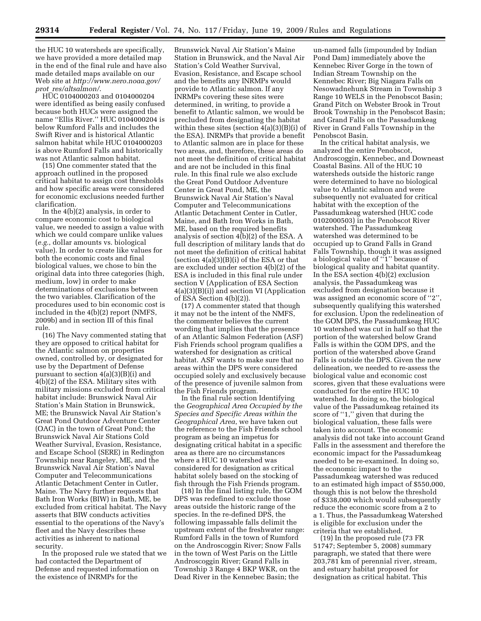the HUC 10 watersheds are specifically, we have provided a more detailed map in the end of the final rule and have also made detailed maps available on our Web site at *[http://www.nero.noaa.gov/](http://www.nero.noaa.gov/prot_res/altsalmon/)  prot*\_*res/altsalmon/*.

HUC 0104000203 and 0104000204 were identified as being easily confused because both HUCs were assigned the name ''Ellis River.'' HUC 0104000204 is below Rumford Falls and includes the Swift River and is historical Atlantic salmon habitat while HUC 0104000203 is above Rumford Falls and historically was not Atlantic salmon habitat.

(15) One commenter stated that the approach outlined in the proposed critical habitat to assign cost thresholds and how specific areas were considered for economic exclusions needed further clarification.

In the 4(b)(2) analysis, in order to compare economic cost to biological value, we needed to assign a value with which we could compare unlike values (*e.g.*, dollar amounts vs. biological value). In order to create like values for both the economic costs and final biological values, we chose to bin the original data into three categories (high, medium, low) in order to make determinations of exclusions between the two variables. Clarification of the procedures used to bin economic cost is included in the 4(b)(2) report (NMFS, 2009b) and in section III of this final rule.

(16) The Navy commented stating that they are opposed to critical habitat for the Atlantic salmon on properties owned, controlled by, or designated for use by the Department of Defense pursuant to section 4(a)(3)(B)(i) and 4(b)(2) of the ESA. Military sites with military missions excluded from critical habitat include: Brunswick Naval Air Station's Main Station in Brunswick, ME; the Brunswick Naval Air Station's Great Pond Outdoor Adventure Center (OAC) in the town of Great Pond; the Brunswick Naval Air Stations Cold Weather Survival, Evasion, Resistance, and Escape School (SERE) in Redington Township near Rangeley, ME, and the Brunswick Naval Air Station's Naval Computer and Telecommunications Atlantic Detachment Center in Cutler, Maine. The Navy further requests that Bath Iron Works (BIW) in Bath, ME, be excluded from critical habitat. The Navy asserts that BIW conducts activities essential to the operations of the Navy's fleet and the Navy describes these activities as inherent to national security.

In the proposed rule we stated that we had contacted the Department of Defense and requested information on the existence of INRMPs for the

Brunswick Naval Air Station's Maine Station in Brunswick, and the Naval Air Station's Cold Weather Survival, Evasion, Resistance, and Escape school and the benefits any INRMPs would provide to Atlantic salmon. If any INRMPs covering these sites were determined, in writing, to provide a benefit to Atlantic salmon, we would be precluded from designating the habitat within these sites (section 4(a)(3)(B)(i) of the ESA). INRMPs that provide a benefit to Atlantic salmon are in place for these two areas, and, therefore, these areas do not meet the definition of critical habitat and are not be included in this final rule. In this final rule we also exclude the Great Pond Outdoor Adventure Center in Great Pond, ME, the Brunswick Naval Air Station's Naval Computer and Telecommunications Atlantic Detachment Center in Cutler, Maine, and Bath Iron Works in Bath, ME, based on the required benefits analysis of section  $4(b)(2)$  of the ESA. A full description of military lands that do not meet the definition of critical habitat (section 4(a)(3)(B)(i) of the ESA or that are excluded under section 4(b)(2) of the ESA is included in this final rule under section V (Application of ESA Section 4(a)(3)(B)(i)) and section VI (Application of ESA Section 4(b)(2)).

(17) A commenter stated that though it may not be the intent of the NMFS, the commenter believes the current wording that implies that the presence of an Atlantic Salmon Federation (ASF) Fish Friends school program qualifies a watershed for designation as critical habitat. ASF wants to make sure that no areas within the DPS were considered occupied solely and exclusively because of the presence of juvenile salmon from the Fish Friends program.

In the final rule section Identifying the *Geographical Area Occupied by the Species and Specific Areas within the Geographical Area*, we have taken out the reference to the Fish Friends school program as being an impetus for designating critical habitat in a specific area as there are no circumstances where a HUC 10 watershed was considered for designation as critical habitat solely based on the stocking of fish through the Fish Friends program.

(18) In the final listing rule, the GOM DPS was redefined to exclude those areas outside the historic range of the species. In the re-defined DPS, the following impassable falls delimit the upstream extent of the freshwater range: Rumford Falls in the town of Rumford on the Androscoggin River; Snow Falls in the town of West Paris on the Little Androscoggin River; Grand Falls in Township 3 Range 4 BKP WKR, on the Dead River in the Kennebec Basin; the

un-named falls (impounded by Indian Pond Dam) immediately above the Kennebec River Gorge in the town of Indian Stream Township on the Kennebec River; Big Niagara Falls on Nesowadnehunk Stream in Township 3 Range 10 WELS in the Penobscot Basin; Grand Pitch on Webster Brook in Trout Brook Township in the Penobscot Basin; and Grand Falls on the Passadumkeag River in Grand Falls Township in the Penobscot Basin.

In the critical habitat analysis, we analyzed the entire Penobscot, Androscoggin, Kennebec, and Downeast Coastal Basins. All of the HUC 10 watersheds outside the historic range were determined to have no biological value to Atlantic salmon and were subsequently not evaluated for critical habitat with the exception of the Passadumkeag watershed (HUC code 0102000503) in the Penobscot River watershed. The Passadumkeag watershed was determined to be occupied up to Grand Falls in Grand Falls Township, though it was assigned a biological value of "1" because of biological quality and habitat quantity. In the ESA section 4(b)(2) exclusion analysis, the Passadumkeag was excluded from designation because it was assigned an economic score of "2" subsequently qualifying this watershed for exclusion. Upon the redelineation of the GOM DPS, the Passadumkeag HUC 10 watershed was cut in half so that the portion of the watershed below Grand Falls is within the GOM DPS, and the portion of the watershed above Grand Falls is outside the DPS. Given the new delineation, we needed to re-assess the biological value and economic cost scores, given that these evaluations were conducted for the entire HUC 10 watershed. In doing so, the biological value of the Passadumkeag retained its score of ''1,'' given that during the biological valuation, these falls were taken into account. The economic analysis did not take into account Grand Falls in the assessment and therefore the economic impact for the Passadumkeag needed to be re-examined. In doing so, the economic impact to the Passadumkeag watershed was reduced to an estimated high impact of \$550,000, though this is not below the threshold of \$338,000 which would subsequently reduce the economic score from a 2 to a 1. Thus, the Passadumkeag Watershed is eligible for exclusion under the criteria that we established.

(19) In the proposed rule (73 FR 51747; September 5, 2008) summary paragraph, we stated that there were 203,781 km of perennial river, stream, and estuary habitat proposed for designation as critical habitat. This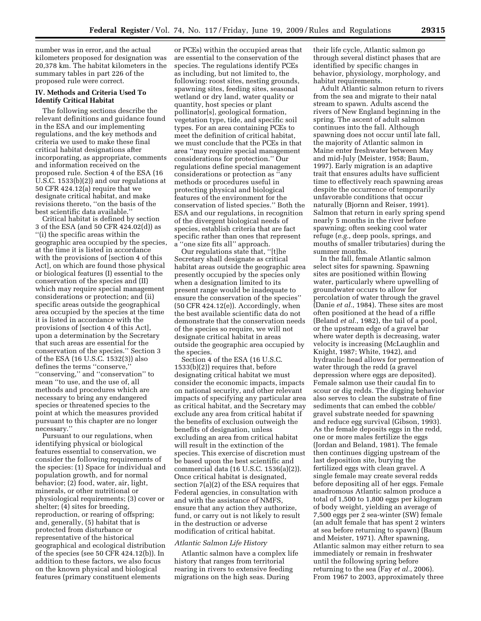number was in error, and the actual kilometers proposed for designation was 20,378 km. The habitat kilometers in the summary tables in part 226 of the proposed rule were correct.

# **IV. Methods and Criteria Used To Identify Critical Habitat**

The following sections describe the relevant definitions and guidance found in the ESA and our implementing regulations, and the key methods and criteria we used to make these final critical habitat designations after incorporating, as appropriate, comments and information received on the proposed rule. Section 4 of the ESA (16 U.S.C. 1533(b)(2)) and our regulations at 50 CFR 424.12(a) require that we designate critical habitat, and make revisions thereto, ''on the basis of the best scientific data available.''

Critical habitat is defined by section 3 of the ESA (and 50 CFR 424.02(d)) as ''(i) the specific areas within the geographic area occupied by the species, at the time it is listed in accordance with the provisions of [section 4 of this Act], on which are found those physical or biological features (I) essential to the conservation of the species and (II) which may require special management considerations or protection; and (ii) specific areas outside the geographical area occupied by the species at the time it is listed in accordance with the provisions of [section 4 of this Act], upon a determination by the Secretary that such areas are essential for the conservation of the species.'' Section 3 of the ESA (16 U.S.C. 1532(3)) also defines the terms ''conserve,'' ''conserving,'' and ''conservation'' to mean ''to use, and the use of, all methods and procedures which are necessary to bring any endangered species or threatened species to the point at which the measures provided pursuant to this chapter are no longer necessary.''

Pursuant to our regulations, when identifying physical or biological features essential to conservation, we consider the following requirements of the species: (1) Space for individual and population growth, and for normal behavior; (2) food, water, air, light, minerals, or other nutritional or physiological requirements; (3) cover or shelter; (4) sites for breeding, reproduction, or rearing of offspring; and, generally, (5) habitat that is protected from disturbance or representative of the historical geographical and ecological distribution of the species (see 50 CFR 424.12(b)). In addition to these factors, we also focus on the known physical and biological features (primary constituent elements

or PCEs) within the occupied areas that are essential to the conservation of the species. The regulations identify PCEs as including, but not limited to, the following: roost sites, nesting grounds, spawning sites, feeding sites, seasonal wetland or dry land, water quality or quantity, host species or plant pollinator[s], geological formation, vegetation type, tide, and specific soil types. For an area containing PCEs to meet the definition of critical habitat, we must conclude that the PCEs in that area ''may require special management considerations for protection.'' Our regulations define special management considerations or protection as ''any methods or procedures useful in protecting physical and biological features of the environment for the conservation of listed species.'' Both the ESA and our regulations, in recognition of the divergent biological needs of species, establish criteria that are fact specific rather than ones that represent a ''one size fits all'' approach.

Our regulations state that, ''[t]he Secretary shall designate as critical habitat areas outside the geographic area presently occupied by the species only when a designation limited to its present range would be inadequate to ensure the conservation of the species'' (50 CFR 424.12(e)). Accordingly, when the best available scientific data do not demonstrate that the conservation needs of the species so require, we will not designate critical habitat in areas outside the geographic area occupied by the species.

Section 4 of the ESA (16 U.S.C. 1533(b)(2)) requires that, before designating critical habitat we must consider the economic impacts, impacts on national security, and other relevant impacts of specifying any particular area as critical habitat, and the Secretary may exclude any area from critical habitat if the benefits of exclusion outweigh the benefits of designation, unless excluding an area from critical habitat will result in the extinction of the species. This exercise of discretion must be based upon the best scientific and commercial data (16 U.S.C. 1536(a)(2)). Once critical habitat is designated, section 7(a)(2) of the ESA requires that Federal agencies, in consultation with and with the assistance of NMFS, ensure that any action they authorize, fund, or carry out is not likely to result in the destruction or adverse modification of critical habitat.

## *Atlantic Salmon Life History*

Atlantic salmon have a complex life history that ranges from territorial rearing in rivers to extensive feeding migrations on the high seas. During

their life cycle, Atlantic salmon go through several distinct phases that are identified by specific changes in behavior, physiology, morphology, and habitat requirements.

Adult Atlantic salmon return to rivers from the sea and migrate to their natal stream to spawn. Adults ascend the rivers of New England beginning in the spring. The ascent of adult salmon continues into the fall. Although spawning does not occur until late fall, the majority of Atlantic salmon in Maine enter freshwater between May and mid-July (Meister, 1958; Baum, 1997). Early migration is an adaptive trait that ensures adults have sufficient time to effectively reach spawning areas despite the occurrence of temporarily unfavorable conditions that occur naturally (Bjornn and Reiser, 1991). Salmon that return in early spring spend nearly 5 months in the river before spawning; often seeking cool water refuge (*e.g.*, deep pools, springs, and mouths of smaller tributaries) during the summer months.

In the fall, female Atlantic salmon select sites for spawning. Spawning sites are positioned within flowing water, particularly where upwelling of groundwater occurs to allow for percolation of water through the gravel (Danie *et al.*, 1984). These sites are most often positioned at the head of a riffle (Beland *et al.*, 1982), the tail of a pool, or the upstream edge of a gravel bar where water depth is decreasing, water velocity is increasing (McLaughlin and Knight, 1987; White, 1942), and hydraulic head allows for permeation of water through the redd (a gravel depression where eggs are deposited). Female salmon use their caudal fin to scour or dig redds. The digging behavior also serves to clean the substrate of fine sediments that can embed the cobble/ gravel substrate needed for spawning and reduce egg survival (Gibson, 1993). As the female deposits eggs in the redd, one or more males fertilize the eggs (Jordan and Beland, 1981). The female then continues digging upstream of the last deposition site, burying the fertilized eggs with clean gravel. A single female may create several redds before depositing all of her eggs. Female anadromous Atlantic salmon produce a total of 1,500 to 1,800 eggs per kilogram of body weight, yielding an average of 7,500 eggs per 2 sea-winter (SW) female (an adult female that has spent 2 winters at sea before returning to spawn) (Baum and Meister, 1971). After spawning, Atlantic salmon may either return to sea immediately or remain in freshwater until the following spring before returning to the sea (Fay *et al.*, 2006). From 1967 to 2003, approximately three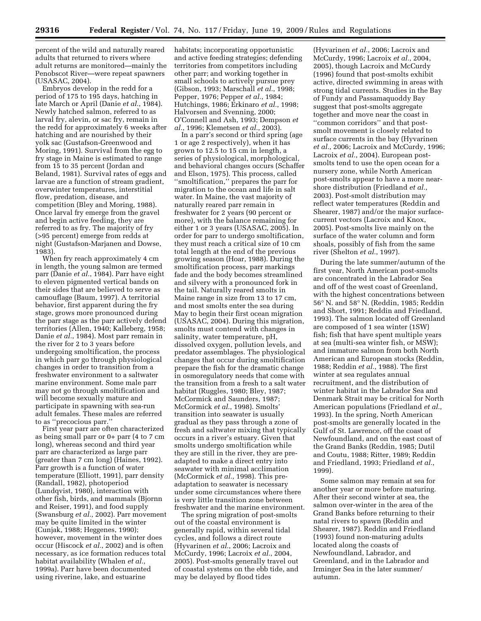percent of the wild and naturally reared adults that returned to rivers where adult returns are monitored—mainly the Penobscot River—were repeat spawners (USASAC, 2004).

Embryos develop in the redd for a period of 175 to 195 days, hatching in late March or April (Danie *et al.*, 1984). Newly hatched salmon, referred to as larval fry, alevin, or sac fry, remain in the redd for approximately 6 weeks after hatching and are nourished by their yolk sac (Gustafson-Greenwood and Moring, 1991). Survival from the egg to fry stage in Maine is estimated to range from 15 to 35 percent (Jordan and Beland, 1981). Survival rates of eggs and larvae are a function of stream gradient, overwinter temperatures, interstitial flow, predation, disease, and competition (Bley and Moring, 1988). Once larval fry emerge from the gravel and begin active feeding, they are referred to as fry. The majority of fry (>95 percent) emerge from redds at night (Gustafson-Marjanen and Dowse, 1983).

When fry reach approximately 4 cm in length, the young salmon are termed parr (Danie *et al.*, 1984). Parr have eight to eleven pigmented vertical bands on their sides that are believed to serve as camouflage (Baum, 1997). A territorial behavior, first apparent during the fry stage, grows more pronounced during the parr stage as the parr actively defend territories (Allen, 1940; Kalleberg, 1958; Danie *et al.*, 1984). Most parr remain in the river for 2 to 3 years before undergoing smoltification, the process in which parr go through physiological changes in order to transition from a freshwater environment to a saltwater marine environment. Some male parr may not go through smoltification and will become sexually mature and participate in spawning with sea-run adult females. These males are referred to as ''precocious parr.''

First year parr are often characterized as being small parr or 0+ parr (4 to 7 cm long), whereas second and third year parr are characterized as large parr (greater than 7 cm long) (Haines, 1992). Parr growth is a function of water temperature (Elliott, 1991), parr density (Randall, 1982), photoperiod (Lundqvist, 1980), interaction with other fish, birds, and mammals (Bjornn and Reiser, 1991), and food supply (Swansburg *et al.*, 2002). Parr movement may be quite limited in the winter (Cunjak, 1988; Heggenes, 1990); however, movement in the winter does occur (Hiscock *et al.*, 2002) and is often necessary, as ice formation reduces total habitat availability (Whalen *et al.*, 1999a). Parr have been documented using riverine, lake, and estuarine

habitats; incorporating opportunistic and active feeding strategies; defending territories from competitors including other parr; and working together in small schools to actively pursue prey (Gibson, 1993; Marschall *et al.*, 1998; Pepper, 1976; Pepper *et al.*, 1984; Hutchings, 1986; Erkinaro *et al.*, 1998; Halvorsen and Svenning, 2000; O'Connell and Ash, 1993; Dempson *et al.*, 1996; Klemetsen *et al.*, 2003).

In a parr's second or third spring (age 1 or age 2 respectively), when it has grown to 12.5 to 15 cm in length, a series of physiological, morphological, and behavioral changes occurs (Schaffer and Elson, 1975). This process, called ''smoltification,'' prepares the parr for migration to the ocean and life in salt water. In Maine, the vast majority of naturally reared parr remain in freshwater for 2 years (90 percent or more), with the balance remaining for either 1 or 3 years (USASAC, 2005). In order for parr to undergo smoltification, they must reach a critical size of 10 cm total length at the end of the previous growing season (Hoar, 1988). During the smoltification process, parr markings fade and the body becomes streamlined and silvery with a pronounced fork in the tail. Naturally reared smolts in Maine range in size from 13 to 17 cm, and most smolts enter the sea during May to begin their first ocean migration (USASAC, 2004). During this migration, smolts must contend with changes in salinity, water temperature, pH, dissolved oxygen, pollution levels, and predator assemblages. The physiological changes that occur during smoltification prepare the fish for the dramatic change in osmoregulatory needs that come with the transition from a fresh to a salt water habitat (Ruggles, 1980; Bley, 1987; McCormick and Saunders, 1987; McCormick *et al.*, 1998). Smolts' transition into seawater is usually gradual as they pass through a zone of fresh and saltwater mixing that typically occurs in a river's estuary. Given that smolts undergo smoltification while they are still in the river, they are preadapted to make a direct entry into seawater with minimal acclimation (McCormick *et al.*, 1998). This preadaptation to seawater is necessary under some circumstances where there is very little transition zone between freshwater and the marine environment.

The spring migration of post-smolts out of the coastal environment is generally rapid, within several tidal cycles, and follows a direct route (Hyvarinen *et al.*, 2006; Lacroix and McCurdy, 1996; Lacroix *et al.*, 2004, 2005). Post-smolts generally travel out of coastal systems on the ebb tide, and may be delayed by flood tides

(Hyvarinen *et al.*, 2006; Lacroix and McCurdy, 1996; Lacroix *et al.*, 2004, 2005), though Lacroix and McCurdy (1996) found that post-smolts exhibit active, directed swimming in areas with strong tidal currents. Studies in the Bay of Fundy and Passamaquoddy Bay suggest that post-smolts aggregate together and move near the coast in ''common corridors'' and that postsmolt movement is closely related to surface currents in the bay (Hyvarinen *et al.*, 2006; Lacroix and McCurdy, 1996; Lacroix *et al.*, 2004). European postsmolts tend to use the open ocean for a nursery zone, while North American post-smolts appear to have a more nearshore distribution (Friedland *et al.*, 2003). Post-smolt distribution may reflect water temperatures (Reddin and Shearer, 1987) and/or the major surfacecurrent vectors (Lacroix and Knox, 2005). Post-smolts live mainly on the surface of the water column and form shoals, possibly of fish from the same river (Shelton *et al.*, 1997).

During the late summer/autumn of the first year, North American post-smolts are concentrated in the Labrador Sea and off of the west coast of Greenland, with the highest concentrations between 56° N. and 58° N. (Reddin, 1985; Reddin and Short, 1991; Reddin and Friedland, 1993). The salmon located off Greenland are composed of 1 sea winter (1SW) fish; fish that have spent multiple years at sea (multi-sea winter fish, or MSW); and immature salmon from both North American and European stocks (Reddin, 1988; Reddin *et al.*, 1988). The first winter at sea regulates annual recruitment, and the distribution of winter habitat in the Labrador Sea and Denmark Strait may be critical for North American populations (Friedland *et al.*, 1993). In the spring, North American post-smolts are generally located in the Gulf of St. Lawrence, off the coast of Newfoundland, and on the east coast of the Grand Banks (Reddin, 1985; Dutil and Coutu, 1988; Ritter, 1989; Reddin and Friedland, 1993; Friedland *et al.*, 1999).

Some salmon may remain at sea for another year or more before maturing. After their second winter at sea, the salmon over-winter in the area of the Grand Banks before returning to their natal rivers to spawn (Reddin and Shearer, 1987). Reddin and Friedland (1993) found non-maturing adults located along the coasts of Newfoundland, Labrador, and Greenland, and in the Labrador and Irminger Sea in the later summer/ autumn.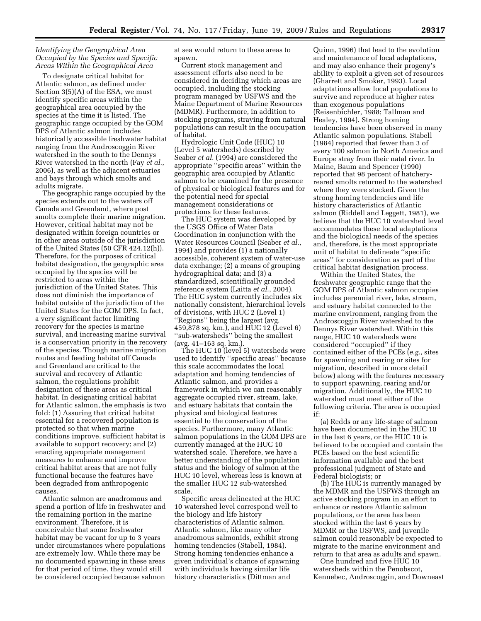# *Identifying the Geographical Area Occupied by the Species and Specific Areas Within the Geographical Area*

To designate critical habitat for Atlantic salmon, as defined under Section 3(5)(A) of the ESA, we must identify specific areas within the geographical area occupied by the species at the time it is listed. The geographic range occupied by the GOM DPS of Atlantic salmon includes historically accessible freshwater habitat ranging from the Androscoggin River watershed in the south to the Dennys River watershed in the north (Fay *et al.*, 2006), as well as the adjacent estuaries and bays through which smolts and adults migrate.

The geographic range occupied by the species extends out to the waters off Canada and Greenland, where post smolts complete their marine migration. However, critical habitat may not be designated within foreign countries or in other areas outside of the jurisdiction of the United States (50 CFR 424.12(h)). Therefore, for the purposes of critical habitat designation, the geographic area occupied by the species will be restricted to areas within the jurisdiction of the United States. This does not diminish the importance of habitat outside of the jurisdiction of the United States for the GOM DPS. In fact, a very significant factor limiting recovery for the species is marine survival, and increasing marine survival is a conservation priority in the recovery of the species. Though marine migration routes and feeding habitat off Canada and Greenland are critical to the survival and recovery of Atlantic salmon, the regulations prohibit designation of these areas as critical habitat. In designating critical habitat for Atlantic salmon, the emphasis is two fold: (1) Assuring that critical habitat essential for a recovered population is protected so that when marine conditions improve, sufficient habitat is available to support recovery; and (2) enacting appropriate management measures to enhance and improve critical habitat areas that are not fully functional because the features have been degraded from anthropogenic causes.

Atlantic salmon are anadromous and spend a portion of life in freshwater and the remaining portion in the marine environment. Therefore, it is conceivable that some freshwater habitat may be vacant for up to 3 years under circumstances where populations are extremely low. While there may be no documented spawning in these areas for that period of time, they would still be considered occupied because salmon

at sea would return to these areas to spawn.

Current stock management and assessment efforts also need to be considered in deciding which areas are occupied, including the stocking program managed by USFWS and the Maine Department of Marine Resources (MDMR). Furthermore, in addition to stocking programs, straying from natural populations can result in the occupation of habitat.

Hydrologic Unit Code (HUC) 10 (Level 5 watersheds) described by Seaber *et al.* (1994) are considered the appropriate ''specific areas'' within the geographic area occupied by Atlantic salmon to be examined for the presence of physical or biological features and for the potential need for special management considerations or protections for these features.

The HUC system was developed by the USGS Office of Water Data Coordination in conjunction with the Water Resources Council (Seaber *et al.*, 1994) and provides (1) a nationally accessible, coherent system of water-use data exchange; (2) a means of grouping hydrographical data; and (3) a standardized, scientifically grounded reference system (Laitta *et al.*, 2004). The HUC system currently includes six nationally consistent, hierarchical levels of divisions, with HUC 2 (Level 1) ''Regions'' being the largest (avg. 459,878 sq. km.), and HUC 12 (Level 6) ''sub-watersheds'' being the smallest (avg. 41–163 sq. km.).

The HUC 10 (level 5) watersheds were used to identify ''specific areas'' because this scale accommodates the local adaptation and homing tendencies of Atlantic salmon, and provides a framework in which we can reasonably aggregate occupied river, stream, lake, and estuary habitats that contain the physical and biological features essential to the conservation of the species. Furthermore, many Atlantic salmon populations in the GOM DPS are currently managed at the HUC 10 watershed scale. Therefore, we have a better understanding of the population status and the biology of salmon at the HUC 10 level, whereas less is known at the smaller HUC 12 sub-watershed scale.

Specific areas delineated at the HUC 10 watershed level correspond well to the biology and life history characteristics of Atlantic salmon. Atlantic salmon, like many other anadromous salmonids, exhibit strong homing tendencies (Stabell, 1984). Strong homing tendencies enhance a given individual's chance of spawning with individuals having similar life history characteristics (Dittman and

Quinn, 1996) that lead to the evolution and maintenance of local adaptations, and may also enhance their progeny's ability to exploit a given set of resources (Gharrett and Smoker, 1993). Local adaptations allow local populations to survive and reproduce at higher rates than exogenous populations (Reisenbichler, 1988; Tallman and Healey, 1994). Strong homing tendencies have been observed in many Atlantic salmon populations. Stabell (1984) reported that fewer than 3 of every 100 salmon in North America and Europe stray from their natal river. In Maine, Baum and Spencer (1990) reported that 98 percent of hatcheryreared smolts returned to the watershed where they were stocked. Given the strong homing tendencies and life history characteristics of Atlantic salmon (Riddell and Leggett, 1981), we believe that the HUC 10 watershed level accommodates these local adaptations and the biological needs of the species and, therefore, is the most appropriate unit of habitat to delineate ''specific areas'' for consideration as part of the critical habitat designation process.

Within the United States, the freshwater geographic range that the GOM DPS of Atlantic salmon occupies includes perennial river, lake, stream, and estuary habitat connected to the marine environment, ranging from the Androscoggin River watershed to the Dennys River watershed. Within this range, HUC 10 watersheds were considered ''occupied'' if they contained either of the PCEs (*e.g.*, sites for spawning and rearing or sites for migration, described in more detail below) along with the features necessary to support spawning, rearing and/or migration. Additionally, the HUC 10 watershed must meet either of the following criteria. The area is occupied if:

(a) Redds or any life-stage of salmon have been documented in the HUC 10 in the last 6 years, or the HUC 10 is believed to be occupied and contain the PCEs based on the best scientific information available and the best professional judgment of State and Federal biologists; or

(b) The HUC is currently managed by the MDMR and the USFWS through an active stocking program in an effort to enhance or restore Atlantic salmon populations, or the area has been stocked within the last 6 years by MDMR or the USFWS, and juvenile salmon could reasonably be expected to migrate to the marine environment and return to that area as adults and spawn.

One hundred and five HUC 10 watersheds within the Penobscot, Kennebec, Androscoggin, and Downeast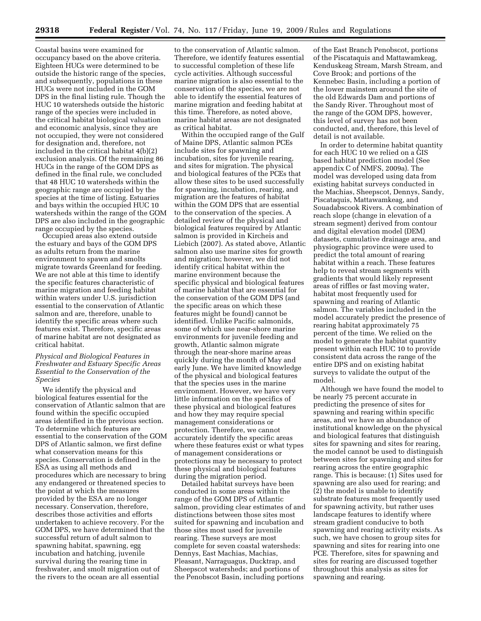Coastal basins were examined for occupancy based on the above criteria. Eighteen HUCs were determined to be outside the historic range of the species, and subsequently, populations in these HUCs were not included in the GOM DPS in the final listing rule. Though the HUC 10 watersheds outside the historic range of the species were included in the critical habitat biological valuation and economic analysis, since they are not occupied, they were not considered for designation and, therefore, not included in the critical habitat 4(b)(2) exclusion analysis. Of the remaining 86 HUCs in the range of the GOM DPS as defined in the final rule, we concluded that 48 HUC 10 watersheds within the geographic range are occupied by the species at the time of listing. Estuaries and bays within the occupied HUC 10 watersheds within the range of the GOM DPS are also included in the geographic range occupied by the species.

Occupied areas also extend outside the estuary and bays of the GOM DPS as adults return from the marine environment to spawn and smolts migrate towards Greenland for feeding. We are not able at this time to identify the specific features characteristic of marine migration and feeding habitat within waters under U.S. jurisdiction essential to the conservation of Atlantic salmon and are, therefore, unable to identify the specific areas where such features exist. Therefore, specific areas of marine habitat are not designated as critical habitat.

# *Physical and Biological Features in Freshwater and Estuary Specific Areas Essential to the Conservation of the Species*

We identify the physical and biological features essential for the conservation of Atlantic salmon that are found within the specific occupied areas identified in the previous section. To determine which features are essential to the conservation of the GOM DPS of Atlantic salmon, we first define what conservation means for this species. Conservation is defined in the ESA as using all methods and procedures which are necessary to bring any endangered or threatened species to the point at which the measures provided by the ESA are no longer necessary. Conservation, therefore, describes those activities and efforts undertaken to achieve recovery. For the GOM DPS, we have determined that the successful return of adult salmon to spawning habitat, spawning, egg incubation and hatching, juvenile survival during the rearing time in freshwater, and smolt migration out of the rivers to the ocean are all essential

to the conservation of Atlantic salmon. Therefore, we identify features essential to successful completion of these life cycle activities. Although successful marine migration is also essential to the conservation of the species, we are not able to identify the essential features of marine migration and feeding habitat at this time. Therefore, as noted above, marine habitat areas are not designated as critical habitat.

Within the occupied range of the Gulf of Maine DPS, Atlantic salmon PCEs include sites for spawning and incubation, sites for juvenile rearing, and sites for migration. The physical and biological features of the PCEs that allow these sites to be used successfully for spawning, incubation, rearing, and migration are the features of habitat within the GOM DPS that are essential to the conservation of the species. A detailed review of the physical and biological features required by Atlantic salmon is provided in Kircheis and Liebich (2007). As stated above, Atlantic salmon also use marine sites for growth and migration; however, we did not identify critical habitat within the marine environment because the specific physical and biological features of marine habitat that are essential for the conservation of the GOM DPS (and the specific areas on which these features might be found) cannot be identified. Unlike Pacific salmonids, some of which use near-shore marine environments for juvenile feeding and growth, Atlantic salmon migrate through the near-shore marine areas quickly during the month of May and early June. We have limited knowledge of the physical and biological features that the species uses in the marine environment. However, we have very little information on the specifics of these physical and biological features and how they may require special management considerations or protection. Therefore, we cannot accurately identify the specific areas where these features exist or what types of management considerations or protections may be necessary to protect these physical and biological features during the migration period.

Detailed habitat surveys have been conducted in some areas within the range of the GOM DPS of Atlantic salmon, providing clear estimates of and distinctions between those sites most suited for spawning and incubation and those sites most used for juvenile rearing. These surveys are most complete for seven coastal watersheds: Dennys, East Machias, Machias, Pleasant, Narraguagus, Ducktrap, and Sheepscot watersheds; and portions of the Penobscot Basin, including portions

of the East Branch Penobscot, portions of the Piscataquis and Mattawamkeag, Kenduskeag Stream, Marsh Stream, and Cove Brook; and portions of the Kennebec Basin, including a portion of the lower mainstem around the site of the old Edwards Dam and portions of the Sandy River. Throughout most of the range of the GOM DPS, however, this level of survey has not been conducted, and, therefore, this level of detail is not available.

In order to determine habitat quantity for each HUC 10 we relied on a GIS based habitat prediction model (See appendix C of NMFS, 2009a). The model was developed using data from existing habitat surveys conducted in the Machias, Sheepscot, Dennys, Sandy, Piscataquis, Mattawamkeag, and Souadabscook Rivers. A combination of reach slope (change in elevation of a stream segment) derived from contour and digital elevation model (DEM) datasets, cumulative drainage area, and physiographic province were used to predict the total amount of rearing habitat within a reach. These features help to reveal stream segments with gradients that would likely represent areas of riffles or fast moving water, habitat most frequently used for spawning and rearing of Atlantic salmon. The variables included in the model accurately predict the presence of rearing habitat approximately 75 percent of the time. We relied on the model to generate the habitat quantity present within each HUC 10 to provide consistent data across the range of the entire DPS and on existing habitat surveys to validate the output of the model.

Although we have found the model to be nearly 75 percent accurate in predicting the presence of sites for spawning and rearing within specific areas, and we have an abundance of institutional knowledge on the physical and biological features that distinguish sites for spawning and sites for rearing, the model cannot be used to distinguish between sites for spawning and sites for rearing across the entire geographic range. This is because: (1) Sites used for spawning are also used for rearing; and (2) the model is unable to identify substrate features most frequently used for spawning activity, but rather uses landscape features to identify where stream gradient conducive to both spawning and rearing activity exists. As such, we have chosen to group sites for spawning and sites for rearing into one PCE. Therefore, sites for spawning and sites for rearing are discussed together throughout this analysis as sites for spawning and rearing.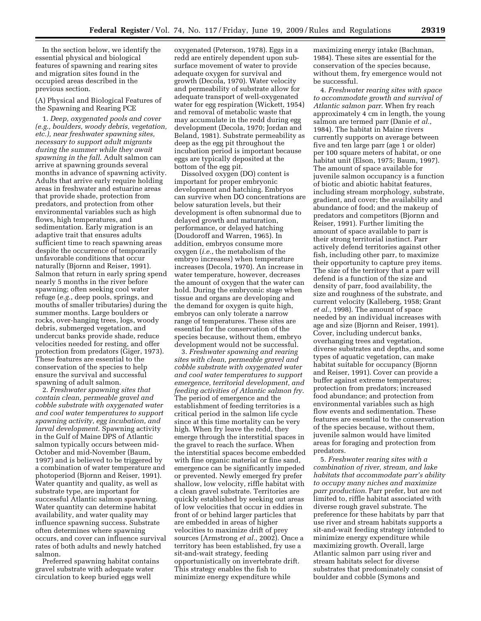In the section below, we identify the essential physical and biological features of spawning and rearing sites and migration sites found in the occupied areas described in the previous section.

(A) Physical and Biological Features of the Spawning and Rearing PCE

1. *Deep, oxygenated pools and cover (e.g., boulders, woody debris, vegetation, etc.), near freshwater spawning sites, necessary to support adult migrants during the summer while they await spawning in the fall*. Adult salmon can arrive at spawning grounds several months in advance of spawning activity. Adults that arrive early require holding areas in freshwater and estuarine areas that provide shade, protection from predators, and protection from other environmental variables such as high flows, high temperatures, and sedimentation. Early migration is an adaptive trait that ensures adults sufficient time to reach spawning areas despite the occurrence of temporarily unfavorable conditions that occur naturally (Bjornn and Reiser, 1991). Salmon that return in early spring spend nearly 5 months in the river before spawning; often seeking cool water refuge (*e.g.*, deep pools, springs, and mouths of smaller tributaries) during the summer months. Large boulders or rocks, over-hanging trees, logs, woody debris, submerged vegetation, and undercut banks provide shade, reduce velocities needed for resting, and offer protection from predators (Giger, 1973). These features are essential to the conservation of the species to help ensure the survival and successful spawning of adult salmon.

2. *Freshwater spawning sites that contain clean, permeable gravel and cobble substrate with oxygenated water and cool water temperatures to support spawning activity, egg incubation, and larval development*. Spawning activity in the Gulf of Maine DPS of Atlantic salmon typically occurs between mid-October and mid-November (Baum, 1997) and is believed to be triggered by a combination of water temperature and photoperiod (Bjornn and Reiser, 1991). Water quantity and quality, as well as substrate type, are important for successful Atlantic salmon spawning. Water quantity can determine habitat availability, and water quality may influence spawning success. Substrate often determines where spawning occurs, and cover can influence survival rates of both adults and newly hatched salmon.

Preferred spawning habitat contains gravel substrate with adequate water circulation to keep buried eggs well

oxygenated (Peterson, 1978). Eggs in a redd are entirely dependent upon subsurface movement of water to provide adequate oxygen for survival and growth (Decola, 1970). Water velocity and permeability of substrate allow for adequate transport of well-oxygenated water for egg respiration (Wickett, 1954) and removal of metabolic waste that may accumulate in the redd during egg development (Decola, 1970; Jordan and Beland, 1981). Substrate permeability as deep as the egg pit throughout the incubation period is important because eggs are typically deposited at the bottom of the egg pit.

Dissolved oxygen (DO) content is important for proper embryonic development and hatching. Embryos can survive when DO concentrations are below saturation levels, but their development is often subnormal due to delayed growth and maturation, performance, or delayed hatching (Doudoroff and Warren, 1965). In addition, embryos consume more oxygen (*i.e.*, the metabolism of the embryo increases) when temperature increases (Decola, 1970). An increase in water temperature, however, decreases the amount of oxygen that the water can hold. During the embryonic stage when tissue and organs are developing and the demand for oxygen is quite high, embryos can only tolerate a narrow range of temperatures. These sites are essential for the conservation of the species because, without them, embryo development would not be successful.

3. *Freshwater spawning and rearing sites with clean, permeable gravel and cobble substrate with oxygenated water and cool water temperatures to support emergence, territorial development, and feeding activities of Atlantic salmon fry*. The period of emergence and the establishment of feeding territories is a critical period in the salmon life cycle since at this time mortality can be very high. When fry leave the redd, they emerge through the interstitial spaces in the gravel to reach the surface. When the interstitial spaces become embedded with fine organic material or fine sand, emergence can be significantly impeded or prevented. Newly emerged fry prefer shallow, low velocity, riffle habitat with a clean gravel substrate. Territories are quickly established by seeking out areas of low velocities that occur in eddies in front of or behind larger particles that are embedded in areas of higher velocities to maximize drift of prey sources (Armstrong *et al.*, 2002). Once a territory has been established, fry use a sit-and-wait strategy, feeding opportunistically on invertebrate drift. This strategy enables the fish to minimize energy expenditure while

maximizing energy intake (Bachman, 1984). These sites are essential for the conservation of the species because, without them, fry emergence would not be successful.

4. *Freshwater rearing sites with space to accommodate growth and survival of Atlantic salmon parr*. When fry reach approximately 4 cm in length, the young salmon are termed parr (Danie *et al.*, 1984). The habitat in Maine rivers currently supports on average between five and ten large parr (age 1 or older) per 100 square meters of habitat, or one habitat unit (Elson, 1975; Baum, 1997). The amount of space available for juvenile salmon occupancy is a function of biotic and abiotic habitat features, including stream morphology, substrate, gradient, and cover; the availability and abundance of food; and the makeup of predators and competitors (Bjornn and Reiser, 1991). Further limiting the amount of space available to parr is their strong territorial instinct. Parr actively defend territories against other fish, including other parr, to maximize their opportunity to capture prey items. The size of the territory that a parr will defend is a function of the size and density of parr, food availability, the size and roughness of the substrate, and current velocity (Kalleberg, 1958; Grant *et al.*, 1998). The amount of space needed by an individual increases with age and size (Bjornn and Reiser, 1991). Cover, including undercut banks, overhanging trees and vegetation, diverse substrates and depths, and some types of aquatic vegetation, can make habitat suitable for occupancy (Bjornn and Reiser, 1991). Cover can provide a buffer against extreme temperatures; protection from predators; increased food abundance; and protection from environmental variables such as high flow events and sedimentation. These features are essential to the conservation of the species because, without them, juvenile salmon would have limited areas for foraging and protection from predators.

5. *Freshwater rearing sites with a combination of river, stream, and lake habitats that accommodate parr's ability to occupy many niches and maximize parr production*. Parr prefer, but are not limited to, riffle habitat associated with diverse rough gravel substrate. The preference for these habitats by parr that use river and stream habitats supports a sit-and-wait feeding strategy intended to minimize energy expenditure while maximizing growth. Overall, large Atlantic salmon parr using river and stream habitats select for diverse substrates that predominately consist of boulder and cobble (Symons and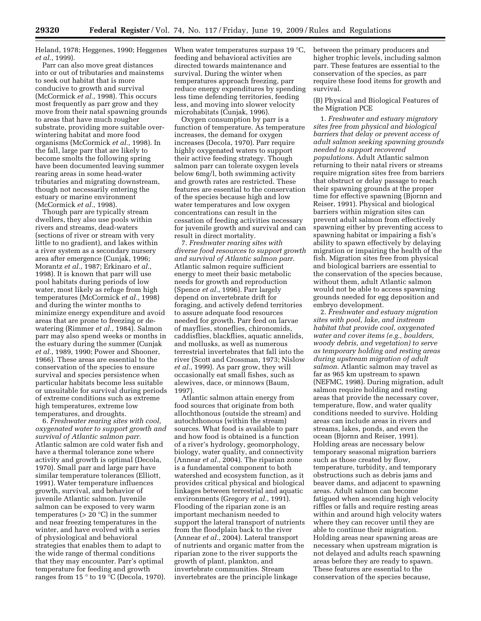Heland, 1978; Heggenes, 1990; Heggenes *et al.*, 1999).

Parr can also move great distances into or out of tributaries and mainstems to seek out habitat that is more conducive to growth and survival (McCormick *et al.*, 1998). This occurs most frequently as parr grow and they move from their natal spawning grounds to areas that have much rougher substrate, providing more suitable overwintering habitat and more food organisms (McCormick *et al.*, 1998). In the fall, large parr that are likely to become smolts the following spring have been documented leaving summer rearing areas in some head-water tributaries and migrating downstream, though not necessarily entering the estuary or marine environment (McCormick *et al.*, 1998).

Though parr are typically stream dwellers, they also use pools within rivers and streams, dead-waters (sections of river or stream with very little to no gradient), and lakes within a river system as a secondary nursery area after emergence (Cunjak, 1996; Morantz *et al.*, 1987; Erkinaro *et al.*, 1998). It is known that parr will use pool habitats during periods of low water, most likely as refuge from high temperatures (McCormick *et al.*, 1998) and during the winter months to minimize energy expenditure and avoid areas that are prone to freezing or dewatering (Rimmer *et al.*, 1984). Salmon parr may also spend weeks or months in the estuary during the summer (Cunjak *et al.*, 1989, 1990; Power and Shooner, 1966). These areas are essential to the conservation of the species to ensure survival and species persistence when particular habitats become less suitable or unsuitable for survival during periods of extreme conditions such as extreme high temperatures, extreme low temperatures, and droughts.

6. *Freshwater rearing sites with cool, oxygenated water to support growth and survival of Atlantic salmon parr*. Atlantic salmon are cold water fish and have a thermal tolerance zone where activity and growth is optimal (Decola, 1970). Small parr and large parr have similar temperature tolerances (Elliott, 1991). Water temperature influences growth, survival, and behavior of juvenile Atlantic salmon. Juvenile salmon can be exposed to very warm temperatures ( $> 20$  °C) in the summer and near freezing temperatures in the winter, and have evolved with a series of physiological and behavioral strategies that enables them to adapt to the wide range of thermal conditions that they may encounter. Parr's optimal temperature for feeding and growth ranges from 15 ° to 19 °C (Decola, 1970).

When water temperatures surpass 19 °C, feeding and behavioral activities are directed towards maintenance and survival. During the winter when temperatures approach freezing, parr reduce energy expenditures by spending less time defending territories, feeding less, and moving into slower velocity microhabitats (Cunjak, 1996).

Oxygen consumption by parr is a function of temperature. As temperature increases, the demand for oxygen increases (Decola, 1970). Parr require highly oxygenated waters to support their active feeding strategy. Though salmon parr can tolerate oxygen levels below 6mg/l, both swimming activity and growth rates are restricted. These features are essential to the conservation of the species because high and low water temperatures and low oxygen concentrations can result in the cessation of feeding activities necessary for juvenile growth and survival and can result in direct mortality.

7. *Freshwater rearing sites with diverse food resources to support growth and survival of Atlantic salmon parr*. Atlantic salmon require sufficient energy to meet their basic metabolic needs for growth and reproduction (Spence *et al.*, 1996). Parr largely depend on invertebrate drift for foraging, and actively defend territories to assure adequate food resources needed for growth. Parr feed on larvae of mayflies, stoneflies, chironomids, caddisflies, blackflies, aquatic annelids, and mollusks, as well as numerous terrestrial invertebrates that fall into the river (Scott and Crossman, 1973; Nislow *et al.*, 1999). As parr grow, they will occasionally eat small fishes, such as alewives, dace, or minnows (Baum, 1997).

Atlantic salmon attain energy from food sources that originate from both allochthonous (outside the stream) and autochthonous (within the stream) sources. What food is available to parr and how food is obtained is a function of a river's hydrology, geomorphology, biology, water quality, and connectivity (Annear *et al.*, 2004). The riparian zone is a fundamental component to both watershed and ecosystem function, as it provides critical physical and biological linkages between terrestrial and aquatic environments (Gregory *et al.*, 1991). Flooding of the riparian zone is an important mechanism needed to support the lateral transport of nutrients from the floodplain back to the river (Annear *et al.*, 2004). Lateral transport of nutrients and organic matter from the riparian zone to the river supports the growth of plant, plankton, and invertebrate communities. Stream invertebrates are the principle linkage

between the primary producers and higher trophic levels, including salmon parr. These features are essential to the conservation of the species, as parr require these food items for growth and survival.

# (B) Physical and Biological Features of the Migration PCE

1. *Freshwater and estuary migratory sites free from physical and biological barriers that delay or prevent access of adult salmon seeking spawning grounds needed to support recovered populations*. Adult Atlantic salmon returning to their natal rivers or streams require migration sites free from barriers that obstruct or delay passage to reach their spawning grounds at the proper time for effective spawning (Bjornn and Reiser, 1991). Physical and biological barriers within migration sites can prevent adult salmon from effectively spawning either by preventing access to spawning habitat or impairing a fish's ability to spawn effectively by delaying migration or impairing the health of the fish. Migration sites free from physical and biological barriers are essential to the conservation of the species because, without them, adult Atlantic salmon would not be able to access spawning grounds needed for egg deposition and embryo development.

2. *Freshwater and estuary migration sites with pool, lake, and instream habitat that provide cool, oxygenated water and cover items (e.g., boulders, woody debris, and vegetation) to serve as temporary holding and resting areas during upstream migration of adult salmon*. Atlantic salmon may travel as far as 965 km upstream to spawn (NEFMC, 1998). During migration, adult salmon require holding and resting areas that provide the necessary cover, temperature, flow, and water quality conditions needed to survive. Holding areas can include areas in rivers and streams, lakes, ponds, and even the ocean (Bjornn and Reiser, 1991). Holding areas are necessary below temporary seasonal migration barriers such as those created by flow, temperature, turbidity, and temporary obstructions such as debris jams and beaver dams, and adjacent to spawning areas. Adult salmon can become fatigued when ascending high velocity riffles or falls and require resting areas within and around high velocity waters where they can recover until they are able to continue their migration. Holding areas near spawning areas are necessary when upstream migration is not delayed and adults reach spawning areas before they are ready to spawn. These features are essential to the conservation of the species because,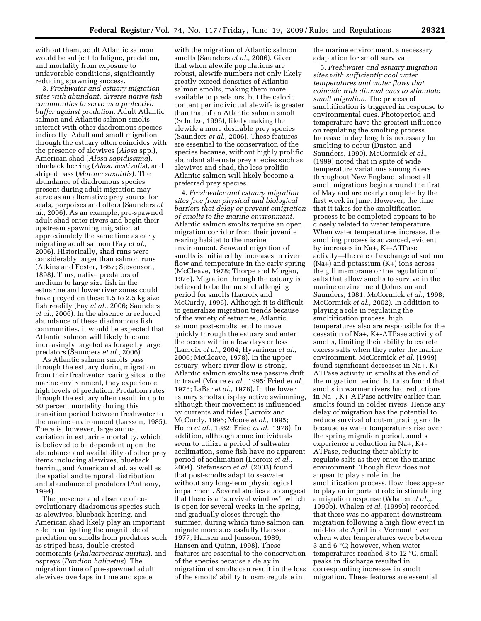without them, adult Atlantic salmon would be subject to fatigue, predation, and mortality from exposure to unfavorable conditions, significantly reducing spawning success.

3. *Freshwater and estuary migration sites with abundant, diverse native fish communities to serve as a protective buffer against predation*. Adult Atlantic salmon and Atlantic salmon smolts interact with other diadromous species indirectly. Adult and smolt migration through the estuary often coincides with the presence of alewives (*Alosa* spp.), American shad (*Alosa sapidissima*), blueback herring (*Alosa aestivalis*), and striped bass (*Morone saxatilis*). The abundance of diadromous species present during adult migration may serve as an alternative prey source for seals, porpoises and otters (Saunders *et al.*, 2006). As an example, pre-spawned adult shad enter rivers and begin their upstream spawning migration at approximately the same time as early migrating adult salmon (Fay *et al.*, 2006). Historically, shad runs were considerably larger than salmon runs (Atkins and Foster, 1867; Stevenson, 1898). Thus, native predators of medium to large size fish in the estuarine and lower river zones could have preyed on these 1.5 to 2.5 kg size fish readily (Fay *et al.*, 2006; Saunders *et al.*, 2006). In the absence or reduced abundance of these diadromous fish communities, it would be expected that Atlantic salmon will likely become increasingly targeted as forage by large predators (Saunders *et al.*, 2006).

As Atlantic salmon smolts pass through the estuary during migration from their freshwater rearing sites to the marine environment, they experience high levels of predation. Predation rates through the estuary often result in up to 50 percent mortality during this transition period between freshwater to the marine environment (Larsson, 1985). There is, however, large annual variation in estuarine mortality, which is believed to be dependent upon the abundance and availability of other prey items including alewives, blueback herring, and American shad, as well as the spatial and temporal distribution and abundance of predators (Anthony, 1994).

The presence and absence of coevolutionary diadromous species such as alewives, blueback herring, and American shad likely play an important role in mitigating the magnitude of predation on smolts from predators such as striped bass, double-crested cormorants (*Phalacrocorax auritus*), and ospreys (*Pandion haliaetus*). The migration time of pre-spawned adult alewives overlaps in time and space

with the migration of Atlantic salmon smolts (Saunders *et al.*, 2006). Given that when alewife populations are robust, alewife numbers not only likely greatly exceed densities of Atlantic salmon smolts, making them more available to predators, but the caloric content per individual alewife is greater than that of an Atlantic salmon smolt (Schulze, 1996), likely making the alewife a more desirable prey species (Saunders *et al.*, 2006). These features are essential to the conservation of the species because, without highly prolific abundant alternate prey species such as alewives and shad, the less prolific Atlantic salmon will likely become a preferred prey species.

4. *Freshwater and estuary migration sites free from physical and biological barriers that delay or prevent emigration of smolts to the marine environment.*  Atlantic salmon smolts require an open migration corridor from their juvenile rearing habitat to the marine environment. Seaward migration of smolts is initiated by increases in river flow and temperature in the early spring (McCleave, 1978; Thorpe and Morgan, 1978). Migration through the estuary is believed to be the most challenging period for smolts (Lacroix and McCurdy, 1996). Although it is difficult to generalize migration trends because of the variety of estuaries, Atlantic salmon post-smolts tend to move quickly through the estuary and enter the ocean within a few days or less (Lacroix *et al.,* 2004; Hyvarinen *et al.,*  2006; McCleave, 1978). In the upper estuary, where river flow is strong, Atlantic salmon smolts use passive drift to travel (Moore *et al.,* 1995; Fried *et al.,*  1978; LaBar *et al.,* 1978). In the lower estuary smolts display active swimming, although their movement is influenced by currents and tides (Lacroix and McCurdy, 1996; Moore *et al.,* 1995; Holm *et al.,* 1982; Fried *et al.,* 1978). In addition, although some individuals seem to utilize a period of saltwater acclimation, some fish have no apparent period of acclimation (Lacroix *et al.,*  2004). Stefansson *et al.* (2003) found that post-smolts adapt to seawater without any long-term physiological impairment. Several studies also suggest that there is a ''survival window'' which is open for several weeks in the spring, and gradually closes through the summer, during which time salmon can migrate more successfully (Larsson, 1977; Hansen and Jonsson, 1989; Hansen and Quinn, 1998). These features are essential to the conservation of the species because a delay in migration of smolts can result in the loss of the smolts' ability to osmoregulate in

the marine environment, a necessary adaptation for smolt survival.

5. *Freshwater and estuary migration sites with sufficiently cool water temperatures and water flows that coincide with diurnal cues to stimulate smolt migration.* The process of smoltification is triggered in response to environmental cues. Photoperiod and temperature have the greatest influence on regulating the smolting process. Increase in day length is necessary for smolting to occur (Duston and Saunders, 1990). McCormick *et al.,*  (1999) noted that in spite of wide temperature variations among rivers throughout New England, almost all smolt migrations begin around the first of May and are nearly complete by the first week in June. However, the time that it takes for the smoltification process to be completed appears to be closely related to water temperature. When water temperatures increase, the smolting process is advanced, evident by increases in Na+, K+-ATPase activity—the rate of exchange of sodium (Na+) and potassium (K+) ions across the gill membrane or the regulation of salts that allow smolts to survive in the marine environment (Johnston and Saunders, 1981; McCormick *et al.*, 1998; McCormick *et al.*, 2002). In addition to playing a role in regulating the smoltification process, high temperatures also are responsible for the cessation of Na+, K+-ATPase activity of smolts, limiting their ability to excrete excess salts when they enter the marine environment. McCormick *et al.* (1999) found significant decreases in Na+, K+- ATPase activity in smolts at the end of the migration period, but also found that smolts in warmer rivers had reductions in Na+, K+-ATPase activity earlier than smolts found in colder rivers. Hence any delay of migration has the potential to reduce survival of out-migrating smolts because as water temperatures rise over the spring migration period, smolts experience a reduction in Na+, K+- ATPase, reducing their ability to regulate salts as they enter the marine environment. Though flow does not appear to play a role in the smoltification process, flow does appear to play an important role in stimulating a migration response (Whalen *et al.,*, 1999b). Whalen *et al.* (1999b) recorded that there was no apparent downstream migration following a high flow event in mid-to late April in a Vermont river when water temperatures were between 3 and 6 °C; however, when water temperatures reached 8 to 12 °C, small peaks in discharge resulted in corresponding increases in smolt migration. These features are essential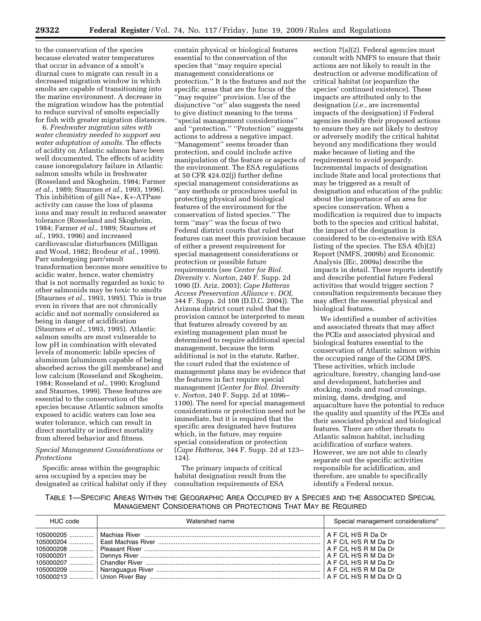to the conservation of the species because elevated water temperatures that occur in advance of a smolt's diurnal cues to migrate can result in a decreased migration window in which smolts are capable of transitioning into the marine environment. A decrease in the migration window has the potential to reduce survival of smolts especially for fish with greater migration distances.

6. *Freshwater migration sites with water chemistry needed to support sea water adaptation of smolts.* The effects of acidity on Atlantic salmon have been well documented. The effects of acidity cause ionoregulatory failure in Atlantic salmon smolts while in freshwater (Rosseland and Skogheim, 1984; Farmer *et al.*, 1989; Staurnes *et al.*, 1993, 1996). This inhibition of gill Na+, K+-ATPase activity can cause the loss of plasma ions and may result in reduced seawater tolerance (Rosseland and Skogheim, 1984; Farmer *et al.*, 1989; Staurnes *et al.*, 1993, 1996) and increased cardiovascular disturbances (Milligan and Wood, 1982; Brodeur *et al.*, 1999). Parr undergoing parr/smolt transformation become more sensitive to acidic water, hence, water chemistry that is not normally regarded as toxic to other salmonids may be toxic to smolts (Staurnes *et al.*, 1993, 1995). This is true even in rivers that are not chronically acidic and not normally considered as being in danger of acidification (Staurnes *et al.*, 1993, 1995). Atlantic salmon smolts are most vulnerable to low pH in combination with elevated levels of monomeric labile species of aluminum (aluminum capable of being absorbed across the gill membrane) and low calcium (Rosseland and Skogheim, 1984; Rosseland *et al.*, 1990; Kroglund and Staurnes, 1999). These features are essential to the conservation of the species because Atlantic salmon smolts exposed to acidic waters can lose sea water tolerance, which can result in direct mortality or indirect mortality from altered behavior and fitness.

# *Special Management Considerations or Protections*

Specific areas within the geographic area occupied by a species may be designated as critical habitat only if they

contain physical or biological features essential to the conservation of the species that ''may require special management considerations or protection.'' It is the features and not the specific areas that are the focus of the ''may require'' provision. Use of the disjunctive ''or'' also suggests the need to give distinct meaning to the terms ''special management considerations'' and ''protection.'' ''Protection'' suggests actions to address a negative impact. ''Management'' seems broader than protection, and could include active manipulation of the feature or aspects of the environment. The ESA regulations at 50 CFR 424.02(j) further define special management considerations as ''any methods or procedures useful in protecting physical and biological features of the environment for the conservation of listed species.'' The term ''may'' was the focus of two Federal district courts that ruled that features can meet this provision because of either a present requirement for special management considerations or protection or possible future requirements (see *Center for Biol. Diversity* v. *Norton*, 240 F. Supp. 2d 1090 (D. Ariz. 2003); *Cape Hatteras Access Preservation Alliance* v. *DOI*, 344 F. Supp. 2d 108 (D.D.C. 2004)). The Arizona district court ruled that the provision cannot be interpreted to mean that features already covered by an existing management plan must be determined to require additional special management, because the term additional is not in the statute. Rather, the court ruled that the existence of management plans may be evidence that the features in fact require special management (*Center for Biol. Diversity*  v. *Norton*, 240 F. Supp. 2d at 1096– 1100). The need for special management considerations or protection need not be immediate, but it is required that the specific area designated have features which, in the future, may require special consideration or protection (*Cape Hatteras,* 344 F. Supp. 2d at 123– 124).

The primary impacts of critical habitat designation result from the consultation requirements of ESA

section 7(a)(2). Federal agencies must consult with NMFS to ensure that their actions are not likely to result in the destruction or adverse modification of critical habitat (or jeopardize the species' continued existence). These impacts are attributed only to the designation (*i.e.*, are incremental impacts of the designation) if Federal agencies modify their proposed actions to ensure they are not likely to destroy or adversely modify the critical habitat beyond any modifications they would make because of listing and the requirement to avoid jeopardy. Incremental impacts of designation include State and local protections that may be triggered as a result of designation and education of the public about the importance of an area for species conservation. When a modification is required due to impacts both to the species and critical habitat, the impact of the designation is considered to be co-extensive with ESA listing of the species. The ESA 4(b)(2) Report (NMFS, 2009b) and Economic Analysis (IEc, 2009a) describe the impacts in detail. These reports identify and describe potential future Federal activities that would trigger section 7 consultation requirements because they may affect the essential physical and biological features.

We identified a number of activities and associated threats that may affect the PCEs and associated physical and biological features essential to the conservation of Atlantic salmon within the occupied range of the GOM DPS. These activities, which include agriculture, forestry, changing land-use and development, hatcheries and stocking, roads and road crossings, mining, dams, dredging, and aquaculture have the potential to reduce the quality and quantity of the PCEs and their associated physical and biological features. There are other threats to Atlantic salmon habitat, including acidification of surface waters. However, we are not able to clearly separate out the specific activities responsible for acidification, and therefore, are unable to specifically identify a Federal nexus.

TABLE 1—SPECIFIC AREAS WITHIN THE GEOGRAPHIC AREA OCCUPIED BY A SPECIES AND THE ASSOCIATED SPECIAL MANAGEMENT CONSIDERATIONS OR PROTECTIONS THAT MAY BE REQUIRED

| HUC code | Watershed name                                                                         | Special management considerations* |
|----------|----------------------------------------------------------------------------------------|------------------------------------|
|          | 105000205 …………   Machias River ………………………………………………………………………………………   A F C/L H/S R Da Dr |                                    |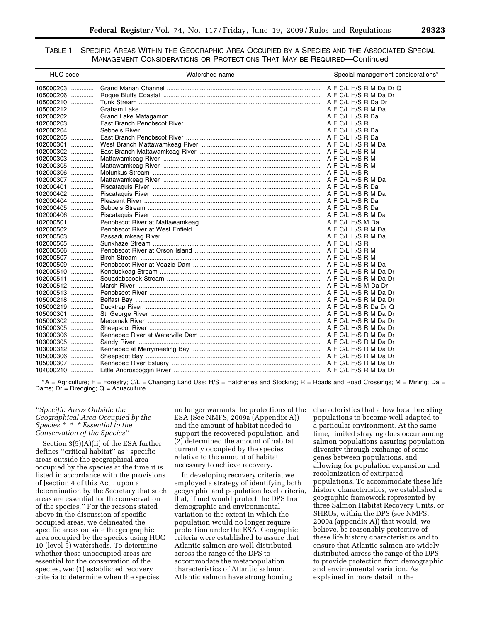# TABLE 1—SPECIFIC AREAS WITHIN THE GEOGRAPHIC AREA OCCUPIED BY A SPECIES AND THE ASSOCIATED SPECIAL MANAGEMENT CONSIDERATIONS OR PROTECTIONS THAT MAY BE REQUIRED—Continued

| HUC code    | Watershed name | Special management considerations* |
|-------------|----------------|------------------------------------|
| 105000203   |                | A F C/L H/S R M Da Dr Q            |
| 105000206   |                | A F C/L H/S R M Da Dr              |
| 105000210   |                |                                    |
| 105000212   |                |                                    |
| 102000202   |                |                                    |
| 102000203   |                |                                    |
| 102000204   |                |                                    |
| 102000205   |                |                                    |
| 102000301   |                |                                    |
| 102000302   |                |                                    |
| 102000303   |                |                                    |
| 102000305   |                |                                    |
| 102000306   |                |                                    |
| 102000307   |                |                                    |
| 102000401   |                |                                    |
| 102000402   |                |                                    |
| 102000404   |                |                                    |
| 102000405   |                |                                    |
| 102000406   |                |                                    |
| 102000501   |                |                                    |
| 102000502   |                |                                    |
| 102000503   |                |                                    |
| 102000505   |                |                                    |
| $102000506$ |                |                                    |
| 102000507   |                |                                    |
| 102000509   |                |                                    |
| 102000510   |                |                                    |
| 102000511   |                |                                    |
| 102000512   |                |                                    |
| 102000513   |                |                                    |
| 105000218   |                |                                    |
| 105000219   |                |                                    |
| 105000301   |                |                                    |
| 105000302   |                |                                    |
| 105000305   |                |                                    |
| 103000306   |                |                                    |
| 103000305   |                |                                    |
| 103000312   |                |                                    |
| 105000306   |                |                                    |
| 105000307   |                |                                    |
| $104000210$ |                |                                    |

\* A = Agriculture; F = Forestry; C/L = Changing Land Use; H/S = Hatcheries and Stocking; R = Roads and Road Crossings; M = Mining; Da = Dams;  $Dr = Dredging$ ;  $Q = Aquaculture$ .

# *''Specific Areas Outside the Geographical Area Occupied by the Species \* \* \* Essential to the Conservation of the Species''*

Section 3(5)(A)(ii) of the ESA further defines ''critical habitat'' as ''specific areas outside the geographical area occupied by the species at the time it is listed in accordance with the provisions of [section 4 of this Act], upon a determination by the Secretary that such areas are essential for the conservation of the species.'' For the reasons stated above in the discussion of specific occupied areas, we delineated the specific areas outside the geographic area occupied by the species using HUC 10 (level 5) watersheds. To determine whether these unoccupied areas are essential for the conservation of the species, we: (1) established recovery criteria to determine when the species

no longer warrants the protections of the ESA (See NMFS, 2009a (Appendix A)) and the amount of habitat needed to support the recovered population; and (2) determined the amount of habitat currently occupied by the species relative to the amount of habitat necessary to achieve recovery.

In developing recovery criteria, we employed a strategy of identifying both geographic and population level criteria, that, if met would protect the DPS from demographic and environmental variation to the extent in which the population would no longer require protection under the ESA. Geographic criteria were established to assure that Atlantic salmon are well distributed across the range of the DPS to accommodate the metapopulation characteristics of Atlantic salmon. Atlantic salmon have strong homing

characteristics that allow local breeding populations to become well adapted to a particular environment. At the same time, limited straying does occur among salmon populations assuring population diversity through exchange of some genes between populations, and allowing for population expansion and recolonization of extirpated populations. To accommodate these life history characteristics, we established a geographic framework represented by three Salmon Habitat Recovery Units, or SHRUs, within the DPS (see NMFS, 2009a (appendix A)) that would, we believe, be reasonably protective of these life history characteristics and to ensure that Atlantic salmon are widely distributed across the range of the DPS to provide protection from demographic and environmental variation. As explained in more detail in the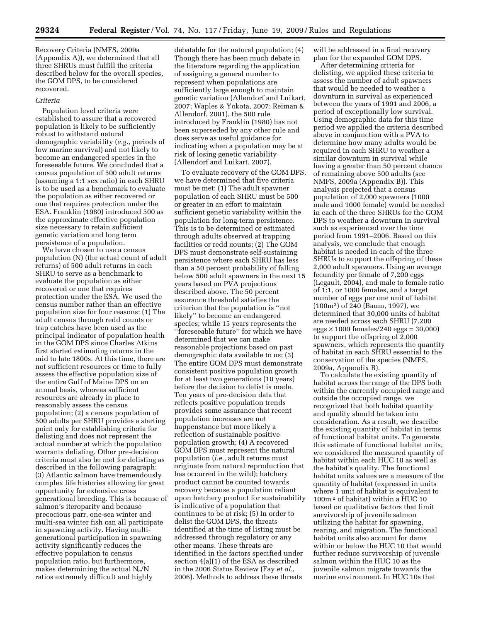Recovery Criteria (NMFS, 2009a (Appendix A)), we determined that all three SHRUs must fulfill the criteria described below for the overall species, the GOM DPS, to be considered recovered.

# *Criteria*

Population level criteria were established to assure that a recovered population is likely to be sufficiently robust to withstand natural demographic variability (*e.g.*, periods of low marine survival) and not likely to become an endangered species in the foreseeable future. We concluded that a census population of 500 adult returns (assuming a 1:1 sex ratio) in each SHRU is to be used as a benchmark to evaluate the population as either recovered or one that requires protection under the ESA. Franklin (1980) introduced 500 as the approximate effective population size necessary to retain sufficient genetic variation and long term persistence of a population.

We have chosen to use a census population (N) (the actual count of adult returns) of 500 adult returns in each SHRU to serve as a benchmark to evaluate the population as either recovered or one that requires protection under the ESA. We used the census number rather than an effective population size for four reasons: (1) The adult census through redd counts or trap catches have been used as the principal indicator of population health in the GOM DPS since Charles Atkins first started estimating returns in the mid to late 1800s. At this time, there are not sufficient resources or time to fully assess the effective population size of the entire Gulf of Maine DPS on an annual basis, whereas sufficient resources are already in place to reasonably assess the census population; (2) a census population of 500 adults per SHRU provides a starting point only for establishing criteria for delisting and does not represent the actual number at which the population warrants delisting. Other pre-decision criteria must also be met for delisting as described in the following paragraph: (3) Atlantic salmon have tremendously complex life histories allowing for great opportunity for extensive cross generational breeding. This is because of salmon's iteroparity and because precocious parr, one-sea winter and multi-sea winter fish can all participate in spawning activity. Having multigenerational participation in spawning activity significantly reduces the effective population to census population ratio, but furthermore, makes determining the actual  $N_e/N$ ratios extremely difficult and highly

debatable for the natural population; (4) Though there has been much debate in the literature regarding the application of assigning a general number to represent when populations are sufficiently large enough to maintain genetic variation (Allendorf and Luikart, 2007; Waples & Yokota, 2007; Reiman & Allendorf, 2001), the 500 rule introduced by Franklin (1980) has not been superseded by any other rule and does serve as useful guidance for indicating when a population may be at risk of losing genetic variability (Allendorf and Luikart, 2007).

To evaluate recovery of the GOM DPS, we have determined that five criteria must be met: (1) The adult spawner population of each SHRU must be 500 or greater in an effort to maintain sufficient genetic variability within the population for long-term persistence. This is to be determined or estimated through adults observed at trapping facilities or redd counts; (2) The GOM DPS must demonstrate self-sustaining persistence where each SHRU has less than a 50 percent probability of falling below 500 adult spawners in the next 15 years based on PVA projections described above. The 50 percent assurance threshold satisfies the criterion that the population is ''not likely'' to become an endangered species; while 15 years represents the ''foreseeable future'' for which we have determined that we can make reasonable projections based on past demographic data available to us; (3) The entire GOM DPS must demonstrate consistent positive population growth for at least two generations (10 years) before the decision to delist is made. Ten years of pre-decision data that reflects positive population trends provides some assurance that recent population increases are not happenstance but more likely a reflection of sustainable positive population growth; (4) A recovered GOM DPS must represent the natural population (*i.e.*, adult returns must originate from natural reproduction that has occurred in the wild); hatchery product cannot be counted towards recovery because a population reliant upon hatchery product for sustainability is indicative of a population that continues to be at risk; (5) In order to delist the GOM DPS, the threats identified at the time of listing must be addressed through regulatory or any other means. These threats are identified in the factors specified under section 4(a)(1) of the ESA as described in the 2006 Status Review (Fay *et al.*, 2006). Methods to address these threats

will be addressed in a final recovery plan for the expanded GOM DPS.

After determining criteria for delisting, we applied these criteria to assess the number of adult spawners that would be needed to weather a downturn in survival as experienced between the years of 1991 and 2006, a period of exceptionally low survival. Using demographic data for this time period we applied the criteria described above in conjunction with a PVA to determine how many adults would be required in each SHRU to weather a similar downturn in survival while having a greater than 50 percent chance of remaining above 500 adults (see NMFS, 2009a (Appendix B)). This analysis projected that a census population of 2,000 spawners (1000 male and 1000 female) would be needed in each of the three SHRUs for the GOM DPS to weather a downturn in survival such as experienced over the time period from 1991–2006. Based on this analysis, we conclude that enough habitat is needed in each of the three SHRUs to support the offspring of these 2,000 adult spawners. Using an average fecundity per female of 7,200 eggs (Legault, 2004), and male to female ratio of 1:1, or 1000 females, and a target number of eggs per one unit of habitat (100m2) of 240 (Baum, 1997), we determined that 30,000 units of habitat are needed across each SHRU (7,200 eggs  $\times$  1000 females/240 eggs = 30,000) to support the offspring of 2,000 spawners, which represents the quantity of habitat in each SHRU essential to the conservation of the species (NMFS, 2009a, Appendix B).

To calculate the existing quantity of habitat across the range of the DPS both within the currently occupied range and outside the occupied range, we recognized that both habitat quantity and quality should be taken into consideration. As a result, we describe the existing quantity of habitat in terms of functional habitat units. To generate this estimate of functional habitat units, we considered the measured quantity of habitat within each HUC 10 as well as the habitat's quality. The functional habitat units values are a measure of the quantity of habitat (expressed in units where 1 unit of habitat is equivalent to 100m 2 of habitat) within a HUC 10 based on qualitative factors that limit survivorship of juvenile salmon utilizing the habitat for spawning, rearing, and migration. The functional habitat units also account for dams within or below the HUC 10 that would further reduce survivorship of juvenile salmon within the HUC 10 as the juvenile salmon migrate towards the marine environment. In HUC 10s that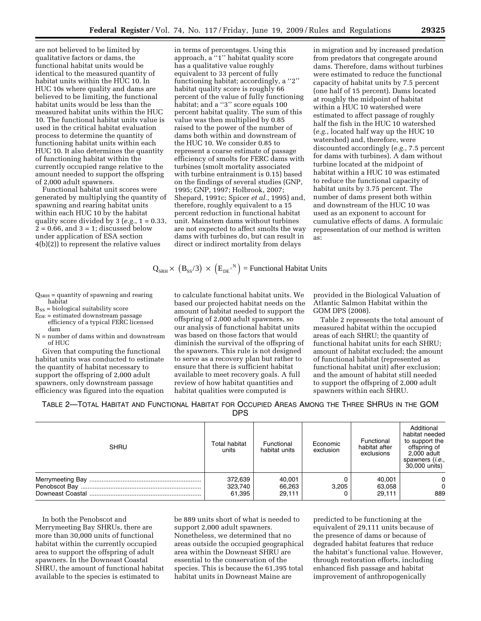are not believed to be limited by qualitative factors or dams, the functional habitat units would be identical to the measured quantity of habitat units within the HUC 10. In HUC 10s where quality and dams are believed to be limiting, the functional habitat units would be less than the measured habitat units within the HUC 10. The functional habitat units value is used in the critical habitat evaluation process to determine the quantity of functioning habitat units within each HUC 10. It also determines the quantity of functioning habitat within the currently occupied range relative to the amount needed to support the offspring of 2,000 adult spawners.

Functional habitat unit scores were generated by multiplying the quantity of spawning and rearing habitat units within each HUC 10 by the habitat quality score divided by 3 (*e.g.*, 1 = 0.33,  $2 = 0.66$ , and  $3 = 1$ ; discussed below under application of ESA section 4(b)(2)) to represent the relative values

in terms of percentages. Using this approach, a ''1'' habitat quality score has a qualitative value roughly equivalent to 33 percent of fully functioning habitat; accordingly, a ''2'' habitat quality score is roughly 66 percent of the value of fully functioning habitat; and a "3" score equals 100 percent habitat quality. The sum of this value was then multiplied by 0.85 raised to the power of the number of dams both within and downstream of the HUC 10. We consider 0.85 to represent a coarse estimate of passage efficiency of smolts for FERC dams with turbines (smolt mortality associated with turbine entrainment is 0.15) based on the findings of several studies (GNP, 1995; GNP, 1997; Holbrook, 2007; Shepard, 1991c; Spicer *et al.*, 1995) and, therefore, roughly equivalent to a 15 percent reduction in functional habitat unit. Mainstem dams without turbines are not expected to affect smolts the way dams with turbines do, but can result in direct or indirect mortality from delays

in migration and by increased predation from predators that congregate around dams. Therefore, dams without turbines were estimated to reduce the functional capacity of habitat units by 7.5 percent (one half of 15 percent). Dams located at roughly the midpoint of habitat within a HUC 10 watershed were estimated to affect passage of roughly half the fish in the HUC 10 watershed (*e.g.*, located half way up the HUC 10 watershed) and, therefore, were discounted accordingly (*e.g.*, 7.5 percent for dams with turbines). A dam without turbine located at the midpoint of habitat within a HUC 10 was estimated to reduce the functional capacity of habitat units by 3.75 percent. The number of dams present both within and downstream of the HUC 10 was used as an exponent to account for cumulative effects of dams. A formulaic representation of our method is written as:

$$
Q_{\text{SRH}} \times (B_{SS}/3) \times (E_{DE}^{\wedge N})
$$
 = Functional Habitat Units

 $Q_{\text{SRH}}$  = quantity of spawning and rearing habitat  $B_{SS}$  = biological suitability score

 $E<sub>DE</sub>$  = estimated downstream passage

- efficiency of a typical FERC licensed dam
- N = number of dams within and downstream of HUC

Given that computing the functional habitat units was conducted to estimate the quantity of habitat necessary to support the offspring of 2,000 adult spawners, only downstream passage efficiency was figured into the equation

to calculate functional habitat units. We based our projected habitat needs on the amount of habitat needed to support the offspring of 2,000 adult spawners, so our analysis of functional habitat units was based on those factors that would diminish the survival of the offspring of the spawners. This rule is not designed to serve as a recovery plan but rather to ensure that there is sufficient habitat available to meet recovery goals. A full review of how habitat quantities and habitat qualities were computed is

provided in the Biological Valuation of Atlantic Salmon Habitat within the GOM DPS (2008).

Table 2 represents the total amount of measured habitat within the occupied areas of each SHRU; the quantity of functional habitat units for each SHRU; amount of habitat excluded; the amount of functional habitat (represented as functional habitat unit) after exclusion; and the amount of habitat still needed to support the offspring of 2,000 adult spawners within each SHRU.

TABLE 2—TOTAL HABITAT AND FUNCTIONAL HABITAT FOR OCCUPIED AREAS AMONG THE THREE SHRUS IN THE GOM

| <b>SHRU</b> | Total habitat<br>units | Functional<br>habitat units | Economic<br>exclusion | Functional<br>habitat after<br>exclusions | Additional<br>habitat needed<br>to support the<br>offspring of<br>2,000 adult<br>spawners ( <i>i.e.</i> ,<br>30,000 units) |
|-------------|------------------------|-----------------------------|-----------------------|-------------------------------------------|----------------------------------------------------------------------------------------------------------------------------|
|             | 372,639                | 40,001                      | 3.205                 | 40.001                                    | $\Omega$                                                                                                                   |
|             | 323.740                | 66,263                      |                       | 63.058                                    | 0                                                                                                                          |
|             | 61.395                 | 29.111                      |                       | 29.111                                    | 889                                                                                                                        |

In both the Penobscot and Merrymeeting Bay SHRUs, there are more than 30,000 units of functional habitat within the currently occupied area to support the offspring of adult spawners. In the Downeast Coastal SHRU, the amount of functional habitat available to the species is estimated to

be 889 units short of what is needed to support 2,000 adult spawners. Nonetheless, we determined that no areas outside the occupied geographical area within the Downeast SHRU are essential to the conservation of the species. This is because the 61,395 total habitat units in Downeast Maine are

predicted to be functioning at the equivalent of 29,111 units because of the presence of dams or because of degraded habitat features that reduce the habitat's functional value. However, through restoration efforts, including enhanced fish passage and habitat improvement of anthropogenically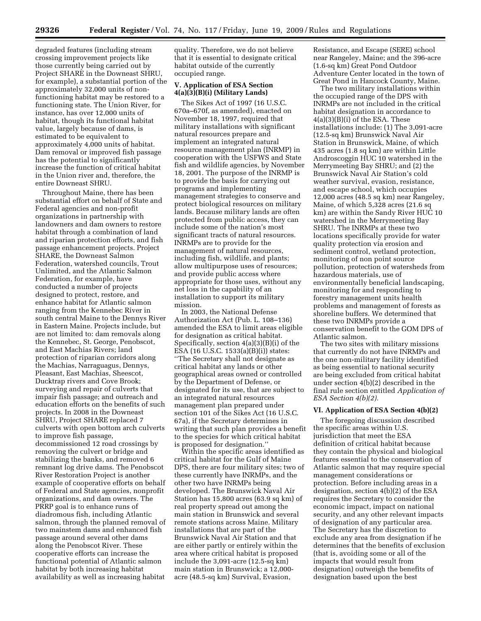degraded features (including stream crossing improvement projects like those currently being carried out by Project SHARE in the Downeast SHRU, for example), a substantial portion of the approximately 32,000 units of nonfunctioning habitat may be restored to a functioning state. The Union River, for instance, has over 12,000 units of habitat, though its functional habitat value, largely because of dams, is estimated to be equivalent to approximately 4,000 units of habitat. Dam removal or improved fish passage has the potential to significantly increase the function of critical habitat in the Union river and, therefore, the entire Downeast SHRU.

Throughout Maine, there has been substantial effort on behalf of State and Federal agencies and non-profit organizations in partnership with landowners and dam owners to restore habitat through a combination of land and riparian protection efforts, and fish passage enhancement projects. Project SHARE, the Downeast Salmon Federation, watershed councils, Trout Unlimited, and the Atlantic Salmon Federation, for example, have conducted a number of projects designed to protect, restore, and enhance habitat for Atlantic salmon ranging from the Kennebec River in south central Maine to the Dennys River in Eastern Maine. Projects include, but are not limited to: dam removals along the Kennebec, St. George, Penobscot, and East Machias Rivers; land protection of riparian corridors along the Machias, Narraguagus, Dennys, Pleasant, East Machias, Sheescot, Ducktrap rivers and Cove Brook; surveying and repair of culverts that impair fish passage; and outreach and education efforts on the benefits of such projects. In 2008 in the Downeast SHRU, Project SHARE replaced 7 culverts with open bottom arch culverts to improve fish passage, decommissioned 12 road crossings by removing the culvert or bridge and stabilizing the banks, and removed 6 remnant log drive dams. The Penobscot River Restoration Project is another example of cooperative efforts on behalf of Federal and State agencies, nonprofit organizations, and dam owners. The PRRP goal is to enhance runs of diadromous fish, including Atlantic salmon, through the planned removal of two mainstem dams and enhanced fish passage around several other dams along the Penobscot River. These cooperative efforts can increase the functional potential of Atlantic salmon habitat by both increasing habitat availability as well as increasing habitat

quality. Therefore, we do not believe that it is essential to designate critical habitat outside of the currently occupied range.

# **V. Application of ESA Section 4(a)(3)(B)(i) (Military Lands)**

The Sikes Act of 1997 (16 U.S.C. 670a–670f, as amended), enacted on November 18, 1997, required that military installations with significant natural resources prepare and implement an integrated natural resource management plan (INRMP) in cooperation with the USFWS and State fish and wildlife agencies, by November 18, 2001. The purpose of the INRMP is to provide the basis for carrying out programs and implementing management strategies to conserve and protect biological resources on military lands. Because military lands are often protected from public access, they can include some of the nation's most significant tracts of natural resources. INRMPs are to provide for the management of natural resources, including fish, wildlife, and plants; allow multipurpose uses of resources; and provide public access where appropriate for those uses, without any net loss in the capability of an installation to support its military mission.

In 2003, the National Defense Authorization Act (Pub. L. 108–136) amended the ESA to limit areas eligible for designation as critical habitat. Specifically, section 4(a)(3)(B)(i) of the ESA (16 U.S.C. 1533(a)(B)(i)) states: ''The Secretary shall not designate as critical habitat any lands or other geographical areas owned or controlled by the Department of Defense, or designated for its use, that are subject to an integrated natural resources management plan prepared under section 101 of the Sikes Act (16 U.S.C. 67a), if the Secretary determines in writing that such plan provides a benefit to the species for which critical habitat is proposed for designation.''

Within the specific areas identified as critical habitat for the Gulf of Maine DPS, there are four military sites; two of these currently have INRMPs, and the other two have INRMPs being developed. The Brunswick Naval Air Station has 15,800 acres (63.9 sq km) of real property spread out among the main station in Brunswick and several remote stations across Maine. Military installations that are part of the Brunswick Naval Air Station and that are either partly or entirely within the area where critical habitat is proposed include the 3,091-acre (12.5-sq km) main station in Brunswick; a 12,000 acre (48.5-sq km) Survival, Evasion,

Resistance, and Escape (SERE) school near Rangeley, Maine; and the 396-acre (1.6-sq km) Great Pond Outdoor Adventure Center located in the town of Great Pond in Hancock County, Maine.

The two military installations within the occupied range of the DPS with INRMPs are not included in the critical habitat designation in accordance to 4(a)(3)(B)(i) of the ESA. These installations include: (1) The 3,091-acre (12.5-sq km) Brunswick Naval Air Station in Brunswick, Maine, of which 435 acres (1.8 sq km) are within Little Androscoggin HUC 10 watershed in the Merrymeeting Bay SHRU; and (2) the Brunswick Naval Air Station's cold weather survival, evasion, resistance, and escape school, which occupies 12,000 acres (48.5 sq km) near Rangeley, Maine, of which 5,328 acres (21.6 sq km) are within the Sandy River HUC 10 watershed in the Merrymeeting Bay SHRU. The INRMPs at these two locations specifically provide for water quality protection via erosion and sediment control, wetland protection, monitoring of non point source pollution, protection of watersheds from hazardous materials, use of environmentally beneficial landscaping, monitoring for and responding to forestry management units health problems and management of forests as shoreline buffers. We determined that these two INRMPs provide a conservation benefit to the GOM DPS of Atlantic salmon.

The two sites with military missions that currently do not have INRMPs and the one non-military facility identified as being essential to national security are being excluded from critical habitat under section 4(b)(2) described in the final rule section entitled *Application of ESA Section 4(b)(2).* 

# **VI. Application of ESA Section 4(b)(2)**

The foregoing discussion described the specific areas within U.S. jurisdiction that meet the ESA definition of critical habitat because they contain the physical and biological features essential to the conservation of Atlantic salmon that may require special management considerations or protection. Before including areas in a designation, section 4(b)(2) of the ESA requires the Secretary to consider the economic impact, impact on national security, and any other relevant impacts of designation of any particular area. The Secretary has the discretion to exclude any area from designation if he determines that the benefits of exclusion (that is, avoiding some or all of the impacts that would result from designation) outweigh the benefits of designation based upon the best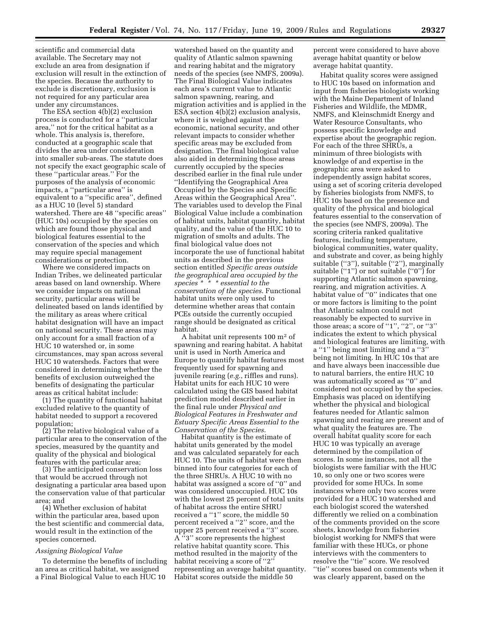scientific and commercial data available. The Secretary may not exclude an area from designation if exclusion will result in the extinction of the species. Because the authority to exclude is discretionary, exclusion is not required for any particular area under any circumstances.

The ESA section 4(b)(2) exclusion process is conducted for a ''particular area,'' not for the critical habitat as a whole. This analysis is, therefore, conducted at a geographic scale that divides the area under consideration into smaller sub-areas. The statute does not specify the exact geographic scale of these ''particular areas.'' For the purposes of the analysis of economic impacts, a ''particular area'' is equivalent to a ''specific area'', defined as a HUC 10 (level 5) standard watershed. There are 48 ''specific areas'' (HUC 10s) occupied by the species on which are found those physical and biological features essential to the conservation of the species and which may require special management considerations or protection.

Where we considered impacts on Indian Tribes, we delineated particular areas based on land ownership. Where we consider impacts on national security, particular areas will be delineated based on lands identified by the military as areas where critical habitat designation will have an impact on national security. These areas may only account for a small fraction of a HUC 10 watershed or, in some circumstances, may span across several HUC 10 watersheds. Factors that were considered in determining whether the benefits of exclusion outweighed the benefits of designating the particular areas as critical habitat include:

(1) The quantity of functional habitat excluded relative to the quantity of habitat needed to support a recovered population;

(2) The relative biological value of a particular area to the conservation of the species, measured by the quantity and quality of the physical and biological features with the particular area;

(3) The anticipated conservation loss that would be accrued through not designating a particular area based upon the conservation value of that particular area; and

(4) Whether exclusion of habitat within the particular area, based upon the best scientific and commercial data, would result in the extinction of the species concerned.

# *Assigning Biological Value*

To determine the benefits of including an area as critical habitat, we assigned a Final Biological Value to each HUC 10

watershed based on the quantity and quality of Atlantic salmon spawning and rearing habitat and the migratory needs of the species (see NMFS, 2009a). The Final Biological Value indicates each area's current value to Atlantic salmon spawning, rearing, and migration activities and is applied in the ESA section 4(b)(2) exclusion analysis, where it is weighed against the economic, national security, and other relevant impacts to consider whether specific areas may be excluded from designation. The final biological value also aided in determining those areas currently occupied by the species described earlier in the final rule under ''Identifying the Geographical Area Occupied by the Species and Specific Areas within the Geographical Area''. The variables used to develop the Final Biological Value include a combination of habitat units, habitat quantity, habitat quality, and the value of the HUC 10 to migration of smolts and adults. The final biological value does not incorporate the use of functional habitat units as described in the previous section entitled *Specific areas outside the geographical area occupied by the species \* \* \* essential to the conservation of the species*. Functional habitat units were only used to determine whether areas that contain PCEs outside the currently occupied range should be designated as critical habitat.

A habitat unit represents 100 m2 of spawning and rearing habitat. A habitat unit is used in North America and Europe to quantify habitat features most frequently used for spawning and juvenile rearing (*e.g.*, riffles and runs). Habitat units for each HUC 10 were calculated using the GIS based habitat prediction model described earlier in the final rule under *Physical and Biological Features in Freshwater and Estuary Specific Areas Essential to the Conservation of the Species*.

Habitat quantity is the estimate of habitat units generated by the model and was calculated separately for each HUC 10. The units of habitat were then binned into four categories for each of the three SHRUs. A HUC 10 with no habitat was assigned a score of "0" and was considered unoccupied. HUC 10s with the lowest 25 percent of total units of habitat across the entire SHRU received a ''1'' score, the middle 50 percent received a ''2'' score, and the upper 25 percent received a ''3'' score. A ''3'' score represents the highest relative habitat quantity score. This method resulted in the majority of the habitat receiving a score of "2" representing an average habitat quantity. Habitat scores outside the middle 50

percent were considered to have above average habitat quantity or below average habitat quantity.

Habitat quality scores were assigned to HUC 10s based on information and input from fisheries biologists working with the Maine Department of Inland Fisheries and Wildlife, the MDMR, NMFS, and Kleinschmidt Energy and Water Resource Consultants, who possess specific knowledge and expertise about the geographic region. For each of the three SHRUs, a minimum of three biologists with knowledge of and expertise in the geographic area were asked to independently assign habitat scores, using a set of scoring criteria developed by fisheries biologists from NMFS, to HUC 10s based on the presence and quality of the physical and biological features essential to the conservation of the species (see NMFS, 2009a). The scoring criteria ranked qualitative features, including temperature, biological communities, water quality, and substrate and cover, as being highly suitable (''3''), suitable (''2''), marginally suitable (''1'') or not suitable (''0'') for supporting Atlantic salmon spawning, rearing, and migration activities. A habitat value of ''0'' indicates that one or more factors is limiting to the point that Atlantic salmon could not reasonably be expected to survive in those areas; a score of "1", "2", or "3" indicates the extent to which physical and biological features are limiting, with a ''1'' being most limiting and a ''3'' being not limiting. In HUC 10s that are and have always been inaccessible due to natural barriers, the entire HUC 10 was automatically scored as ''0'' and considered not occupied by the species. Emphasis was placed on identifying whether the physical and biological features needed for Atlantic salmon spawning and rearing are present and of what quality the features are. The overall habitat quality score for each HUC 10 was typically an average determined by the compilation of scores. In some instances, not all the biologists were familiar with the HUC 10, so only one or two scores were provided for some HUCs. In some instances where only two scores were provided for a HUC 10 watershed and each biologist scored the watershed differently we relied on a combination of the comments provided on the score sheets, knowledge from fisheries biologist working for NMFS that were familiar with these HUCs, or phone interviews with the commenters to resolve the ''tie'' score. We resolved ''tie'' scores based on comments when it was clearly apparent, based on the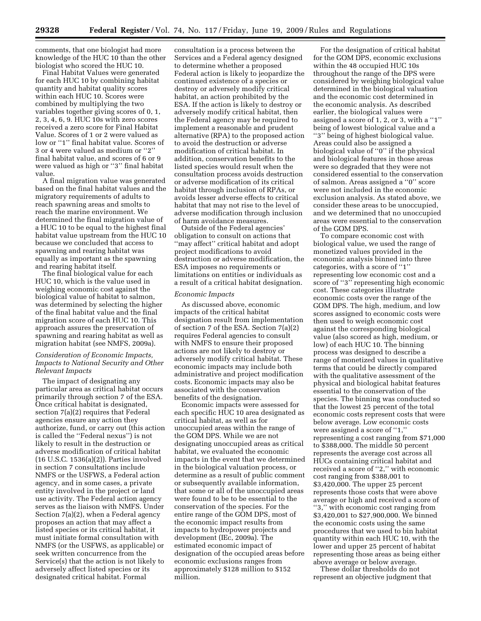comments, that one biologist had more knowledge of the HUC 10 than the other biologist who scored the HUC 10.

Final Habitat Values were generated for each HUC 10 by combining habitat quantity and habitat quality scores within each HUC 10. Scores were combined by multiplying the two variables together giving scores of 0, 1, 2, 3, 4, 6, 9. HUC 10s with zero scores received a zero score for Final Habitat Value. Scores of 1 or 2 were valued as low or "1" final habitat value. Scores of 3 or 4 were valued as medium or ''2'' final habitat value, and scores of 6 or 9 were valued as high or ''3'' final habitat value.

A final migration value was generated based on the final habitat values and the migratory requirements of adults to reach spawning areas and smolts to reach the marine environment. We determined the final migration value of a HUC 10 to be equal to the highest final habitat value upstream from the HUC 10 because we concluded that access to spawning and rearing habitat was equally as important as the spawning and rearing habitat itself.

The final biological value for each HUC 10, which is the value used in weighing economic cost against the biological value of habitat to salmon, was determined by selecting the higher of the final habitat value and the final migration score of each HUC 10. This approach assures the preservation of spawning and rearing habitat as well as migration habitat (see NMFS, 2009a).

# *Consideration of Economic Impacts, Impacts to National Security and Other Relevant Impacts*

The impact of designating any particular area as critical habitat occurs primarily through section 7 of the ESA. Once critical habitat is designated, section 7(a)(2) requires that Federal agencies ensure any action they authorize, fund, or carry out (this action is called the ''Federal nexus'') is not likely to result in the destruction or adverse modification of critical habitat (16 U.S.C. 1536(a)(2)). Parties involved in section 7 consultations include NMFS or the USFWS, a Federal action agency, and in some cases, a private entity involved in the project or land use activity. The Federal action agency serves as the liaison with NMFS. Under Section 7(a)(2), when a Federal agency proposes an action that may affect a listed species or its critical habitat, it must initiate formal consultation with NMFS (or the USFWS, as applicable) or seek written concurrence from the Service(s) that the action is not likely to adversely affect listed species or its designated critical habitat. Formal

consultation is a process between the Services and a Federal agency designed to determine whether a proposed Federal action is likely to jeopardize the continued existence of a species or destroy or adversely modify critical habitat, an action prohibited by the ESA. If the action is likely to destroy or adversely modify critical habitat, then the Federal agency may be required to implement a reasonable and prudent alternative (RPA) to the proposed action to avoid the destruction or adverse modification of critical habitat. In addition, conservation benefits to the listed species would result when the consultation process avoids destruction or adverse modification of its critical habitat through inclusion of RPAs, or avoids lesser adverse effects to critical habitat that may not rise to the level of adverse modification through inclusion of harm avoidance measures.

Outside of the Federal agencies' obligation to consult on actions that ''may affect'' critical habitat and adopt project modifications to avoid destruction or adverse modification, the ESA imposes no requirements or limitations on entities or individuals as a result of a critical habitat designation.

# *Economic Impacts*

As discussed above, economic impacts of the critical habitat designation result from implementation of section 7 of the ESA. Section 7(a)(2) requires Federal agencies to consult with NMFS to ensure their proposed actions are not likely to destroy or adversely modify critical habitat. These economic impacts may include both administrative and project modification costs. Economic impacts may also be associated with the conservation benefits of the designation.

Economic impacts were assessed for each specific HUC 10 area designated as critical habitat, as well as for unoccupied areas within the range of the GOM DPS. While we are not designating unoccupied areas as critical habitat, we evaluated the economic impacts in the event that we determined in the biological valuation process, or determine as a result of public comment or subsequently available information, that some or all of the unoccupied areas were found to be to be essential to the conservation of the species. For the entire range of the GOM DPS, most of the economic impact results from impacts to hydropower projects and development (IEc, 2009a). The estimated economic impact of designation of the occupied areas before economic exclusions ranges from approximately \$128 million to \$152 million.

For the designation of critical habitat for the GOM DPS, economic exclusions within the 48 occupied HUC 10s throughout the range of the DPS were considered by weighing biological value determined in the biological valuation and the economic cost determined in the economic analysis. As described earlier, the biological values were assigned a score of 1, 2, or 3, with a ''1'' being of lowest biological value and a ''3'' being of highest biological value. Areas could also be assigned a biological value of ''0'' if the physical and biological features in those areas were so degraded that they were not considered essential to the conservation of salmon. Areas assigned a ''0'' score were not included in the economic exclusion analysis. As stated above, we consider these areas to be unoccupied, and we determined that no unoccupied areas were essential to the conservation of the GOM DPS.

To compare economic cost with biological value, we used the range of monetized values provided in the economic analysis binned into three categories, with a score of ''1'' representing low economic cost and a score of ''3'' representing high economic cost. These categories illustrate economic costs over the range of the GOM DPS. The high, medium, and low scores assigned to economic costs were then used to weigh economic cost against the corresponding biological value (also scored as high, medium, or low) of each HUC 10. The binning process was designed to describe a range of monetized values in qualitative terms that could be directly compared with the qualitative assessment of the physical and biological habitat features essential to the conservation of the species. The binning was conducted so that the lowest 25 percent of the total economic costs represent costs that were below average. Low economic costs were assigned a score of ''1,'' representing a cost ranging from \$71,000 to \$388,000. The middle 50 percent represents the average cost across all HUCs containing critical habitat and received a score of ''2,'' with economic cost ranging from \$388,001 to \$3,420,000. The upper 25 percent represents those costs that were above average or high and received a score of ''3,'' with economic cost ranging from \$3,420,001 to \$27,900,000. We binned the economic costs using the same procedures that we used to bin habitat quantity within each HUC 10, with the lower and upper 25 percent of habitat representing those areas as being either above average or below average.

These dollar thresholds do not represent an objective judgment that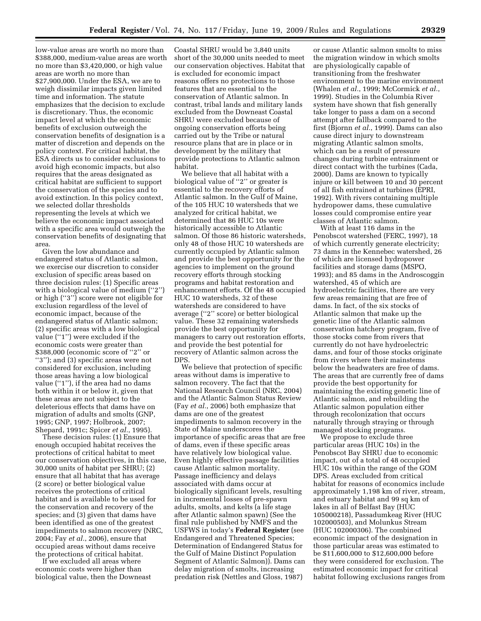low-value areas are worth no more than \$388,000, medium-value areas are worth no more than \$3,420,000, or high value areas are worth no more than \$27,900,000. Under the ESA, we are to weigh dissimilar impacts given limited time and information. The statute emphasizes that the decision to exclude is discretionary. Thus, the economic impact level at which the economic benefits of exclusion outweigh the conservation benefits of designation is a matter of discretion and depends on the policy context. For critical habitat, the ESA directs us to consider exclusions to avoid high economic impacts, but also requires that the areas designated as critical habitat are sufficient to support the conservation of the species and to avoid extinction. In this policy context, we selected dollar thresholds representing the levels at which we believe the economic impact associated with a specific area would outweigh the conservation benefits of designating that area.

Given the low abundance and endangered status of Atlantic salmon, we exercise our discretion to consider exclusion of specific areas based on three decision rules: (1) Specific areas with a biological value of medium ("2") or high (''3'') score were not eligible for exclusion regardless of the level of economic impact, because of the endangered status of Atlantic salmon; (2) specific areas with a low biological value (''1'') were excluded if the economic costs were greater than \$388,000 (economic score of ''2'' or ''3''); and (3) specific areas were not considered for exclusion, including those areas having a low biological value (''1''), if the area had no dams both within it or below it, given that these areas are not subject to the deleterious effects that dams have on migration of adults and smolts (GNP, 1995; GNP, 1997; Holbrook, 2007; Shepard, 1991c; Spicer *et al.*, 1995).

These decision rules: (1) Ensure that enough occupied habitat receives the protections of critical habitat to meet our conservation objectives, in this case, 30,000 units of habitat per SHRU; (2) ensure that all habitat that has average (2 score) or better biological value receives the protections of critical habitat and is available to be used for the conservation and recovery of the species; and (3) given that dams have been identified as one of the greatest impediments to salmon recovery (NRC, 2004; Fay *et al.*, 2006), ensure that occupied areas without dams receive the protections of critical habitat.

If we excluded all areas where economic costs were higher than biological value, then the Downeast

Coastal SHRU would be 3,840 units short of the 30,000 units needed to meet our conservation objectives. Habitat that is excluded for economic impact reasons offers no protections to those features that are essential to the conservation of Atlantic salmon. In contrast, tribal lands and military lands excluded from the Downeast Coastal SHRU were excluded because of ongoing conservation efforts being carried out by the Tribe or natural resource plans that are in place or in development by the military that provide protections to Atlantic salmon habitat.

We believe that all habitat with a biological value of ''2'' or greater is essential to the recovery efforts of Atlantic salmon. In the Gulf of Maine, of the 105 HUC 10 watersheds that we analyzed for critical habitat, we determined that 86 HUC 10s were historically accessible to Atlantic salmon. Of those 86 historic watersheds, only 48 of those HUC 10 watersheds are currently occupied by Atlantic salmon and provide the best opportunity for the agencies to implement on the ground recovery efforts through stocking programs and habitat restoration and enhancement efforts. Of the 48 occupied HUC 10 watersheds, 32 of these watersheds are considered to have average (''2'' score) or better biological value. These 32 remaining watersheds provide the best opportunity for managers to carry out restoration efforts, and provide the best potential for recovery of Atlantic salmon across the DPS.

We believe that protection of specific areas without dams is imperative to salmon recovery. The fact that the National Research Council (NRC, 2004) and the Atlantic Salmon Status Review (Fay *et al.*, 2006) both emphasize that dams are one of the greatest impediments to salmon recovery in the State of Maine underscores the importance of specific areas that are free of dams, even if these specific areas have relatively low biological value. Even highly effective passage facilities cause Atlantic salmon mortality. Passage inefficiency and delays associated with dams occur at biologically significant levels, resulting in incremental losses of pre-spawn adults, smolts, and kelts (a life stage after Atlantic salmon spawn) (See the final rule published by NMFS and the USFWS in today's **Federal Register** (see Endangered and Threatened Species; Determination of Endangered Status for the Gulf of Maine Distinct Population Segment of Atlantic Salmon)). Dams can delay migration of smolts, increasing predation risk (Nettles and Gloss, 1987)

or cause Atlantic salmon smolts to miss the migration window in which smolts are physiologically capable of transitioning from the freshwater environment to the marine environment (Whalen *et al.*, 1999; McCormick *et al.*, 1999). Studies in the Columbia River system have shown that fish generally take longer to pass a dam on a second attempt after fallback compared to the first (Bjornn *et al.*, 1999). Dams can also cause direct injury to downstream migrating Atlantic salmon smolts, which can be a result of pressure changes during turbine entrainment or direct contact with the turbines (Cada, 2000). Dams are known to typically injure or kill between 10 and 30 percent of all fish entrained at turbines (EPRI, 1992). With rivers containing multiple hydropower dams, these cumulative losses could compromise entire year classes of Atlantic salmon.

With at least 116 dams in the Penobscot watershed (FERC, 1997), 18 of which currently generate electricity; 73 dams in the Kennebec watershed, 26 of which are licensed hydropower facilities and storage dams (MSPO, 1993); and 85 dams in the Androscoggin watershed, 45 of which are hydroelectric facilities, there are very few areas remaining that are free of dams. In fact, of the six stocks of Atlantic salmon that make up the genetic line of the Atlantic salmon conservation hatchery program, five of those stocks come from rivers that currently do not have hydroelectric dams, and four of those stocks originate from rivers where their mainstems below the headwaters are free of dams. The areas that are currently free of dams provide the best opportunity for maintaining the existing genetic line of Atlantic salmon, and rebuilding the Atlantic salmon population either through recolonization that occurs naturally through straying or through managed stocking programs.

We propose to exclude three particular areas (HUC 10s) in the Penobscot Bay SHRU due to economic impact, out of a total of 48 occupied HUC 10s within the range of the GOM DPS. Areas excluded from critical habitat for reasons of economics include approximately 1,198 km of river, stream, and estuary habitat and 99 sq km of lakes in all of Belfast Bay (HUC 105000218), Passadumkeag River (HUC 102000503), and Molunkus Stream (HUC 102000306). The combined economic impact of the designation in those particular areas was estimated to be \$11,600,000 to \$12,600,000 before they were considered for exclusion. The estimated economic impact for critical habitat following exclusions ranges from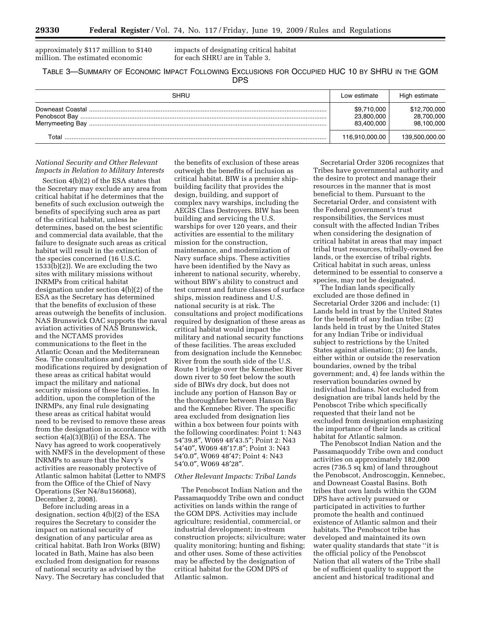approximately \$117 million to \$140 million. The estimated economic

impacts of designating critical habitat for each SHRU are in Table 3.

TABLE 3—SUMMARY OF ECONOMIC IMPACT FOLLOWING EXCLUSIONS FOR OCCUPIED HUC 10 BY SHRU IN THE GOM DPS

| SHRU  | Low estimate                            | High estimate                            |
|-------|-----------------------------------------|------------------------------------------|
|       | \$9,710,000<br>23,800,000<br>83,400,000 | \$12,700,000<br>28,700,000<br>98,100,000 |
| Total | 116,910,000.00                          | 139,500,000.00                           |

# *National Security and Other Relevant Impacts in Relation to Military Interests*

Section 4(b)(2) of the ESA states that the Secretary may exclude any area from critical habitat if he determines that the benefits of such exclusion outweigh the benefits of specifying such area as part of the critical habitat, unless he determines, based on the best scientific and commercial data available, that the failure to designate such areas as critical habitat will result in the extinction of the species concerned (16 U.S.C. 1533(b)(2)). We are excluding the two sites with military missions without INRMPs from critical habitat designation under section 4(b)(2) of the ESA as the Secretary has determined that the benefits of exclusion of these areas outweigh the benefits of inclusion. NAS Brunswick OAC supports the naval aviation activities of NAS Brunswick, and the NCTAMS provides communications to the fleet in the Atlantic Ocean and the Mediterranean Sea. The consultations and project modifications required by designation of these areas as critical habitat would impact the military and national security missions of these facilities. In addition, upon the completion of the INRMPs, any final rule designating these areas as critical habitat would need to be revised to remove these areas from the designation in accordance with section 4(a)(3)(B)(i) of the ESA. The Navy has agreed to work cooperatively with NMFS in the development of these INRMPs to assure that the Navy's activities are reasonably protective of Atlantic salmon habitat (Letter to NMFS from the Office of the Chief of Navy Operations (Ser N4/8u156068), December 2, 2008).

Before including areas in a designation, section 4(b)(2) of the ESA requires the Secretary to consider the impact on national security of designation of any particular area as critical habitat. Bath Iron Works (BIW) located in Bath, Maine has also been excluded from designation for reasons of national security as advised by the Navy. The Secretary has concluded that

the benefits of exclusion of these areas outweigh the benefits of inclusion as critical habitat. BIW is a premier shipbuilding facility that provides the design, building, and support of complex navy warships, including the AEGIS Class Destroyers. BIW has been building and servicing the U.S. warships for over 120 years, and their activities are essential to the military mission for the construction, maintenance, and modernization of Navy surface ships. These activities have been identified by the Navy as inherent to national security, whereby, without BIW's ability to construct and test current and future classes of surface ships, mission readiness and U.S. national security is at risk. The consultations and project modifications required by designation of these areas as critical habitat would impact the military and national security functions of these facilities. The areas excluded from designation include the Kennebec River from the south side of the U.S. Route 1 bridge over the Kennebec River down river to 50 feet below the south side of BIWs dry dock, but does not include any portion of Hanson Bay or the thoroughfare between Hanson Bay and the Kennebec River. The specific area excluded from designation lies within a box between four points with the following coordinates: Point 1: N43 54′39.8″, W069 48′43.5″; Point 2: N43 54′40″, W069 48′17.8″; Point 3: N43 54′0.0″, W069 48′47; Point 4: N43 54′0.0″, W069 48′28″.

# *Other Relevant Impacts: Tribal Lands*

The Penobscot Indian Nation and the Passamaquoddy Tribe own and conduct activities on lands within the range of the GOM DPS. Activities may include agriculture; residential, commercial, or industrial development; in-stream construction projects; silviculture; water quality monitoring; hunting and fishing; and other uses. Some of these activities may be affected by the designation of critical habitat for the GOM DPS of Atlantic salmon.

Secretarial Order 3206 recognizes that Tribes have governmental authority and the desire to protect and manage their resources in the manner that is most beneficial to them. Pursuant to the Secretarial Order, and consistent with the Federal government's trust responsibilities, the Services must consult with the affected Indian Tribes when considering the designation of critical habitat in areas that may impact tribal trust resources, tribally-owned fee lands, or the exercise of tribal rights. Critical habitat in such areas, unless determined to be essential to conserve a species, may not be designated.

The Indian lands specifically excluded are those defined in Secretarial Order 3206 and include: (1) Lands held in trust by the United States for the benefit of any Indian tribe; (2) lands held in trust by the United States for any Indian Tribe or individual subject to restrictions by the United States against alienation; (3) fee lands, either within or outside the reservation boundaries, owned by the tribal government; and, 4) fee lands within the reservation boundaries owned by individual Indians. Not excluded from designation are tribal lands held by the Penobscot Tribe which specifically requested that their land not be excluded from designation emphasizing the importance of their lands as critical habitat for Atlantic salmon.

The Penobscot Indian Nation and the Passamaquoddy Tribe own and conduct activities on approximately 182,000 acres (736.5 sq km) of land throughout the Penobscot, Androscoggin, Kennebec, and Downeast Coastal Basins. Both tribes that own lands within the GOM DPS have actively pursued or participated in activities to further promote the health and continued existence of Atlantic salmon and their habitats. The Penobscot tribe has developed and maintained its own water quality standards that state ''it is the official policy of the Penobscot Nation that all waters of the Tribe shall be of sufficient quality to support the ancient and historical traditional and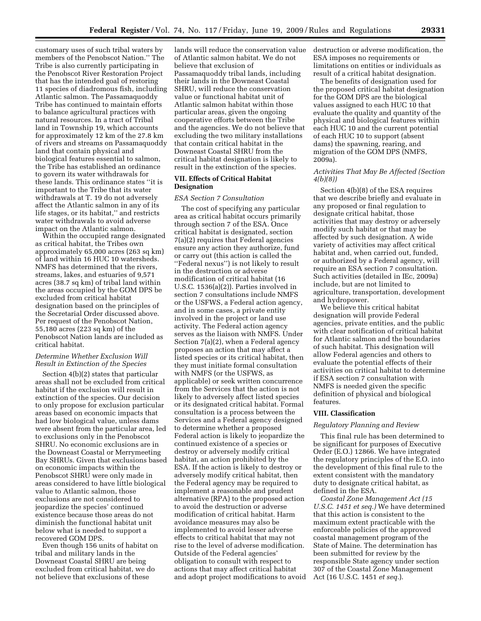customary uses of such tribal waters by members of the Penobscot Nation.'' The Tribe is also currently participating in the Penobscot River Restoration Project that has the intended goal of restoring 11 species of diadromous fish, including Atlantic salmon. The Passamaquoddy Tribe has continued to maintain efforts to balance agricultural practices with natural resources. In a tract of Tribal land in Township 19, which accounts for approximately 12 km of the 27.8 km of rivers and streams on Passamaquoddy land that contain physical and biological features essential to salmon, the Tribe has established an ordinance to govern its water withdrawals for these lands. This ordinance states ''it is important to the Tribe that its water withdrawals at T. 19 do not adversely affect the Atlantic salmon in any of its life stages, or its habitat,'' and restricts water withdrawals to avoid adverse impact on the Atlantic salmon.

Within the occupied range designated as critical habitat, the Tribes own approximately 65,000 acres (263 sq km) of land within 16 HUC 10 watersheds. NMFS has determined that the rivers, streams, lakes, and estuaries of 9,571 acres (38.7 sq km) of tribal land within the areas occupied by the GOM DPS be excluded from critical habitat designation based on the principles of the Secretarial Order discussed above. Per request of the Penobscot Nation, 55,180 acres (223 sq km) of the Penobscot Nation lands are included as critical habitat.

# *Determine Whether Exclusion Will Result in Extinction of the Species*

Section 4(b)(2) states that particular areas shall not be excluded from critical habitat if the exclusion will result in extinction of the species. Our decision to only propose for exclusion particular areas based on economic impacts that had low biological value, unless dams were absent from the particular area, led to exclusions only in the Penobscot SHRU. No economic exclusions are in the Downeast Coastal or Merrymeeting Bay SHRUs. Given that exclusions based on economic impacts within the Penobscot SHRU were only made in areas considered to have little biological value to Atlantic salmon, those exclusions are not considered to jeopardize the species' continued existence because those areas do not diminish the functional habitat unit below what is needed to support a recovered GOM DPS.

Even though 156 units of habitat on tribal and military lands in the Downeast Coastal SHRU are being excluded from critical habitat, we do not believe that exclusions of these

lands will reduce the conservation value of Atlantic salmon habitat. We do not believe that exclusion of Passamaquoddy tribal lands, including their lands in the Downeast Coastal SHRU, will reduce the conservation value or functional habitat unit of Atlantic salmon habitat within those particular areas, given the ongoing cooperative efforts between the Tribe and the agencies. We do not believe that excluding the two military installations that contain critical habitat in the Downeast Coastal SHRU from the critical habitat designation is likely to result in the extinction of the species.

# **VII. Effects of Critical Habitat Designation**

# *ESA Section 7 Consultation*

The cost of specifying any particular area as critical habitat occurs primarily through section 7 of the ESA. Once critical habitat is designated, section 7(a)(2) requires that Federal agencies ensure any action they authorize, fund or carry out (this action is called the ''Federal nexus'') is not likely to result in the destruction or adverse modification of critical habitat (16 U.S.C. 1536(a)(2)). Parties involved in section 7 consultations include NMFS or the USFWS, a Federal action agency, and in some cases, a private entity involved in the project or land use activity. The Federal action agency serves as the liaison with NMFS. Under Section 7(a)(2), when a Federal agency proposes an action that may affect a listed species or its critical habitat, then they must initiate formal consultation with NMFS (or the USFWS, as applicable) or seek written concurrence from the Services that the action is not likely to adversely affect listed species or its designated critical habitat. Formal consultation is a process between the Services and a Federal agency designed to determine whether a proposed Federal action is likely to jeopardize the continued existence of a species or destroy or adversely modify critical habitat, an action prohibited by the ESA. If the action is likely to destroy or adversely modify critical habitat, then the Federal agency may be required to implement a reasonable and prudent alternative (RPA) to the proposed action to avoid the destruction or adverse modification of critical habitat. Harm avoidance measures may also be implemented to avoid lesser adverse effects to critical habitat that may not rise to the level of adverse modification. Outside of the Federal agencies' obligation to consult with respect to actions that may affect critical habitat and adopt project modifications to avoid destruction or adverse modification, the ESA imposes no requirements or limitations on entities or individuals as result of a critical habitat designation.

The benefits of designation used for the proposed critical habitat designation for the GOM DPS are the biological values assigned to each HUC 10 that evaluate the quality and quantity of the physical and biological features within each HUC 10 and the current potential of each HUC 10 to support (absent dams) the spawning, rearing, and migration of the GOM DPS (NMFS, 2009a).

# *Activities That May Be Affected (Section 4(b)(8))*

Section 4(b)(8) of the ESA requires that we describe briefly and evaluate in any proposed or final regulation to designate critical habitat, those activities that may destroy or adversely modify such habitat or that may be affected by such designation. A wide variety of activities may affect critical habitat and, when carried out, funded, or authorized by a Federal agency, will require an ESA section 7 consultation. Such activities (detailed in IEc, 2009a) include, but are not limited to agriculture, transportation, development and hydropower.

We believe this critical habitat designation will provide Federal agencies, private entities, and the public with clear notification of critical habitat for Atlantic salmon and the boundaries of such habitat. This designation will allow Federal agencies and others to evaluate the potential effects of their activities on critical habitat to determine if ESA section 7 consultation with NMFS is needed given the specific definition of physical and biological features.

# **VIII. Classification**

# *Regulatory Planning and Review*

This final rule has been determined to be significant for purposes of Executive Order (E.O.) 12866. We have integrated the regulatory principles of the E.O. into the development of this final rule to the extent consistent with the mandatory duty to designate critical habitat, as defined in the ESA.

*Coastal Zone Management Act (15 U.S.C. 1451 et seq.)* We have determined that this action is consistent to the maximum extent practicable with the enforceable policies of the approved coastal management program of the State of Maine. The determination has been submitted for review by the responsible State agency under section 307 of the Coastal Zone Management Act (16 U.S.C. 1451 *et seq.*).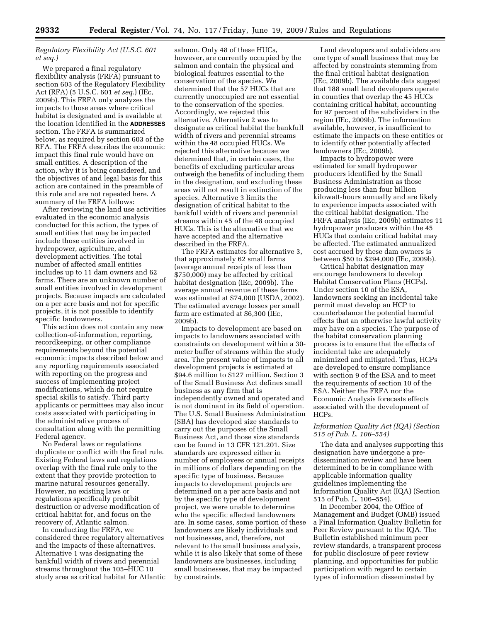# *Regulatory Flexibility Act (U.S.C. 601 et seq.)*

We prepared a final regulatory flexibility analysis (FRFA) pursuant to section 603 of the Regulatory Flexibility Act (RFA) (5 U.S.C. 601 *et seq.*) (IEc, 2009b). This FRFA only analyzes the impacts to those areas where critical habitat is designated and is available at the location identified in the **ADDRESSES** section. The FRFA is summarized below, as required by section 603 of the RFA. The FRFA describes the economic impact this final rule would have on small entities. A description of the action, why it is being considered, and the objectives of and legal basis for this action are contained in the preamble of this rule and are not repeated here. A summary of the FRFA follows:

After reviewing the land use activities evaluated in the economic analysis conducted for this action, the types of small entities that may be impacted include those entities involved in hydropower, agriculture, and development activities. The total number of affected small entities includes up to 11 dam owners and 62 farms. There are an unknown number of small entities involved in development projects. Because impacts are calculated on a per acre basis and not for specific projects, it is not possible to identify specific landowners.

This action does not contain any new collection-of-information, reporting, recordkeeping, or other compliance requirements beyond the potential economic impacts described below and any reporting requirements associated with reporting on the progress and success of implementing project modifications, which do not require special skills to satisfy. Third party applicants or permittees may also incur costs associated with participating in the administrative process of consultation along with the permitting Federal agency.

No Federal laws or regulations duplicate or conflict with the final rule. Existing Federal laws and regulations overlap with the final rule only to the extent that they provide protection to marine natural resources generally. However, no existing laws or regulations specifically prohibit destruction or adverse modification of critical habitat for, and focus on the recovery of, Atlantic salmon.

In conducting the FRFA, we considered three regulatory alternatives and the impacts of these alternatives. Alternative 1 was designating the bankfull width of rivers and perennial streams throughout the 105–HUC 10 study area as critical habitat for Atlantic

salmon. Only 48 of these HUCs, however, are currently occupied by the salmon and contain the physical and biological features essential to the conservation of the species. We determined that the 57 HUCs that are currently unoccupied are not essential to the conservation of the species. Accordingly, we rejected this alternative. Alternative 2 was to designate as critical habitat the bankfull width of rivers and perennial streams within the 48 occupied HUCs. We rejected this alternative because we determined that, in certain cases, the benefits of excluding particular areas outweigh the benefits of including them in the designation, and excluding these areas will not result in extinction of the species. Alternative 3 limits the designation of critical habitat to the bankfull width of rivers and perennial streams within 45 of the 48 occupied HUCs. This is the alternative that we have accepted and the alternative described in the FRFA.

The FRFA estimates for alternative 3, that approximately 62 small farms (average annual receipts of less than \$750,000) may be affected by critical habitat designation (IEc, 2009b). The average annual revenue of these farms was estimated at \$74,000 (USDA, 2002). The estimated average losses per small farm are estimated at \$6,300 (IEc, 2009b).

Impacts to development are based on impacts to landowners associated with constraints on development within a 30 meter buffer of streams within the study area. The present value of impacts to all development projects is estimated at \$94.6 million to \$127 million. Section 3 of the Small Business Act defines small business as any firm that is independently owned and operated and is not dominant in its field of operation. The U.S. Small Business Administration (SBA) has developed size standards to carry out the purposes of the Small Business Act, and those size standards can be found in 13 CFR 121.201. Size standards are expressed either in number of employees or annual receipts in millions of dollars depending on the specific type of business. Because impacts to development projects are determined on a per acre basis and not by the specific type of development project, we were unable to determine who the specific affected landowners are. In some cases, some portion of these landowners are likely individuals and not businesses, and, therefore, not relevant to the small business analysis, while it is also likely that some of these landowners are businesses, including small businesses, that may be impacted by constraints.

Land developers and subdividers are one type of small business that may be affected by constraints stemming from the final critical habitat designation (IEc, 2009b). The available data suggest that 188 small land developers operate in counties that overlap the 45 HUCs containing critical habitat, accounting for 97 percent of the subdividers in the region (IEc, 2009b). The information available, however, is insufficient to estimate the impacts on these entities or to identify other potentially affected landowners (IEc, 2009b).

Impacts to hydropower were estimated for small hydropower producers identified by the Small Business Administration as those producing less than four billion kilowatt-hours annually and are likely to experience impacts associated with the critical habitat designation. The FRFA analysis (IEc, 2009b) estimates 11 hydropower producers within the 45 HUCs that contain critical habitat may be affected. The estimated annualized cost accrued by these dam owners is between \$50 to \$294,000 (IEc, 2009b).

Critical habitat designation may encourage landowners to develop Habitat Conservation Plans (HCPs). Under section 10 of the ESA, landowners seeking an incidental take permit must develop an HCP to counterbalance the potential harmful effects that an otherwise lawful activity may have on a species. The purpose of the habitat conservation planning process is to ensure that the effects of incidental take are adequately minimized and mitigated. Thus, HCPs are developed to ensure compliance with section 9 of the ESA and to meet the requirements of section 10 of the ESA. Neither the FRFA nor the Economic Analysis forecasts effects associated with the development of HCPs.

# *Information Quality Act (IQA) (Section 515 of Pub. L. 106–554)*

The data and analyses supporting this designation have undergone a predissemination review and have been determined to be in compliance with applicable information quality guidelines implementing the Information Quality Act (IQA) (Section 515 of Pub. L. 106–554).

In December 2004, the Office of Management and Budget (OMB) issued a Final Information Quality Bulletin for Peer Review pursuant to the IQA. The Bulletin established minimum peer review standards, a transparent process for public disclosure of peer review planning, and opportunities for public participation with regard to certain types of information disseminated by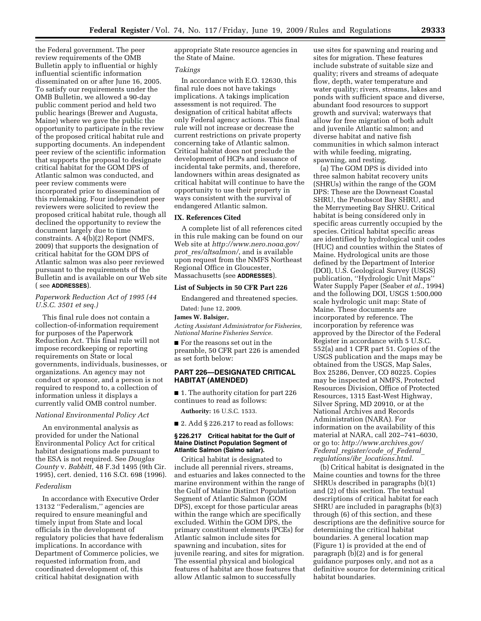the Federal government. The peer review requirements of the OMB Bulletin apply to influential or highly influential scientific information disseminated on or after June 16, 2005. To satisfy our requirements under the OMB Bulletin, we allowed a 90-day public comment period and held two public hearings (Brewer and Augusta, Maine) where we gave the public the opportunity to participate in the review of the proposed critical habitat rule and supporting documents. An independent peer review of the scientific information that supports the proposal to designate critical habitat for the GOM DPS of Atlantic salmon was conducted, and peer review comments were incorporated prior to dissemination of this rulemaking. Four independent peer reviewers were solicited to review the proposed critical habitat rule, though all declined the opportunity to review the document largely due to time constraints. A 4(b)(2) Report (NMFS, 2009) that supports the designation of critical habitat for the GOM DPS of Atlantic salmon was also peer reviewed pursuant to the requirements of the Bulletin and is available on our Web site ( see **ADDRESSES**).

# *Paperwork Reduction Act of 1995 (44 U.S.C. 3501 et seq.)*

This final rule does not contain a collection-of-information requirement for purposes of the Paperwork Reduction Act. This final rule will not impose recordkeeping or reporting requirements on State or local governments, individuals, businesses, or organizations. An agency may not conduct or sponsor, and a person is not required to respond to, a collection of information unless it displays a currently valid OMB control number.

# *National Environmental Policy Act*

An environmental analysis as provided for under the National Environmental Policy Act for critical habitat designations made pursuant to the ESA is not required. See *Douglas County* v. *Babbitt,* 48 F.3d 1495 (9th Cir. 1995), cert. denied, 116 S.Ct. 698 (1996).

# *Federalism*

In accordance with Executive Order 13132 ''Federalism,'' agencies are required to ensure meaningful and timely input from State and local officials in the development of regulatory policies that have federalism implications. In accordance with Department of Commerce policies, we requested information from, and coordinated development of, this critical habitat designation with

appropriate State resource agencies in the State of Maine.

# *Takings*

In accordance with E.O. 12630, this final rule does not have takings implications. A takings implication assessment is not required. The designation of critical habitat affects only Federal agency actions. This final rule will not increase or decrease the current restrictions on private property concerning take of Atlantic salmon. Critical habitat does not preclude the development of HCPs and issuance of incidental take permits, and, therefore, landowners within areas designated as critical habitat will continue to have the opportunity to use their property in ways consistent with the survival of endangered Atlantic salmon.

# **IX. References Cited**

A complete list of all references cited in this rule making can be found on our Web site at *[http://www.nero.noaa.gov/](http://www.nero.noaa.gov/prot_res/altsalmon/) prot*\_*res/altsalmon/*, and is available upon request from the NMFS Northeast Regional Office in Gloucester, Massachusetts (see **ADDRESSES**).

# **List of Subjects in 50 CFR Part 226**

Endangered and threatened species.

Dated: June 12, 2009.

# **James W. Balsiger,**

*Acting Assistant Administrator for Fisheries, National Marine Fisheries Service.* 

■ For the reasons set out in the preamble, 50 CFR part 226 is amended as set forth below:

# **PART 226—DESIGNATED CRITICAL HABITAT (AMENDED)**

■ 1. The authority citation for part 226 continues to read as follows:

**Authority:** 16 U.S.C. 1533.

 $\blacksquare$  2. Add § 226.217 to read as follows:

# **§ 226.217 Critical habitat for the Gulf of Maine Distinct Population Segment of Atlantic Salmon (Salmo salar).**

Critical habitat is designated to include all perennial rivers, streams, and estuaries and lakes connected to the marine environment within the range of the Gulf of Maine Distinct Population Segment of Atlantic Salmon (GOM DPS), except for those particular areas within the range which are specifically excluded. Within the GOM DPS, the primary constituent elements (PCEs) for Atlantic salmon include sites for spawning and incubation, sites for juvenile rearing, and sites for migration. The essential physical and biological features of habitat are those features that allow Atlantic salmon to successfully

use sites for spawning and rearing and sites for migration. These features include substrate of suitable size and quality; rivers and streams of adequate flow, depth, water temperature and water quality; rivers, streams, lakes and ponds with sufficient space and diverse, abundant food resources to support growth and survival; waterways that allow for free migration of both adult and juvenile Atlantic salmon; and diverse habitat and native fish communities in which salmon interact with while feeding, migrating, spawning, and resting.

(a) The GOM DPS is divided into three salmon habitat recovery units (SHRUs) within the range of the GOM DPS: These are the Downeast Coastal SHRU, the Penobscot Bay SHRU, and the Merrymeeting Bay SHRU. Critical habitat is being considered only in specific areas currently occupied by the species. Critical habitat specific areas are identified by hydrological unit codes (HUC) and counties within the States of Maine. Hydrological units are those defined by the Department of Interior (DOI), U.S. Geological Survey (USGS) publication, ''Hydrologic Unit Maps'' Water Supply Paper (Seaber *et al.*, 1994) and the following DOI, USGS 1:500,000 scale hydrologic unit map: State of Maine. These documents are incorporated by reference. The incorporation by reference was approved by the Director of the Federal Register in accordance with 5 U.S.C. 552(a) and 1 CFR part 51. Copies of the USGS publication and the maps may be obtained from the USGS, Map Sales, Box 25286, Denver, CO 80225. Copies may be inspected at NMFS, Protected Resources Division, Office of Protected Resources, 1315 East-West Highway, Silver Spring, MD 20910, or at the National Archives and Records Administration (NARA). For information on the availability of this material at NARA, call 202–741–6030, or go to: *[http://www.archives.gov/](http://www.archives.gov/federal_register/code_of_federal_regulations/ibr_locations.html) Federal*\_*register/code*\_*of*\_*Federal*\_ *regulations/ibr*\_*locations.html*.

(b) Critical habitat is designated in the Maine counties and towns for the three SHRUs described in paragraphs (b)(1) and (2) of this section. The textual descriptions of critical habitat for each SHRU are included in paragraphs (b)(3) through (6) of this section, and these descriptions are the definitive source for determining the critical habitat boundaries. A general location map (Figure 1) is provided at the end of paragraph (b)(2) and is for general guidance purposes only, and not as a definitive source for determining critical habitat boundaries.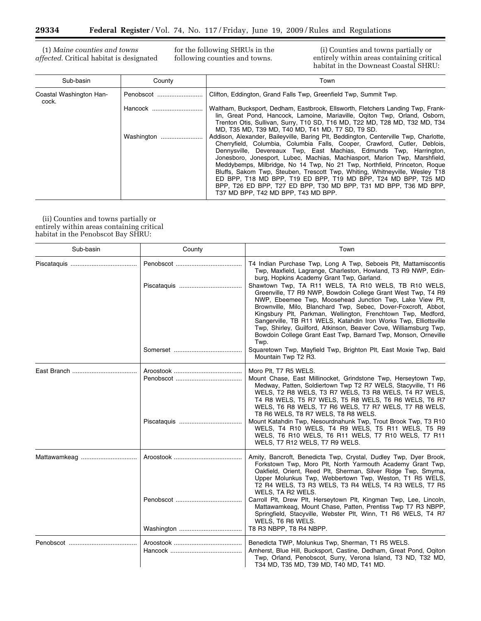۳

(1) *Maine counties and towns affected*. Critical habitat is designated for the following SHRUs in the following counties and towns.

(i) Counties and towns partially or entirely within areas containing critical habitat in the Downeast Coastal SHRU:

| Sub-basin                        | County     | Town                                                                                                                                                                                                                                                                                                                                                                                                                                                                                                                                                                                                                                                           |
|----------------------------------|------------|----------------------------------------------------------------------------------------------------------------------------------------------------------------------------------------------------------------------------------------------------------------------------------------------------------------------------------------------------------------------------------------------------------------------------------------------------------------------------------------------------------------------------------------------------------------------------------------------------------------------------------------------------------------|
| Coastal Washington Han-<br>cock. | Penobscot  | Clifton, Eddington, Grand Falls Twp, Greenfield Twp, Summit Twp.                                                                                                                                                                                                                                                                                                                                                                                                                                                                                                                                                                                               |
|                                  | Hancock    | Waltham, Bucksport, Dedham, Eastbrook, Ellsworth, Fletchers Landing Twp, Frank-<br>lin, Great Pond, Hancock, Lamoine, Mariaville, Ogiton Twp, Orland, Osborn,<br>Trenton Otis, Sullivan, Surry, T10 SD, T16 MD, T22 MD, T28 MD, T32 MD, T34<br>MD, T35 MD, T39 MD, T40 MD, T41 MD, T7 SD, T9 SD.                                                                                                                                                                                                                                                                                                                                                               |
|                                  | Washington | Addison, Alexander, Baileyville, Baring Plt, Beddington, Centerville Twp, Charlotte,<br>Cherryfield, Columbia, Columbia Falls, Cooper, Crawford, Cutler, Deblois,<br>Dennysville, Devereaux Twp, East Machias, Edmunds Twp, Harrington,<br>Jonesboro, Jonesport, Lubec, Machias, Machiasport, Marion Twp, Marshfield,<br>Meddybemps, Milbridge, No 14 Twp, No 21 Twp, Northfield, Princeton, Roque<br>Bluffs, Sakom Twp, Steuben, Trescott Twp, Whiting, Whitneyville, Wesley T18<br>ED BPP, T18 MD BPP, T19 ED BPP, T19 MD BPP, T24 MD BPP, T25 MD<br>BPP, T26 ED BPP, T27 ED BPP, T30 MD BPP, T31 MD BPP, T36 MD BPP,<br>T37 MD BPP, T42 MD BPP, T43 MD BPP. |

(ii) Counties and towns partially or entirely within areas containing critical habitat in the Penobscot Bay SHRU:

| Sub-basin    | County | Town                                                                                                                                                                                                                                                                                                                                                                                                                                                                                                                                                                                                                                                                                                                   |
|--------------|--------|------------------------------------------------------------------------------------------------------------------------------------------------------------------------------------------------------------------------------------------------------------------------------------------------------------------------------------------------------------------------------------------------------------------------------------------------------------------------------------------------------------------------------------------------------------------------------------------------------------------------------------------------------------------------------------------------------------------------|
|              |        | T4 Indian Purchase Twp, Long A Twp, Seboeis Plt, Mattamiscontis<br>Twp, Maxfield, Lagrange, Charleston, Howland, T3 R9 NWP, Edin-<br>burg, Hopkins Academy Grant Twp, Garland.<br>Shawtown Twp, TA R11 WELS, TA R10 WELS, TB R10 WELS,<br>Greenville, T7 R9 NWP, Bowdoin College Grant West Twp, T4 R9<br>NWP, Ebeemee Twp, Moosehead Junction Twp, Lake View Plt,<br>Brownville, Milo, Blanchard Twp, Sebec, Dover-Foxcroft, Abbot,<br>Kingsbury Plt, Parkman, Wellington, Frenchtown Twp, Medford,<br>Sangerville, TB R11 WELS, Katahdin Iron Works Twp, Elliottsville<br>Twp, Shirley, Guilford, Atkinson, Beaver Cove, Williamsburg Twp,<br>Bowdoin College Grant East Twp, Barnard Twp, Monson, Orneville<br>Twp. |
|              |        | Squaretown Twp, Mayfield Twp, Brighton Plt, East Moxie Twp, Bald<br>Mountain Twp T2 R3.                                                                                                                                                                                                                                                                                                                                                                                                                                                                                                                                                                                                                                |
|              |        | Moro Plt, T7 R5 WELS.<br>Mount Chase, East Millinocket, Grindstone Twp, Herseytown Twp,<br>Medway, Patten, Soldiertown Twp T2 R7 WELS, Stacyville, T1 R6<br>WELS, T2 R8 WELS, T3 R7 WELS, T3 R8 WELS, T4 R7 WELS,<br>T4 R8 WELS, T5 R7 WELS, T5 R8 WELS, T6 R6 WELS, T6 R7<br>WELS, T6 R8 WELS, T7 R6 WELS, T7 R7 WELS, T7 R8 WELS,<br>T8 R6 WELS, T8 R7 WELS, T8 R8 WELS.<br>Mount Katahdin Twp, Nesourdnahunk Twp, Trout Brook Twp, T3 R10<br>WELS, T4 R10 WELS, T4 R9 WELS, T5 R11 WELS, T5 R9                                                                                                                                                                                                                      |
|              |        | WELS, T6 R10 WELS, T6 R11 WELS, T7 R10 WELS, T7 R11<br>WELS, T7 R12 WELS, T7 R9 WELS.                                                                                                                                                                                                                                                                                                                                                                                                                                                                                                                                                                                                                                  |
| Mattawamkeag |        | Amity, Bancroft, Benedicta Twp, Crystal, Dudley Twp, Dyer Brook,<br>Forkstown Twp, Moro Plt, North Yarmouth Academy Grant Twp,<br>Oakfield, Orient, Reed Plt, Sherman, Silver Ridge Twp, Smyrna,<br>Upper Molunkus Twp, Webbertown Twp, Weston, T1 R5 WELS,<br>T2 R4 WELS, T3 R3 WELS, T3 R4 WELS, T4 R3 WELS, T7 R5<br>WELS, TA R2 WELS.                                                                                                                                                                                                                                                                                                                                                                              |
|              |        | Carroll Plt, Drew Plt, Herseytown Plt, Kingman Twp, Lee, Lincoln,<br>Mattawamkeag, Mount Chase, Patten, Prentiss Twp T7 R3 NBPP,<br>Springfield, Stacyville, Webster Plt, Winn, T1 R6 WELS, T4 R7<br>WELS, T6 R6 WELS.                                                                                                                                                                                                                                                                                                                                                                                                                                                                                                 |
|              |        | T8 R3 NBPP, T8 R4 NBPP.                                                                                                                                                                                                                                                                                                                                                                                                                                                                                                                                                                                                                                                                                                |
|              |        | Benedicta TWP, Molunkus Twp, Sherman, T1 R5 WELS.<br>Amherst, Blue Hill, Bucksport, Castine, Dedham, Great Pond, Oqiton<br>Twp, Orland, Penobscot, Surry, Verona Island, T3 ND, T32 MD,<br>T34 MD, T35 MD, T39 MD, T40 MD, T41 MD.                                                                                                                                                                                                                                                                                                                                                                                                                                                                                     |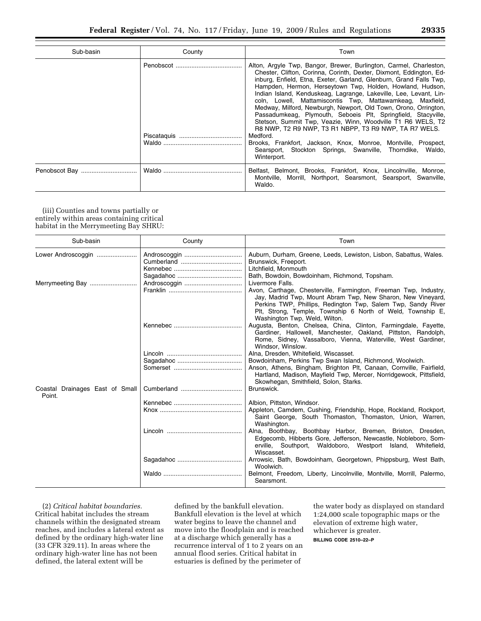| Sub-basin     | County | Town                                                                                                                                                                                                                                                                                                                                                                                                                                                                                                                                                                                                                                                                                                                                                                                                                                 |
|---------------|--------|--------------------------------------------------------------------------------------------------------------------------------------------------------------------------------------------------------------------------------------------------------------------------------------------------------------------------------------------------------------------------------------------------------------------------------------------------------------------------------------------------------------------------------------------------------------------------------------------------------------------------------------------------------------------------------------------------------------------------------------------------------------------------------------------------------------------------------------|
|               |        | Alton, Argyle Twp, Bangor, Brewer, Burlington, Carmel, Charleston,<br>Chester, Clifton, Corinna, Corinth, Dexter, Dixmont, Eddington, Ed-<br>inburg, Enfield, Etna, Exeter, Garland, Glenburn, Grand Falls Twp,<br>Hampden, Hermon, Herseytown Twp, Holden, Howland, Hudson,<br>Indian Island, Kenduskeag, Lagrange, Lakeville, Lee, Levant, Lin-<br>coln, Lowell, Mattamiscontis Twp, Mattawamkeag, Maxfield,<br>Medway, Milford, Newburgh, Newport, Old Town, Orono, Orrington,<br>Passadumkeag, Plymouth, Seboeis Plt, Springfield, Stacyville,<br>Stetson, Summit Twp, Veazie, Winn, Woodville T1 R6 WELS, T2<br>R8 NWP, T2 R9 NWP, T3 R1 NBPP, T3 R9 NWP, TA R7 WELS.<br>Medford.<br>Brooks, Frankfort, Jackson, Knox, Monroe, Montville, Prospect,<br>Searsport, Stockton Springs, Swanville, Thorndike, Waldo,<br>Winterport. |
| Penobscot Bay |        | Belfast, Belmont, Brooks, Frankfort, Knox, Lincolnville, Monroe,<br>Montville, Morrill, Northport, Searsmont, Searsport, Swanville,<br>Waldo.                                                                                                                                                                                                                                                                                                                                                                                                                                                                                                                                                                                                                                                                                        |

(iii) Counties and towns partially or entirely within areas containing critical habitat in the Merrymeeting Bay SHRU:

| Sub-basin                                 | County | Town                                                                                                                                                                                                                                                                                           |
|-------------------------------------------|--------|------------------------------------------------------------------------------------------------------------------------------------------------------------------------------------------------------------------------------------------------------------------------------------------------|
| Lower Androscoggin                        |        | Auburn, Durham, Greene, Leeds, Lewiston, Lisbon, Sabattus, Wales.<br>Brunswick, Freeport.                                                                                                                                                                                                      |
|                                           |        | Litchfield, Monmouth<br>Bath, Bowdoin, Bowdoinham, Richmond, Topsham.                                                                                                                                                                                                                          |
|                                           |        | Livermore Falls.                                                                                                                                                                                                                                                                               |
|                                           |        | Avon, Carthage, Chesterville, Farmington, Freeman Twp, Industry,<br>Jay, Madrid Twp, Mount Abram Twp, New Sharon, New Vineyard,<br>Perkins TWP, Phillips, Redington Twp, Salem Twp, Sandy River<br>Plt, Strong, Temple, Township 6 North of Weld, Township E,<br>Washington Twp, Weld, Wilton. |
|                                           |        | Augusta, Benton, Chelsea, China, Clinton, Farmingdale, Fayette,<br>Gardiner, Hallowell, Manchester, Oakland, Pittston, Randolph,<br>Rome, Sidney, Vassalboro, Vienna, Waterville, West Gardiner,<br>Windsor, Winslow.                                                                          |
|                                           |        | Alna, Dresden, Whitefield, Wiscasset.                                                                                                                                                                                                                                                          |
|                                           |        | Bowdoinham, Perkins Twp Swan Island, Richmond, Woolwich.                                                                                                                                                                                                                                       |
|                                           |        | Anson, Athens, Bingham, Brighton Plt, Canaan, Cornville, Fairfield,<br>Hartland, Madison, Mayfield Twp, Mercer, Norridgewock, Pittsfield,<br>Skowhegan, Smithfield, Solon, Starks.                                                                                                             |
| Coastal Drainages East of Small<br>Point. |        | Brunswick.                                                                                                                                                                                                                                                                                     |
|                                           |        | Albion, Pittston, Windsor.                                                                                                                                                                                                                                                                     |
|                                           |        | Appleton, Camdem, Cushing, Friendship, Hope, Rockland, Rockport,<br>Saint George, South Thomaston, Thomaston, Union, Warren,<br>Washington.                                                                                                                                                    |
|                                           |        | Alna, Boothbay, Boothbay Harbor, Bremen, Briston, Dresden,<br>Edgecomb, Hibberts Gore, Jefferson, Newcastle, Nobleboro, Som-<br>erville, Southport, Waldoboro, Westport Island, Whitefield,<br>Wiscasset.                                                                                      |
|                                           |        | Arrowsic, Bath, Bowdoinham, Georgetown, Phippsburg, West Bath,<br>Woolwich.                                                                                                                                                                                                                    |
|                                           |        | Belmont, Freedom, Liberty, Lincolnville, Montville, Morrill, Palermo,<br>Searsmont.                                                                                                                                                                                                            |

(2) *Critical habitat boundaries.*  Critical habitat includes the stream channels within the designated stream reaches, and includes a lateral extent as defined by the ordinary high-water line (33 CFR 329.11). In areas where the ordinary high-water line has not been defined, the lateral extent will be

defined by the bankfull elevation. Bankfull elevation is the level at which water begins to leave the channel and move into the floodplain and is reached at a discharge which generally has a recurrence interval of 1 to 2 years on an annual flood series. Critical habitat in estuaries is defined by the perimeter of

the water body as displayed on standard 1:24,000 scale topographic maps or the elevation of extreme high water, whichever is greater. **BILLING CODE 2510–22–P**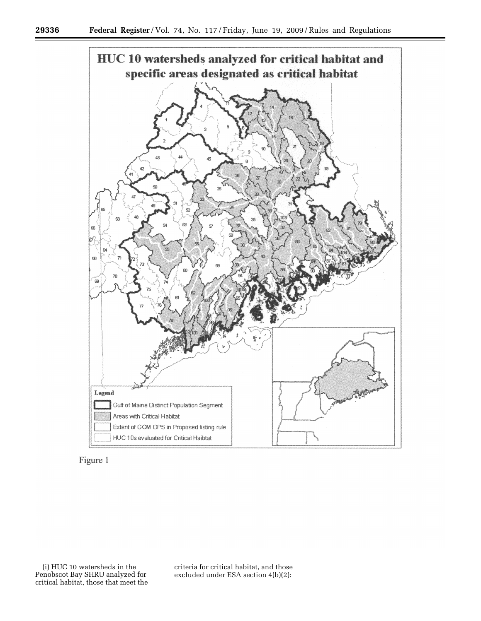



criteria for critical habitat, and those excluded under ESA section 4(b)(2):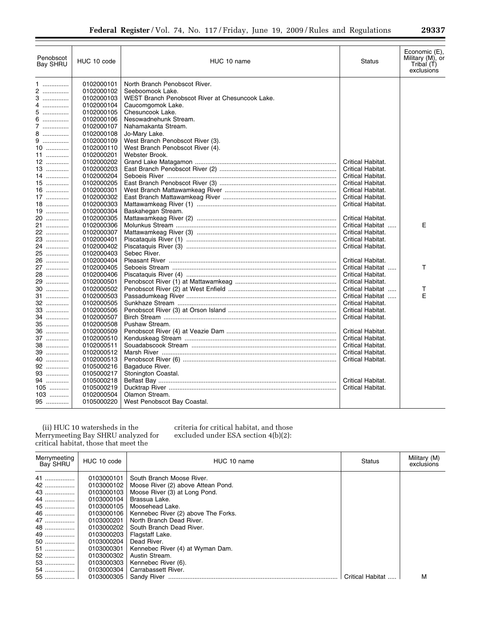| Penobscot<br>Bay SHRU | HUC 10 code              | HUC 10 name                                     | <b>Status</b>     | Economic (E),<br>Military (M), or<br>Tribal (T)<br>exclusions |
|-----------------------|--------------------------|-------------------------------------------------|-------------------|---------------------------------------------------------------|
| 1                     | 0102000101               | North Branch Penobscot River.                   |                   |                                                               |
| 2                     | 0102000102               | Seeboomook Lake.                                |                   |                                                               |
| 3                     | 0102000103               | WEST Branch Penobscot River at Chesuncook Lake. |                   |                                                               |
| 4                     | 0102000104               | Caucomgomok Lake.                               |                   |                                                               |
| 5.                    | 0102000105               | Chesuncook Lake.                                |                   |                                                               |
| 6                     | 0102000106               | Nesowadnehunk Stream.                           |                   |                                                               |
| 7                     | 0102000107               | Nahamakanta Stream.                             |                   |                                                               |
| 8                     | 0102000108               | Jo-Mary Lake.                                   |                   |                                                               |
| 9                     | 0102000109               | West Branch Penobscot River (3).                |                   |                                                               |
| 10                    | 0102000110               | West Branch Penobscot River (4).                |                   |                                                               |
| 11                    | 0102000201               | Webster Brook.                                  |                   |                                                               |
| 12                    | 0102000202               |                                                 | Critical Habitat. |                                                               |
| 13                    | 0102000203               |                                                 | Critical Habitat. |                                                               |
| 14                    | 0102000204               |                                                 | Critical Habitat. |                                                               |
| 15                    | 0102000205               |                                                 | Critical Habitat. |                                                               |
| $16$                  | 0102000301               |                                                 | Critical Habitat. |                                                               |
| 17                    | 0102000302               |                                                 | Critical Habitat. |                                                               |
| 18<br>19              | 0102000303               |                                                 | Critical Habitat. |                                                               |
| 20                    | 0102000304<br>0102000305 | Baskahegan Stream.                              | Critical Habitat. |                                                               |
| 21                    | 0102000306               |                                                 | Critical Habitat  | E                                                             |
| 22                    | 0102000307               |                                                 | Critical Habitat. |                                                               |
| 23                    | 0102000401               |                                                 | Critical Habitat. |                                                               |
| 24                    | 0102000402               |                                                 | Critical Habitat. |                                                               |
| 25                    | 0102000403               | Sebec River.                                    |                   |                                                               |
| 26                    | 0102000404               |                                                 | Critical Habitat. |                                                               |
| 27                    | 0102000405               |                                                 | Critical Habitat  | т                                                             |
| 28                    | 0102000406               |                                                 | Critical Habitat. |                                                               |
| 29                    | 0102000501               |                                                 | Critical Habitat. |                                                               |
| 30                    | 0102000502               |                                                 | Critical Habitat  | т                                                             |
| 31                    | 0102000503               |                                                 | Critical Habitat  | E                                                             |
| 32                    | 0102000505               |                                                 | Critical Habitat. |                                                               |
| 33                    | 0102000506               |                                                 | Critical Habitat. |                                                               |
| 34                    | 0102000507               |                                                 | Critical Habitat. |                                                               |
| 35                    | 0102000508               | Pushaw Stream.                                  |                   |                                                               |
| 36                    | 0102000509               |                                                 | Critical Habitat. |                                                               |
| 37                    | 0102000510               |                                                 | Critical Habitat. |                                                               |
| 38                    | 0102000511               |                                                 | Critical Habitat. |                                                               |
| 39                    | 0102000512               |                                                 | Critical Habitat. |                                                               |
| 40                    | 0102000513               |                                                 | Critical Habitat. |                                                               |
| 92                    | 0105000216               | Bagaduce River.                                 |                   |                                                               |
| 93                    | 0105000217               | Stonington Coastal.                             |                   |                                                               |
| 94                    | 0105000218               |                                                 | Critical Habitat. |                                                               |
| 105                   | 0105000219               |                                                 | Critical Habitat. |                                                               |
| 103                   | 0102000504               | Olamon Stream.                                  |                   |                                                               |
| 95                    | 0105000220               | West Penobscot Bay Coastal.                     |                   |                                                               |

(ii) HUC 10 watersheds in the Merrymeeting Bay SHRU analyzed for critical habitat, those that meet the

criteria for critical habitat, and those excluded under ESA section 4(b)(2):

| Merrymeeting<br>Bay SHRU | HUC 10 code | HUC 10 name                         | <b>Status</b> | Military (M)<br>exclusions |
|--------------------------|-------------|-------------------------------------|---------------|----------------------------|
| 41                       | 0103000101  | South Branch Moose River.           |               |                            |
| 42                       | 0103000102  | Moose River (2) above Attean Pond.  |               |                            |
| 43                       | 0103000103  | Moose River (3) at Long Pond.       |               |                            |
| 44                       | 0103000104  | Brassua Lake.                       |               |                            |
| 45                       | 0103000105  | Moosehead Lake.                     |               |                            |
| 46                       | 0103000106  | Kennebec River (2) above The Forks. |               |                            |
| 47                       | 0103000201  | North Branch Dead River.            |               |                            |
| 48                       | 0103000202  | South Branch Dead River.            |               |                            |
| 49                       | 0103000203  | Flagstaff Lake.                     |               |                            |
| 50                       | 0103000204  | Dead River.                         |               |                            |
| 51                       | 0103000301  | Kennebec River (4) at Wyman Dam.    |               |                            |
| 52                       | 0103000302  | Austin Stream.                      |               |                            |
| 53                       | 0103000303  | Kennebec River (6).                 |               |                            |
| 54                       | 0103000304  | Carrabassett River.                 |               |                            |
| 55                       | 0103000305  |                                     |               | м                          |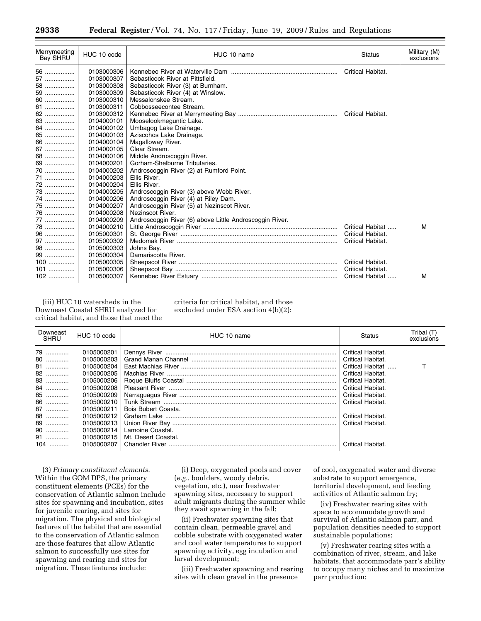| Merrymeeting<br>Bay SHRU | HUC 10 code | HUC 10 name                                             | Status            | Military (M)<br>exclusions |
|--------------------------|-------------|---------------------------------------------------------|-------------------|----------------------------|
| 56                       | 0103000306  |                                                         | Critical Habitat. |                            |
| 57                       | 0103000307  | Sebasticook River at Pittsfield.                        |                   |                            |
| 58                       | 0103000308  | Sebasticook River (3) at Burnham.                       |                   |                            |
| 59                       | 0103000309  | Sebasticook River (4) at Winslow.                       |                   |                            |
| 60                       | 0103000310  | Messalonskee Stream.                                    |                   |                            |
| 61                       | 0103000311  | Cobbosseecontee Stream.                                 |                   |                            |
| 62                       | 0103000312  |                                                         | Critical Habitat. |                            |
| 63                       | 0104000101  | Mooselookmeguntic Lake.                                 |                   |                            |
| 64                       | 0104000102  | Umbagog Lake Drainage.                                  |                   |                            |
| 65                       | 0104000103  | Aziscohos Lake Drainage.                                |                   |                            |
| 66                       | 0104000104  | Magalloway River.                                       |                   |                            |
| 67                       | 0104000105  | Clear Stream.                                           |                   |                            |
| 68                       | 0104000106  | Middle Androscoggin River.                              |                   |                            |
| 69                       | 0104000201  | Gorham-Shelburne Tributaries.                           |                   |                            |
| 70                       | 0104000202  | Androscoggin River (2) at Rumford Point.                |                   |                            |
| 71                       | 0104000203  | Ellis River.                                            |                   |                            |
| 72                       | 0104000204  | Ellis River.                                            |                   |                            |
| 73                       | 0104000205  | Androscoggin River (3) above Webb River.                |                   |                            |
| 74                       | 0104000206  | Androscoggin River (4) at Riley Dam.                    |                   |                            |
| 75                       | 0104000207  | Androscoggin River (5) at Nezinscot River.              |                   |                            |
| 76                       | 0104000208  | Nezinscot River.                                        |                   |                            |
| 77                       | 0104000209  | Androscoggin River (6) above Little Androscoggin River. |                   |                            |
| 78                       | 0104000210  |                                                         | Critical Habitat  | M                          |
| 96                       | 0105000301  |                                                         | Critical Habitat. |                            |
| 97                       | 0105000302  |                                                         | Critical Habitat. |                            |
| 98                       | 0105000303  | Johns Bay.                                              |                   |                            |
| 99                       | 0105000304  | Damariscotta River.                                     |                   |                            |
| $100$                    | 0105000305  |                                                         | Critical Habitat. |                            |
| 101                      | 0105000306  |                                                         | Critical Habitat. |                            |
| $102$                    | 0105000307  |                                                         |                   | м                          |

(iii) HUC 10 watersheds in the Downeast Coastal SHRU analyzed for critical habitat, and those that meet the criteria for critical habitat, and those excluded under ESA section 4(b)(2):

| Downeast<br>SHRU                                                                    | HUC 10 code                                                                                                                                                                                      | HUC 10 name                                                    | Status                                                                                                                                                                                                                             | Tribal (T)<br>exclusions |
|-------------------------------------------------------------------------------------|--------------------------------------------------------------------------------------------------------------------------------------------------------------------------------------------------|----------------------------------------------------------------|------------------------------------------------------------------------------------------------------------------------------------------------------------------------------------------------------------------------------------|--------------------------|
| 79<br>80<br>81<br>82<br>83<br>84<br>85<br>86<br>87<br>88<br>89<br>90<br>91<br>$104$ | 0105000201<br>0105000203<br>0105000204<br>0105000205<br>0105000206<br>0105000208<br>0105000209<br>0105000210<br>0105000211<br>0105000212<br>0105000213<br>0105000214<br>0105000215<br>0105000207 | Bois Bubert Coasta.<br>Lamoine Coastal.<br>Mt. Desert Coastal. | Critical Habitat.<br>Critical Habitat.<br>Critical Habitat<br>Critical Habitat.<br>Critical Habitat.<br>Critical Habitat.<br>Critical Habitat.<br>Critical Habitat.<br>Critical Habitat.<br>Critical Habitat.<br>Critical Habitat. |                          |

(3) *Primary constituent elements.*  Within the GOM DPS, the primary constituent elements (PCEs) for the conservation of Atlantic salmon include sites for spawning and incubation, sites for juvenile rearing, and sites for migration. The physical and biological features of the habitat that are essential to the conservation of Atlantic salmon are those features that allow Atlantic salmon to successfully use sites for spawning and rearing and sites for migration. These features include:

(i) Deep, oxygenated pools and cover (*e.g.*, boulders, woody debris, vegetation, etc.), near freshwater spawning sites, necessary to support adult migrants during the summer while they await spawning in the fall;

(ii) Freshwater spawning sites that contain clean, permeable gravel and cobble substrate with oxygenated water and cool water temperatures to support spawning activity, egg incubation and larval development;

(iii) Freshwater spawning and rearing sites with clean gravel in the presence

of cool, oxygenated water and diverse substrate to support emergence, territorial development, and feeding activities of Atlantic salmon fry;

(iv) Freshwater rearing sites with space to accommodate growth and survival of Atlantic salmon parr, and population densities needed to support sustainable populations;

(v) Freshwater rearing sites with a combination of river, stream, and lake habitats, that accommodate parr's ability to occupy many niches and to maximize parr production;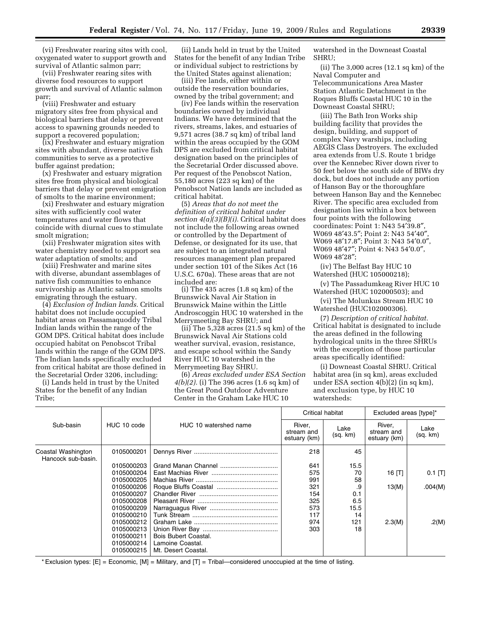(vi) Freshwater rearing sites with cool, oxygenated water to support growth and survival of Atlantic salmon parr;

(vii) Freshwater rearing sites with diverse food resources to support growth and survival of Atlantic salmon parr;

(viii) Freshwater and estuary migratory sites free from physical and biological barriers that delay or prevent access to spawning grounds needed to support a recovered population;

(ix) Freshwater and estuary migration sites with abundant, diverse native fish communities to serve as a protective buffer against predation;

(x) Freshwater and estuary migration sites free from physical and biological barriers that delay or prevent emigration of smolts to the marine environment;

(xi) Freshwater and estuary migration sites with sufficiently cool water temperatures and water flows that coincide with diurnal cues to stimulate smolt migration;

(xii) Freshwater migration sites with water chemistry needed to support sea water adaptation of smolts; and

(xiii) Freshwater and marine sites with diverse, abundant assemblages of native fish communities to enhance survivorship as Atlantic salmon smolts emigrating through the estuary.

(4) *Exclusion of Indian lands.* Critical habitat does not include occupied habitat areas on Passamaquoddy Tribal Indian lands within the range of the GOM DPS. Critical habitat does include occupied habitat on Penobscot Tribal lands within the range of the GOM DPS. The Indian lands specifically excluded from critical habitat are those defined in the Secretarial Order 3206, including:

(i) Lands held in trust by the United States for the benefit of any Indian Tribe;

(ii) Lands held in trust by the United States for the benefit of any Indian Tribe or individual subject to restrictions by the United States against alienation;

(iii) Fee lands, either within or outside the reservation boundaries, owned by the tribal government; and

(iv) Fee lands within the reservation boundaries owned by individual Indians. We have determined that the rivers, streams, lakes, and estuaries of 9,571 acres (38.7 sq km) of tribal land within the areas occupied by the GOM DPS are excluded from critical habitat designation based on the principles of the Secretarial Order discussed above. Per request of the Penobscot Nation, 55,180 acres (223 sq km) of the Penobscot Nation lands are included as critical habitat.

(5) *Areas that do not meet the definition of critical habitat under section 4(a)(3)(B)(i).* Critical habitat does not include the following areas owned or controlled by the Department of Defense, or designated for its use, that are subject to an integrated natural resources management plan prepared under section 101 of the Sikes Act (16 U.S.C. 670a). These areas that are not included are:

(i) The 435 acres (1.8 sq km) of the Brunswick Naval Air Station in Brunswick Maine within the Little Androscoggin HUC 10 watershed in the Merrymeeting Bay SHRU; and

(ii) The 5,328 acres (21.5 sq km) of the Brunswick Naval Air Stations cold weather survival, evasion, resistance, and escape school within the Sandy River HUC 10 watershed in the Merrymeeting Bay SHRU.

(6) *Areas excluded under ESA Section 4(b)(2).* (i) The 396 acres (1.6 sq km) of the Great Pond Outdoor Adventure Center in the Graham Lake HUC 10

watershed in the Downeast Coastal SHRU;

(ii) The 3,000 acres (12.1 sq km) of the Naval Computer and Telecommunications Area Master Station Atlantic Detachment in the Roques Bluffs Coastal HUC 10 in the Downeast Coastal SHRU;

(iii) The Bath Iron Works ship building facility that provides the design, building, and support of complex Navy warships, including AEGIS Class Destroyers. The excluded area extends from U.S. Route 1 bridge over the Kennebec River down river to 50 feet below the south side of BIWs dry dock, but does not include any portion of Hanson Bay or the thoroughfare between Hanson Bay and the Kennebec River. The specific area excluded from designation lies within a box between four points with the following coordinates: Point 1: N43 54′39.8″, W069 48′43.5″; Point 2: N43 54′40″, W069 48′17.8″; Point 3: N43 54′0.0″, W069 48′47″; Point 4: N43 54′0.0″, W069 48′28″;

(iv) The Belfast Bay HUC 10 Watershed (HUC 105000218);

(v) The Passadumkeag River HUC 10 Watershed (HUC 102000503); and

(vi) The Molunkus Stream HUC 10 Watershed (HUC102000306).

(7) *Description of critical habitat.*  Critical habitat is designated to include the areas defined in the following hydrological units in the three SHRUs with the exception of those particular areas specifically identified:

(i) Downeast Coastal SHRU. Critical habitat area (in sq km), areas excluded under ESA section 4(b)(2) (in sq km), and exclusion type, by HUC 10 watersheds:

|                                          |             |                       | Critical habitat                     |                  | Excluded areas [type]*               |                  |
|------------------------------------------|-------------|-----------------------|--------------------------------------|------------------|--------------------------------------|------------------|
| Sub-basin                                | HUC 10 code | HUC 10 watershed name | River,<br>stream and<br>estuary (km) | Lake<br>(sq. km) | River,<br>stream and<br>estuary (km) | Lake<br>(sq. km) |
| Coastal Washington<br>Hancock sub-basin. | 0105000201  |                       | 218                                  | 45               |                                      |                  |
|                                          | 0105000203  |                       | 641                                  | 15.5             |                                      |                  |
|                                          | 0105000204  |                       | 575                                  | 70               | 16 $[T]$                             | $0.1$ [T]        |
|                                          | 0105000205  |                       | 991                                  | 58               |                                      |                  |
|                                          | 0105000206  |                       | 321                                  | .9               | 13(M)                                | .004(M)          |
|                                          | 0105000207  |                       | 154                                  | 0.1              |                                      |                  |
|                                          | 0105000208  |                       | 325                                  | 6.5              |                                      |                  |
|                                          | 0105000209  |                       | 573                                  | 15.5             |                                      |                  |
|                                          | 0105000210  |                       | 117                                  | 14               |                                      |                  |
|                                          | 0105000212  |                       | 974                                  | 121              | 2.3(M)                               | .2(M)            |
|                                          | 0105000213  |                       | 303                                  | 18               |                                      |                  |
|                                          | 0105000211  | Bois Bubert Coastal.  |                                      |                  |                                      |                  |
|                                          | 0105000214  | Lamoine Coastal.      |                                      |                  |                                      |                  |
|                                          | 0105000215  | Mt. Desert Coastal.   |                                      |                  |                                      |                  |

\* Exclusion types: [E] = Economic, [M] = Military, and [T] = Tribal—considered unoccupied at the time of listing.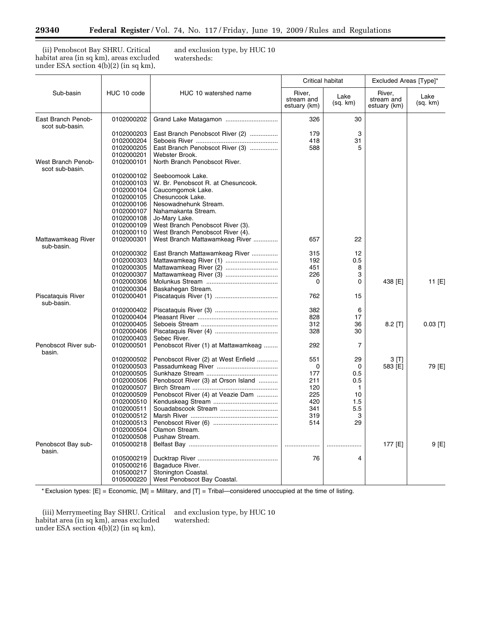۳

(ii) Penobscot Bay SHRU. Critical habitat area (in sq km), areas excluded under ESA section 4(b)(2) (in sq km),

and exclusion type, by HUC 10 watersheds:

|                                       |                          |                                              | Critical habitat                     |                  | Excluded Areas [Type]*               |                  |
|---------------------------------------|--------------------------|----------------------------------------------|--------------------------------------|------------------|--------------------------------------|------------------|
| Sub-basin                             | HUC 10 code              | HUC 10 watershed name                        | River.<br>stream and<br>estuary (km) | Lake<br>(sq. km) | River.<br>stream and<br>estuary (km) | Lake<br>(sq. km) |
| East Branch Penob-<br>scot sub-basin. | 0102000202               |                                              | 326                                  | 30               |                                      |                  |
|                                       | 0102000203               | East Branch Penobscot River (2)              | 179                                  | 3                |                                      |                  |
|                                       | 0102000204               |                                              | 418                                  | 31               |                                      |                  |
|                                       | 0102000205               | East Branch Penobscot River (3)              | 588                                  | 5                |                                      |                  |
|                                       | 0102000201               | Webster Brook.                               |                                      |                  |                                      |                  |
| West Branch Penob-<br>scot sub-basin. | 0102000101               | North Branch Penobscot River.                |                                      |                  |                                      |                  |
|                                       | 0102000102               | Seeboomook Lake.                             |                                      |                  |                                      |                  |
|                                       | 0102000103               | W. Br. Penobscot R. at Chesuncook.           |                                      |                  |                                      |                  |
|                                       | 0102000104               | Caucomgomok Lake.                            |                                      |                  |                                      |                  |
|                                       | 0102000105               | Chesuncook Lake.                             |                                      |                  |                                      |                  |
|                                       | 0102000106<br>0102000107 | Nesowadnehunk Stream.<br>Nahamakanta Stream. |                                      |                  |                                      |                  |
|                                       | 0102000108               | Jo-Mary Lake.                                |                                      |                  |                                      |                  |
|                                       | 0102000109               | West Branch Penobscot River (3).             |                                      |                  |                                      |                  |
|                                       | 0102000110               | West Branch Penobscot River (4).             |                                      |                  |                                      |                  |
| Mattawamkeag River<br>sub-basin.      | 0102000301               | West Branch Mattawamkeag River               | 657                                  | 22               |                                      |                  |
|                                       | 0102000302               | East Branch Mattawamkeag River               | 315                                  | 12               |                                      |                  |
|                                       | 0102000303               |                                              | 192                                  | 0.5              |                                      |                  |
|                                       | 0102000305               | Mattawamkeag River (2)                       | 451                                  | 8                |                                      |                  |
|                                       | 0102000307               | Mattawamkeag River (3)                       | 226                                  | 3                |                                      |                  |
|                                       | 0102000306               |                                              | 0                                    | 0                | 438 [E]                              | 11 [E]           |
|                                       | 0102000304               | Baskahegan Stream.                           |                                      |                  |                                      |                  |
| Piscataguis River<br>sub-basin.       | 0102000401               |                                              | 762                                  | 15               |                                      |                  |
|                                       | 0102000402               |                                              | 382                                  | 6                |                                      |                  |
|                                       | 0102000404               |                                              | 828                                  | 17               |                                      |                  |
|                                       | 0102000405               |                                              | 312                                  | 36               | $8.2$ [T]                            | $0.03$ [T]       |
|                                       | 0102000406               |                                              | 328                                  | 30               |                                      |                  |
|                                       | 0102000403               | Sebec River.                                 |                                      |                  |                                      |                  |
| Penobscot River sub-<br>basin.        | 0102000501               | Penobscot River (1) at Mattawamkeag          | 292                                  | 7                |                                      |                  |
|                                       | 0102000502               | Penobscot River (2) at West Enfield          | 551                                  | 29               | 3 [T]                                |                  |
|                                       | 0102000503               |                                              | 0                                    | $\mathbf 0$      | 583 [E]                              | 79 [E]           |
|                                       | 0102000505               |                                              | 177                                  | 0.5              |                                      |                  |
|                                       | 0102000506               | Penobscot River (3) at Orson Island          | 211                                  | 0.5              |                                      |                  |
|                                       | 0102000507               |                                              | 120                                  | 1                |                                      |                  |
|                                       | 0102000509               | Penobscot River (4) at Veazie Dam            | 225<br>420                           | 10<br>1.5        |                                      |                  |
|                                       | 0102000510<br>0102000511 | Souadabscook Stream                          | 341                                  | 5.5              |                                      |                  |
|                                       | 0102000512               |                                              | 319                                  | 3                |                                      |                  |
|                                       | 0102000513               |                                              | 514                                  | 29               |                                      |                  |
|                                       | 0102000504               | Olamon Stream.                               |                                      |                  |                                      |                  |
|                                       | 0102000508               | Pushaw Stream.                               |                                      |                  |                                      |                  |
| Penobscot Bay sub-<br>basin.          | 0105000218               |                                              |                                      |                  | 177 [E]                              | 9 [E]            |
|                                       | 0105000219               |                                              | 76                                   | 4                |                                      |                  |
|                                       | 0105000216               | Bagaduce River.                              |                                      |                  |                                      |                  |
|                                       | 0105000217               | Stonington Coastal.                          |                                      |                  |                                      |                  |
|                                       | 0105000220               | West Penobscot Bay Coastal.                  |                                      |                  |                                      |                  |

\* Exclusion types: [E] = Economic, [M] = Military, and [T] = Tribal—considered unoccupied at the time of listing.

(iii) Merrymeeting Bay SHRU. Critical habitat area (in sq km), areas excluded under ESA section 4(b)(2) (in sq km),

and exclusion type, by HUC 10 watershed: